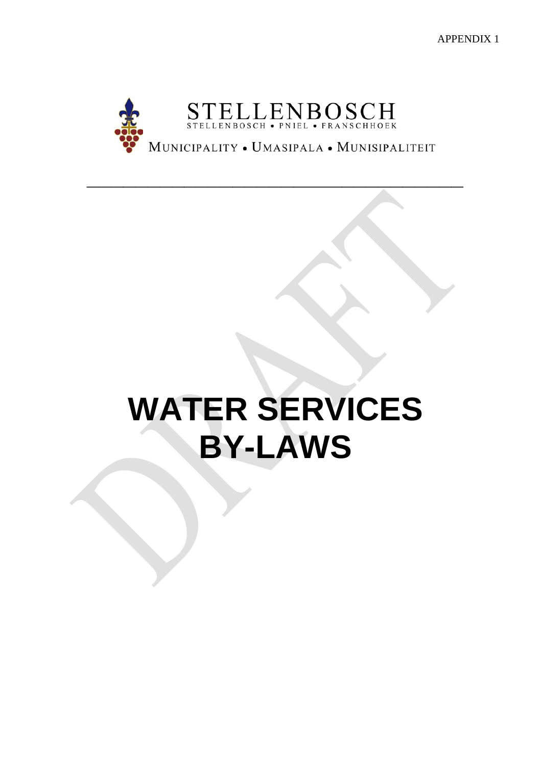APPENDIX 1



**\_\_\_\_\_\_\_\_\_\_\_\_\_\_\_\_\_\_\_\_\_\_\_\_\_\_\_\_\_\_\_**

# **WATER SERVICES BY-LAWS**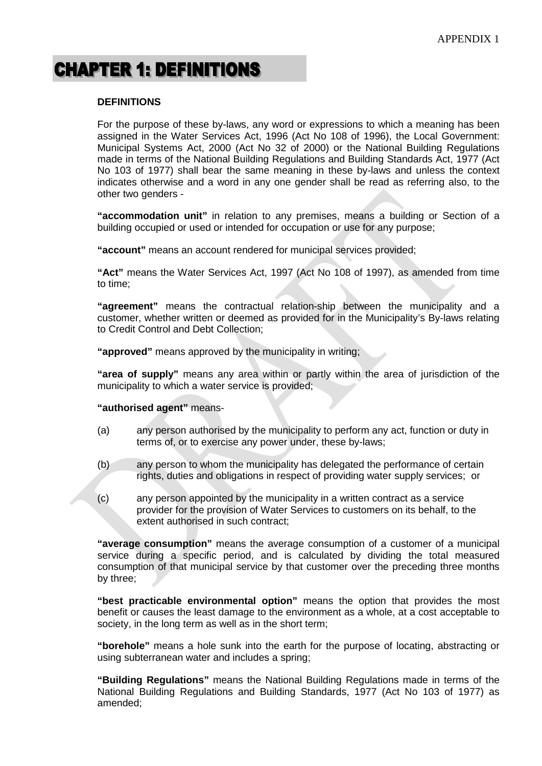## **CHAPTER 1: DEFINITIONS**

#### **DEFINITIONS**

For the purpose of these by-laws, any word or expressions to which a meaning has been assigned in the Water Services Act, 1996 (Act No 108 of 1996), the Local Government: Municipal Systems Act, 2000 (Act No 32 of 2000) or the National Building Regulations made in terms of the National Building Regulations and Building Standards Act, 1977 (Act No 103 of 1977) shall bear the same meaning in these by-laws and unless the context indicates otherwise and a word in any one gender shall be read as referring also, to the other two genders -

**"accommodation unit"** in relation to any premises, means a building or Section of a building occupied or used or intended for occupation or use for any purpose;

**"account"** means an account rendered for municipal services provided;

**"Act"** means the Water Services Act, 1997 (Act No 108 of 1997), as amended from time to time;

**"agreement"** means the contractual relation-ship between the municipality and a customer, whether written or deemed as provided for in the Municipality's By-laws relating to Credit Control and Debt Collection;

**"approved"** means approved by the municipality in writing;

**"area of supply"** means any area within or partly within the area of jurisdiction of the municipality to which a water service is provided;

#### **"authorised agent"** means-

- (a) any person authorised by the municipality to perform any act, function or duty in terms of, or to exercise any power under, these by-laws;
- (b) any person to whom the municipality has delegated the performance of certain rights, duties and obligations in respect of providing water supply services; or
- (c) any person appointed by the municipality in a written contract as a service provider for the provision of Water Services to customers on its behalf, to the extent authorised in such contract;

**"average consumption"** means the average consumption of a customer of a municipal service during a specific period, and is calculated by dividing the total measured consumption of that municipal service by that customer over the preceding three months by three;

**"best practicable environmental option"** means the option that provides the most benefit or causes the least damage to the environment as a whole, at a cost acceptable to society, in the long term as well as in the short term;

**"borehole"** means a hole sunk into the earth for the purpose of locating, abstracting or using subterranean water and includes a spring;

**"Building Regulations"** means the National Building Regulations made in terms of the National Building Regulations and Building Standards, 1977 (Act No 103 of 1977) as amended;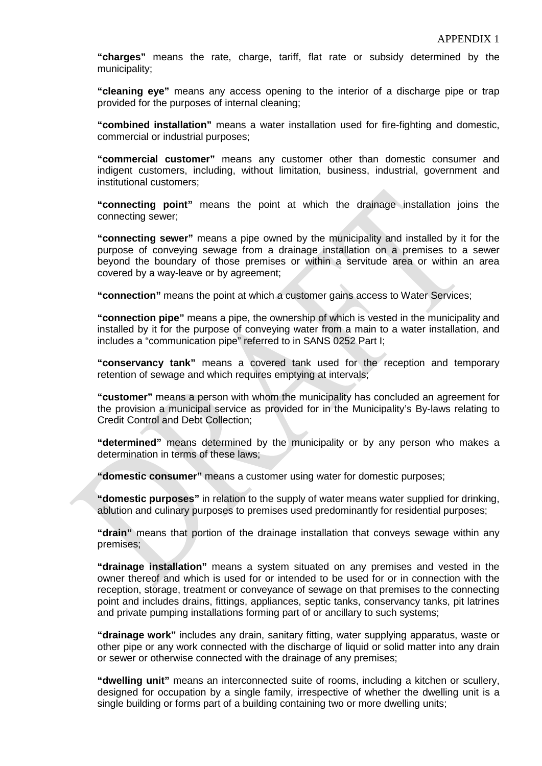**"charges"** means the rate, charge, tariff, flat rate or subsidy determined by the municipality;

**"cleaning eye"** means any access opening to the interior of a discharge pipe or trap provided for the purposes of internal cleaning;

**"combined installation"** means a water installation used for fire-fighting and domestic, commercial or industrial purposes;

**"commercial customer"** means any customer other than domestic consumer and indigent customers, including, without limitation, business, industrial, government and institutional customers;

**"connecting point"** means the point at which the drainage installation joins the connecting sewer;

**"connecting sewer"** means a pipe owned by the municipality and installed by it for the purpose of conveying sewage from a drainage installation on a premises to a sewer beyond the boundary of those premises or within a servitude area or within an area covered by a way-leave or by agreement;

**"connection"** means the point at which a customer gains access to Water Services;

**"connection pipe"** means a pipe, the ownership of which is vested in the municipality and installed by it for the purpose of conveying water from a main to a water installation, and includes a "communication pipe" referred to in SANS 0252 Part I;

**"conservancy tank"** means a covered tank used for the reception and temporary retention of sewage and which requires emptying at intervals;

**"customer"** means a person with whom the municipality has concluded an agreement for the provision a municipal service as provided for in the Municipality's By-laws relating to Credit Control and Debt Collection;

**"determined"** means determined by the municipality or by any person who makes a determination in terms of these laws;

**"domestic consumer"** means a customer using water for domestic purposes;

**"domestic purposes"** in relation to the supply of water means water supplied for drinking, ablution and culinary purposes to premises used predominantly for residential purposes;

**"drain"** means that portion of the drainage installation that conveys sewage within any premises;

**"drainage installation"** means a system situated on any premises and vested in the owner thereof and which is used for or intended to be used for or in connection with the reception, storage, treatment or conveyance of sewage on that premises to the connecting point and includes drains, fittings, appliances, septic tanks, conservancy tanks, pit latrines and private pumping installations forming part of or ancillary to such systems;

**"drainage work"** includes any drain, sanitary fitting, water supplying apparatus, waste or other pipe or any work connected with the discharge of liquid or solid matter into any drain or sewer or otherwise connected with the drainage of any premises;

**"dwelling unit"** means an interconnected suite of rooms, including a kitchen or scullery, designed for occupation by a single family, irrespective of whether the dwelling unit is a single building or forms part of a building containing two or more dwelling units;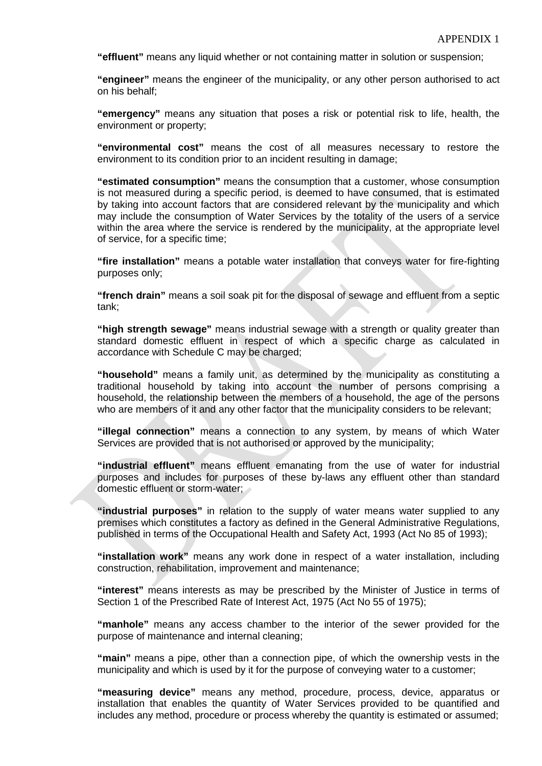**"effluent"** means any liquid whether or not containing matter in solution or suspension;

**"engineer"** means the engineer of the municipality, or any other person authorised to act on his behalf;

**"emergency"** means any situation that poses a risk or potential risk to life, health, the environment or property;

**"environmental cost"** means the cost of all measures necessary to restore the environment to its condition prior to an incident resulting in damage;

**"estimated consumption"** means the consumption that a customer, whose consumption is not measured during a specific period, is deemed to have consumed, that is estimated by taking into account factors that are considered relevant by the municipality and which may include the consumption of Water Services by the totality of the users of a service within the area where the service is rendered by the municipality, at the appropriate level of service, for a specific time;

**"fire installation"** means a potable water installation that conveys water for fire-fighting purposes only;

**"french drain"** means a soil soak pit for the disposal of sewage and effluent from a septic tank;

**"high strength sewage"** means industrial sewage with a strength or quality greater than standard domestic effluent in respect of which a specific charge as calculated in accordance with Schedule C may be charged;

**"household"** means a family unit, as determined by the municipality as constituting a traditional household by taking into account the number of persons comprising a household, the relationship between the members of a household, the age of the persons who are members of it and any other factor that the municipality considers to be relevant;

**"illegal connection"** means a connection to any system, by means of which Water Services are provided that is not authorised or approved by the municipality;

**"industrial effluent"** means effluent emanating from the use of water for industrial purposes and includes for purposes of these by-laws any effluent other than standard domestic effluent or storm-water;

**"industrial purposes"** in relation to the supply of water means water supplied to any premises which constitutes a factory as defined in the General Administrative Regulations, published in terms of the Occupational Health and Safety Act, 1993 (Act No 85 of 1993);

**"installation work"** means any work done in respect of a water installation, including construction, rehabilitation, improvement and maintenance;

**"interest"** means interests as may be prescribed by the Minister of Justice in terms of Section 1 of the Prescribed Rate of Interest Act, 1975 (Act No 55 of 1975);

**"manhole"** means any access chamber to the interior of the sewer provided for the purpose of maintenance and internal cleaning;

**"main"** means a pipe, other than a connection pipe, of which the ownership vests in the municipality and which is used by it for the purpose of conveying water to a customer;

**"measuring device"** means any method, procedure, process, device, apparatus or installation that enables the quantity of Water Services provided to be quantified and includes any method, procedure or process whereby the quantity is estimated or assumed;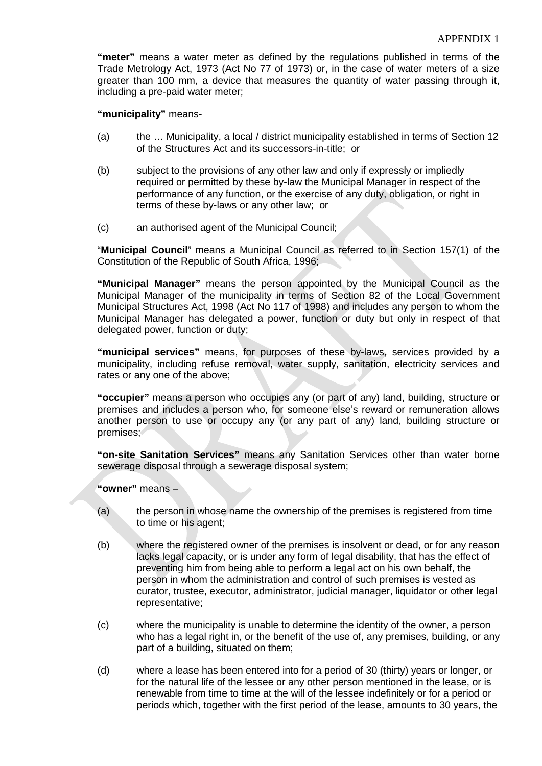**"meter"** means a water meter as defined by the regulations published in terms of the Trade Metrology Act, 1973 (Act No 77 of 1973) or, in the case of water meters of a size greater than 100 mm, a device that measures the quantity of water passing through it, including a pre-paid water meter;

**"municipality"** means-

- (a) the … Municipality, a local / district municipality established in terms of Section 12 of the Structures Act and its successors-in-title; or
- (b) subject to the provisions of any other law and only if expressly or impliedly required or permitted by these by-law the Municipal Manager in respect of the performance of any function, or the exercise of any duty, obligation, or right in terms of these by-laws or any other law; or
- (c) an authorised agent of the Municipal Council;

"**Municipal Council**" means a Municipal Council as referred to in Section 157(1) of the Constitution of the Republic of South Africa, 1996;

**"Municipal Manager"** means the person appointed by the Municipal Council as the Municipal Manager of the municipality in terms of Section 82 of the Local Government Municipal Structures Act, 1998 (Act No 117 of 1998) and includes any person to whom the Municipal Manager has delegated a power, function or duty but only in respect of that delegated power, function or duty;

**"municipal services"** means, for purposes of these by-laws, services provided by a municipality, including refuse removal, water supply, sanitation, electricity services and rates or any one of the above;

**"occupier"** means a person who occupies any (or part of any) land, building, structure or premises and includes a person who, for someone else's reward or remuneration allows another person to use or occupy any (or any part of any) land, building structure or premises;

**"on-site Sanitation Services"** means any Sanitation Services other than water borne sewerage disposal through a sewerage disposal system;

**"owner"** means –

- (a) the person in whose name the ownership of the premises is registered from time to time or his agent;
- (b) where the registered owner of the premises is insolvent or dead, or for any reason lacks legal capacity, or is under any form of legal disability, that has the effect of preventing him from being able to perform a legal act on his own behalf, the person in whom the administration and control of such premises is vested as curator, trustee, executor, administrator, judicial manager, liquidator or other legal representative;
- (c) where the municipality is unable to determine the identity of the owner, a person who has a legal right in, or the benefit of the use of, any premises, building, or any part of a building, situated on them;
- (d) where a lease has been entered into for a period of 30 (thirty) years or longer, or for the natural life of the lessee or any other person mentioned in the lease, or is renewable from time to time at the will of the lessee indefinitely or for a period or periods which, together with the first period of the lease, amounts to 30 years, the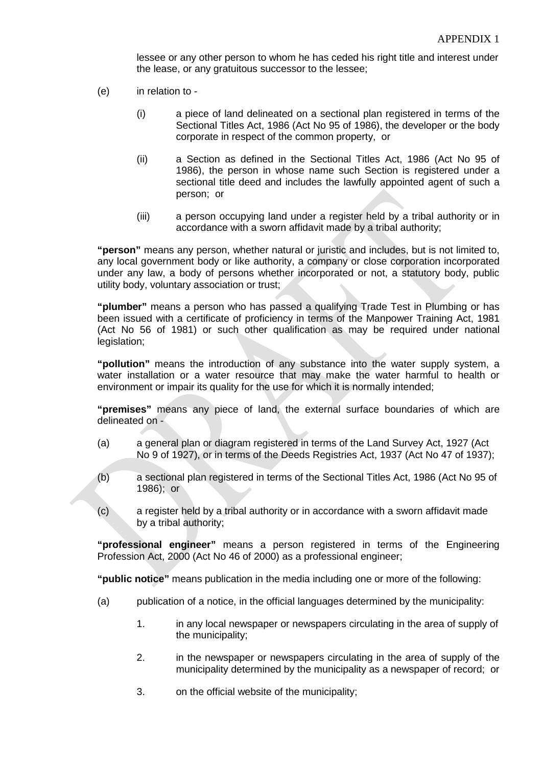lessee or any other person to whom he has ceded his right title and interest under the lease, or any gratuitous successor to the lessee;

- (e) in relation to
	- (i) a piece of land delineated on a sectional plan registered in terms of the Sectional Titles Act, 1986 (Act No 95 of 1986), the developer or the body corporate in respect of the common property, or
	- (ii) a Section as defined in the Sectional Titles Act, 1986 (Act No 95 of 1986), the person in whose name such Section is registered under a sectional title deed and includes the lawfully appointed agent of such a person; or
	- (iii) a person occupying land under a register held by a tribal authority or in accordance with a sworn affidavit made by a tribal authority;

**"person"** means any person, whether natural or juristic and includes, but is not limited to, any local government body or like authority, a company or close corporation incorporated under any law, a body of persons whether incorporated or not, a statutory body, public utility body, voluntary association or trust;

**"plumber"** means a person who has passed a qualifying Trade Test in Plumbing or has been issued with a certificate of proficiency in terms of the Manpower Training Act, 1981 (Act No 56 of 1981) or such other qualification as may be required under national legislation;

**"pollution"** means the introduction of any substance into the water supply system, a water installation or a water resource that may make the water harmful to health or environment or impair its quality for the use for which it is normally intended;

**"premises"** means any piece of land, the external surface boundaries of which are delineated on -

- (a) a general plan or diagram registered in terms of the Land Survey Act, 1927 (Act No 9 of 1927), or in terms of the Deeds Registries Act, 1937 (Act No 47 of 1937);
- (b) a sectional plan registered in terms of the Sectional Titles Act, 1986 (Act No 95 of 1986); or
- (c) a register held by a tribal authority or in accordance with a sworn affidavit made by a tribal authority;

**"professional engineer"** means a person registered in terms of the Engineering Profession Act, 2000 (Act No 46 of 2000) as a professional engineer;

**"public notice"** means publication in the media including one or more of the following:

- (a) publication of a notice, in the official languages determined by the municipality:
	- 1. in any local newspaper or newspapers circulating in the area of supply of the municipality;
	- 2. in the newspaper or newspapers circulating in the area of supply of the municipality determined by the municipality as a newspaper of record; or
	- 3. on the official website of the municipality;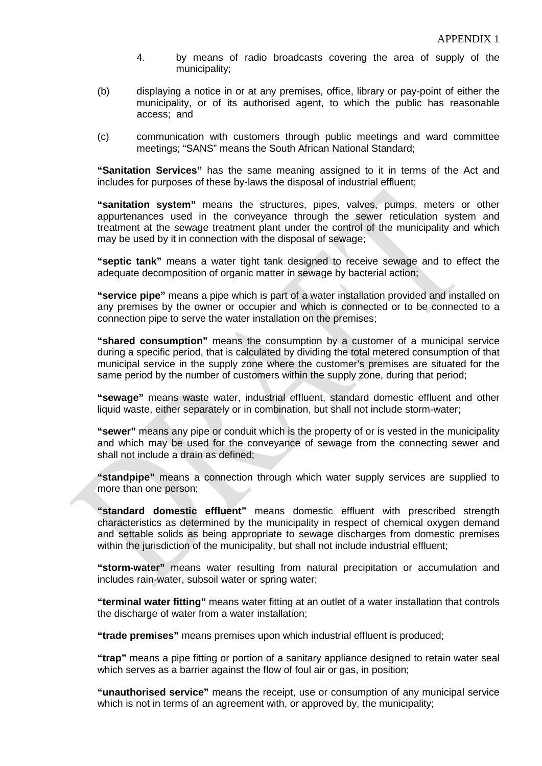- 4. by means of radio broadcasts covering the area of supply of the municipality;
- (b) displaying a notice in or at any premises, office, library or pay-point of either the municipality, or of its authorised agent, to which the public has reasonable access; and
- (c) communication with customers through public meetings and ward committee meetings; "SANS" means the South African National Standard;

**"Sanitation Services"** has the same meaning assigned to it in terms of the Act and includes for purposes of these by-laws the disposal of industrial effluent;

**"sanitation system"** means the structures, pipes, valves, pumps, meters or other appurtenances used in the conveyance through the sewer reticulation system and treatment at the sewage treatment plant under the control of the municipality and which may be used by it in connection with the disposal of sewage;

**"septic tank"** means a water tight tank designed to receive sewage and to effect the adequate decomposition of organic matter in sewage by bacterial action;

**"service pipe"** means a pipe which is part of a water installation provided and installed on any premises by the owner or occupier and which is connected or to be connected to a connection pipe to serve the water installation on the premises;

**"shared consumption"** means the consumption by a customer of a municipal service during a specific period, that is calculated by dividing the total metered consumption of that municipal service in the supply zone where the customer's premises are situated for the same period by the number of customers within the supply zone, during that period;

**"sewage"** means waste water, industrial effluent, standard domestic effluent and other liquid waste, either separately or in combination, but shall not include storm-water;

**"sewer"** means any pipe or conduit which is the property of or is vested in the municipality and which may be used for the conveyance of sewage from the connecting sewer and shall not include a drain as defined;

**"standpipe"** means a connection through which water supply services are supplied to more than one person;

**"standard domestic effluent"** means domestic effluent with prescribed strength characteristics as determined by the municipality in respect of chemical oxygen demand and settable solids as being appropriate to sewage discharges from domestic premises within the jurisdiction of the municipality, but shall not include industrial effluent;

**"storm-water"** means water resulting from natural precipitation or accumulation and includes rain-water, subsoil water or spring water;

**"terminal water fitting"** means water fitting at an outlet of a water installation that controls the discharge of water from a water installation;

**"trade premises"** means premises upon which industrial effluent is produced;

**"trap"** means a pipe fitting or portion of a sanitary appliance designed to retain water seal which serves as a barrier against the flow of foul air or gas, in position;

**"unauthorised service"** means the receipt, use or consumption of any municipal service which is not in terms of an agreement with, or approved by, the municipality;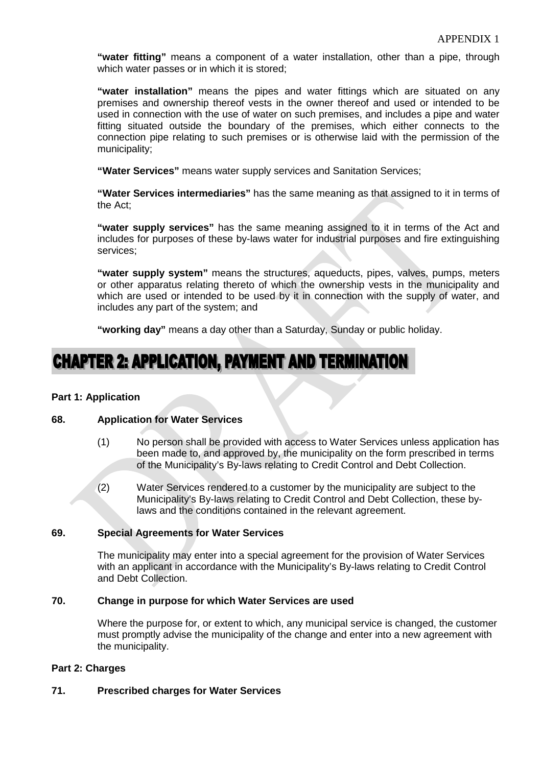**"water fitting"** means a component of a water installation, other than a pipe, through which water passes or in which it is stored;

**"water installation"** means the pipes and water fittings which are situated on any premises and ownership thereof vests in the owner thereof and used or intended to be used in connection with the use of water on such premises, and includes a pipe and water fitting situated outside the boundary of the premises, which either connects to the connection pipe relating to such premises or is otherwise laid with the permission of the municipality;

**"Water Services"** means water supply services and Sanitation Services;

**"Water Services intermediaries"** has the same meaning as that assigned to it in terms of the Act;

**"water supply services"** has the same meaning assigned to it in terms of the Act and includes for purposes of these by-laws water for industrial purposes and fire extinguishing services;

**"water supply system"** means the structures, aqueducts, pipes, valves, pumps, meters or other apparatus relating thereto of which the ownership vests in the municipality and which are used or intended to be used by it in connection with the supply of water, and includes any part of the system; and

**"working day"** means a day other than a Saturday, Sunday or public holiday.

### **CHAPTER 2: APPLICATION, PAYMENT AND TERMINATION**

#### **Part 1: Application**

#### **68. Application for Water Services**

- (1) No person shall be provided with access to Water Services unless application has been made to, and approved by, the municipality on the form prescribed in terms of the Municipality's By-laws relating to Credit Control and Debt Collection.
- (2) Water Services rendered to a customer by the municipality are subject to the Municipality's By-laws relating to Credit Control and Debt Collection, these bylaws and the conditions contained in the relevant agreement.

#### **69. Special Agreements for Water Services**

The municipality may enter into a special agreement for the provision of Water Services with an applicant in accordance with the Municipality's By-laws relating to Credit Control and Debt Collection.

#### **70. Change in purpose for which Water Services are used**

Where the purpose for, or extent to which, any municipal service is changed, the customer must promptly advise the municipality of the change and enter into a new agreement with the municipality.

#### **Part 2: Charges**

#### **71. Prescribed charges for Water Services**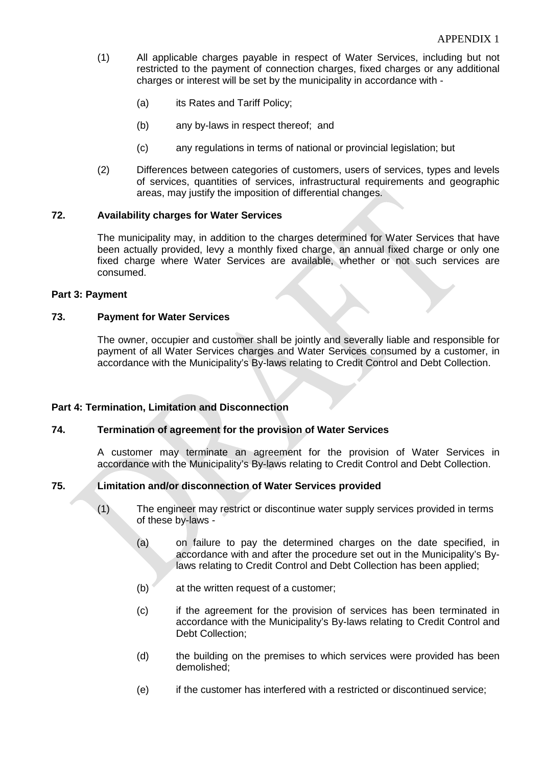- (1) All applicable charges payable in respect of Water Services, including but not restricted to the payment of connection charges, fixed charges or any additional charges or interest will be set by the municipality in accordance with -
	- (a) its Rates and Tariff Policy;
	- (b) any by-laws in respect thereof; and
	- (c) any regulations in terms of national or provincial legislation; but
- (2) Differences between categories of customers, users of services, types and levels of services, quantities of services, infrastructural requirements and geographic areas, may justify the imposition of differential changes.

#### **72. Availability charges for Water Services**

The municipality may, in addition to the charges determined for Water Services that have been actually provided, levy a monthly fixed charge, an annual fixed charge or only one fixed charge where Water Services are available, whether or not such services are consumed.

#### **Part 3: Payment**

#### **73. Payment for Water Services**

The owner, occupier and customer shall be jointly and severally liable and responsible for payment of all Water Services charges and Water Services consumed by a customer, in accordance with the Municipality's By-laws relating to Credit Control and Debt Collection.

#### **Part 4: Termination, Limitation and Disconnection**

#### **74. Termination of agreement for the provision of Water Services**

A customer may terminate an agreement for the provision of Water Services in accordance with the Municipality's By-laws relating to Credit Control and Debt Collection.

#### **75. Limitation and/or disconnection of Water Services provided**

- (1) The engineer may restrict or discontinue water supply services provided in terms of these by-laws -
	- (a) on failure to pay the determined charges on the date specified, in accordance with and after the procedure set out in the Municipality's Bylaws relating to Credit Control and Debt Collection has been applied;
	- (b) at the written request of a customer;
	- (c) if the agreement for the provision of services has been terminated in accordance with the Municipality's By-laws relating to Credit Control and Debt Collection;
	- (d) the building on the premises to which services were provided has been demolished;
	- (e) if the customer has interfered with a restricted or discontinued service;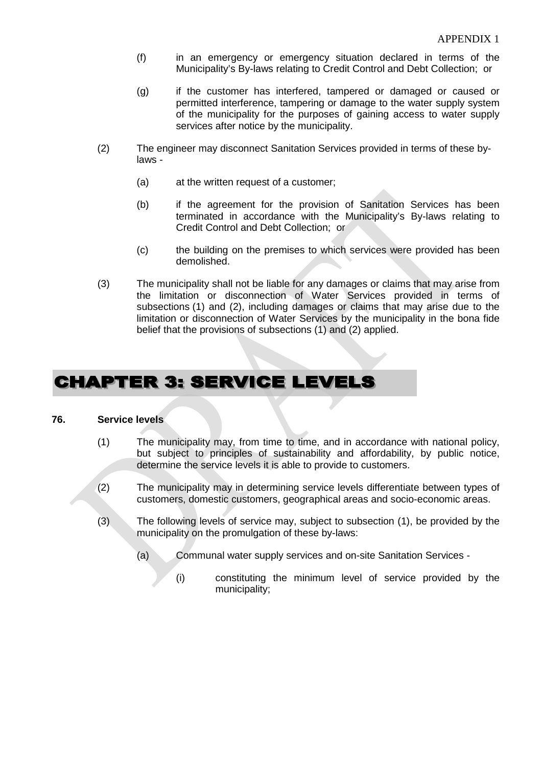- (f) in an emergency or emergency situation declared in terms of the Municipality's By-laws relating to Credit Control and Debt Collection; or
- (g) if the customer has interfered, tampered or damaged or caused or permitted interference, tampering or damage to the water supply system of the municipality for the purposes of gaining access to water supply services after notice by the municipality.
- (2) The engineer may disconnect Sanitation Services provided in terms of these bylaws -
	- (a) at the written request of a customer;
	- (b) if the agreement for the provision of Sanitation Services has been terminated in accordance with the Municipality's By-laws relating to Credit Control and Debt Collection; or
	- (c) the building on the premises to which services were provided has been demolished.
- (3) The municipality shall not be liable for any damages or claims that may arise from the limitation or disconnection of Water Services provided in terms of subsections (1) and (2), including damages or claims that may arise due to the limitation or disconnection of Water Services by the municipality in the bona fide belief that the provisions of subsections (1) and (2) applied.

### **CHAPTER 3: SERVICE LEVELS**

#### **76. Service levels**

- (1) The municipality may, from time to time, and in accordance with national policy, but subject to principles of sustainability and affordability, by public notice, determine the service levels it is able to provide to customers.
- (2) The municipality may in determining service levels differentiate between types of customers, domestic customers, geographical areas and socio-economic areas.
- (3) The following levels of service may, subject to subsection (1), be provided by the municipality on the promulgation of these by-laws:
	- (a) Communal water supply services and on-site Sanitation Services
		- (i) constituting the minimum level of service provided by the municipality;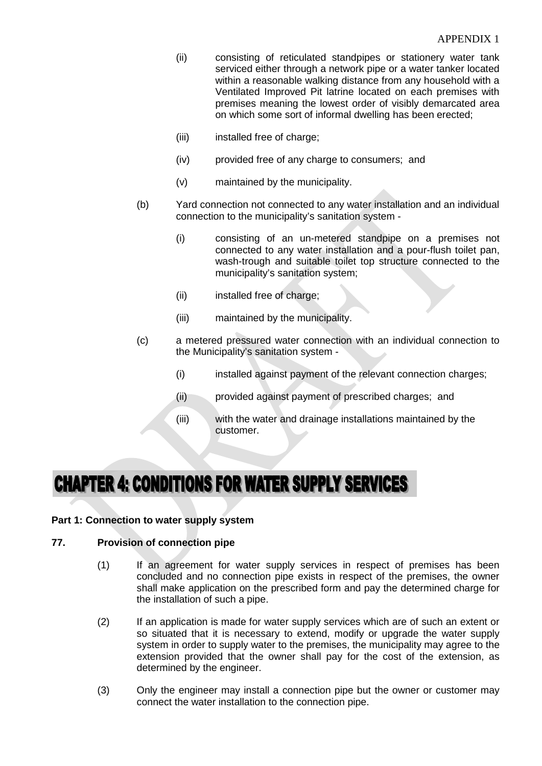- (ii) consisting of reticulated standpipes or stationery water tank serviced either through a network pipe or a water tanker located within a reasonable walking distance from any household with a Ventilated Improved Pit latrine located on each premises with premises meaning the lowest order of visibly demarcated area on which some sort of informal dwelling has been erected;
- (iii) installed free of charge;
- (iv) provided free of any charge to consumers; and
- (v) maintained by the municipality.
- (b) Yard connection not connected to any water installation and an individual connection to the municipality's sanitation system -
	- (i) consisting of an un-metered standpipe on a premises not connected to any water installation and a pour-flush toilet pan, wash-trough and suitable toilet top structure connected to the municipality's sanitation system;
	- (ii) installed free of charge;
	- (iii) maintained by the municipality.
- (c) a metered pressured water connection with an individual connection to the Municipality's sanitation system -
	- (i) installed against payment of the relevant connection charges;
	- (ii) provided against payment of prescribed charges; and
	- (iii) with the water and drainage installations maintained by the customer.

### **CHAPTER 4: CONDITIONS FOR WATER SUPPLY SERVICES**

#### **Part 1: Connection to water supply system**

#### **77. Provision of connection pipe**

- (1) If an agreement for water supply services in respect of premises has been concluded and no connection pipe exists in respect of the premises, the owner shall make application on the prescribed form and pay the determined charge for the installation of such a pipe.
- (2) If an application is made for water supply services which are of such an extent or so situated that it is necessary to extend, modify or upgrade the water supply system in order to supply water to the premises, the municipality may agree to the extension provided that the owner shall pay for the cost of the extension, as determined by the engineer.
- (3) Only the engineer may install a connection pipe but the owner or customer may connect the water installation to the connection pipe.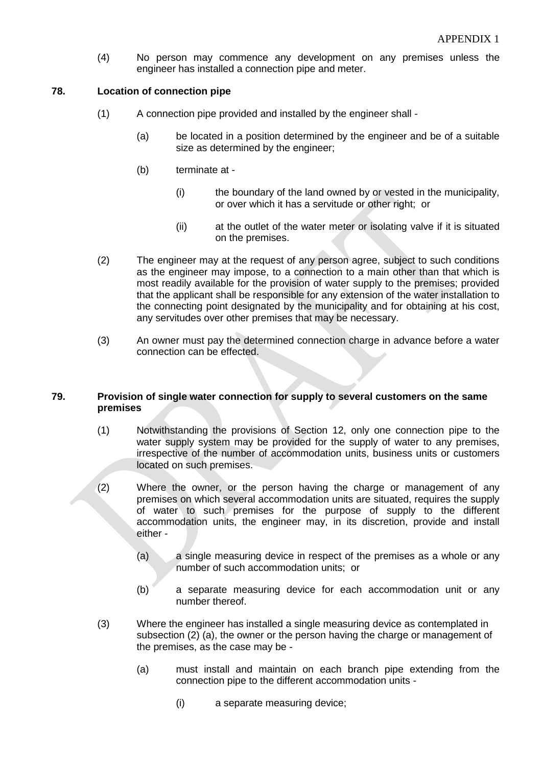(4) No person may commence any development on any premises unless the engineer has installed a connection pipe and meter.

#### **78. Location of connection pipe**

- (1) A connection pipe provided and installed by the engineer shall
	- (a) be located in a position determined by the engineer and be of a suitable size as determined by the engineer;
	- (b) terminate at
		- (i) the boundary of the land owned by or vested in the municipality, or over which it has a servitude or other right; or
		- (ii) at the outlet of the water meter or isolating valve if it is situated on the premises.
- (2) The engineer may at the request of any person agree, subject to such conditions as the engineer may impose, to a connection to a main other than that which is most readily available for the provision of water supply to the premises; provided that the applicant shall be responsible for any extension of the water installation to the connecting point designated by the municipality and for obtaining at his cost, any servitudes over other premises that may be necessary.
- (3) An owner must pay the determined connection charge in advance before a water connection can be effected.

#### **79. Provision of single water connection for supply to several customers on the same premises**

- (1) Notwithstanding the provisions of Section 12, only one connection pipe to the water supply system may be provided for the supply of water to any premises, irrespective of the number of accommodation units, business units or customers located on such premises.
- (2) Where the owner, or the person having the charge or management of any premises on which several accommodation units are situated, requires the supply of water to such premises for the purpose of supply to the different accommodation units, the engineer may, in its discretion, provide and install either -
	- (a) a single measuring device in respect of the premises as a whole or any number of such accommodation units; or
	- (b) a separate measuring device for each accommodation unit or any number thereof.
- (3) Where the engineer has installed a single measuring device as contemplated in subsection (2) (a), the owner or the person having the charge or management of the premises, as the case may be -
	- (a) must install and maintain on each branch pipe extending from the connection pipe to the different accommodation units -
		- (i) a separate measuring device;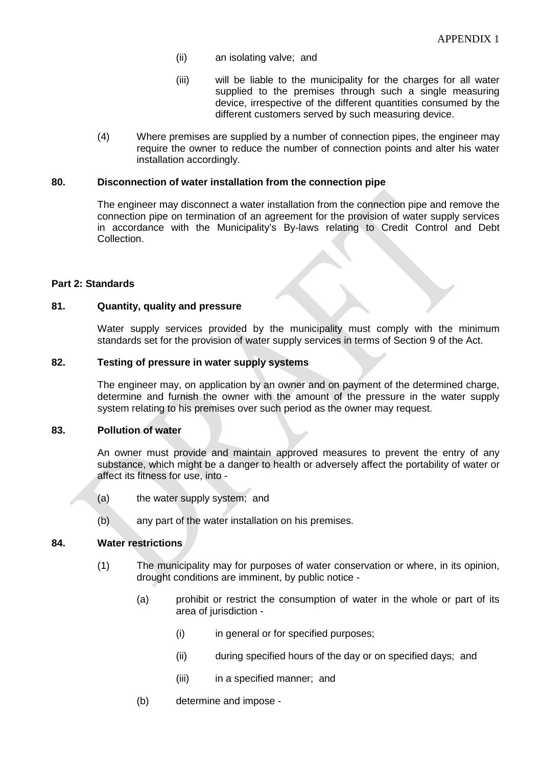- (ii) an isolating valve; and
- (iii) will be liable to the municipality for the charges for all water supplied to the premises through such a single measuring device, irrespective of the different quantities consumed by the different customers served by such measuring device.
- (4) Where premises are supplied by a number of connection pipes, the engineer may require the owner to reduce the number of connection points and alter his water installation accordingly.

#### **80. Disconnection of water installation from the connection pipe**

The engineer may disconnect a water installation from the connection pipe and remove the connection pipe on termination of an agreement for the provision of water supply services in accordance with the Municipality's By-laws relating to Credit Control and Debt Collection.

#### **Part 2: Standards**

#### **81. Quantity, quality and pressure**

Water supply services provided by the municipality must comply with the minimum standards set for the provision of water supply services in terms of Section 9 of the Act.

#### **82. Testing of pressure in water supply systems**

The engineer may, on application by an owner and on payment of the determined charge, determine and furnish the owner with the amount of the pressure in the water supply system relating to his premises over such period as the owner may request.

#### **83. Pollution of water**

An owner must provide and maintain approved measures to prevent the entry of any substance, which might be a danger to health or adversely affect the portability of water or affect its fitness for use, into -

- (a) the water supply system; and
- (b) any part of the water installation on his premises.

#### **84. Water restrictions**

- (1) The municipality may for purposes of water conservation or where, in its opinion, drought conditions are imminent, by public notice -
	- (a) prohibit or restrict the consumption of water in the whole or part of its area of jurisdiction -
		- (i) in general or for specified purposes;
		- (ii) during specified hours of the day or on specified days; and
		- (iii) in a specified manner; and
	- (b) determine and impose -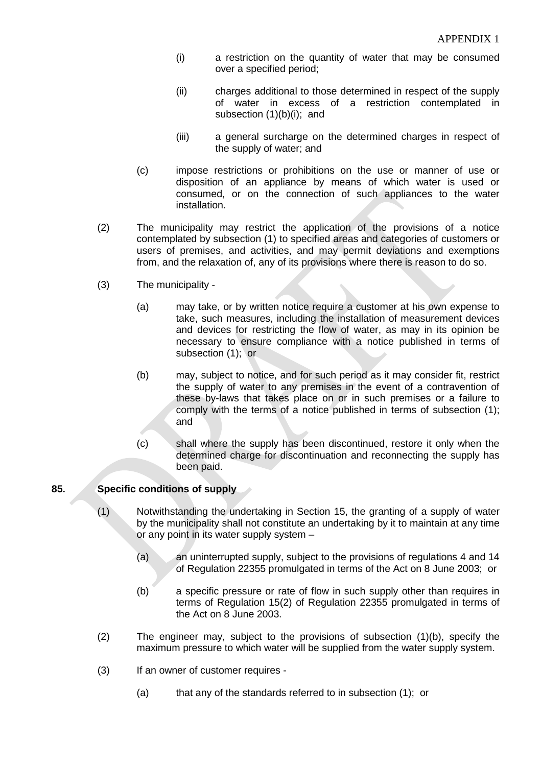- (i) a restriction on the quantity of water that may be consumed over a specified period;
- (ii) charges additional to those determined in respect of the supply of water in excess of a restriction contemplated in subsection (1)(b)(i); and
- (iii) a general surcharge on the determined charges in respect of the supply of water; and
- (c) impose restrictions or prohibitions on the use or manner of use or disposition of an appliance by means of which water is used or consumed, or on the connection of such appliances to the water installation.
- (2) The municipality may restrict the application of the provisions of a notice contemplated by subsection (1) to specified areas and categories of customers or users of premises, and activities, and may permit deviations and exemptions from, and the relaxation of, any of its provisions where there is reason to do so.
- (3) The municipality
	- (a) may take, or by written notice require a customer at his own expense to take, such measures, including the installation of measurement devices and devices for restricting the flow of water, as may in its opinion be necessary to ensure compliance with a notice published in terms of subsection (1); or
	- (b) may, subject to notice, and for such period as it may consider fit, restrict the supply of water to any premises in the event of a contravention of these by-laws that takes place on or in such premises or a failure to comply with the terms of a notice published in terms of subsection (1); and
	- (c) shall where the supply has been discontinued, restore it only when the determined charge for discontinuation and reconnecting the supply has been paid.

#### **85. Specific conditions of supply**

- (1) Notwithstanding the undertaking in Section 15, the granting of a supply of water by the municipality shall not constitute an undertaking by it to maintain at any time or any point in its water supply system –
	- (a) an uninterrupted supply, subject to the provisions of regulations 4 and 14 of Regulation 22355 promulgated in terms of the Act on 8 June 2003; or
	- (b) a specific pressure or rate of flow in such supply other than requires in terms of Regulation 15(2) of Regulation 22355 promulgated in terms of the Act on 8 June 2003.
- (2) The engineer may, subject to the provisions of subsection (1)(b), specify the maximum pressure to which water will be supplied from the water supply system.
- (3) If an owner of customer requires
	- (a) that any of the standards referred to in subsection (1); or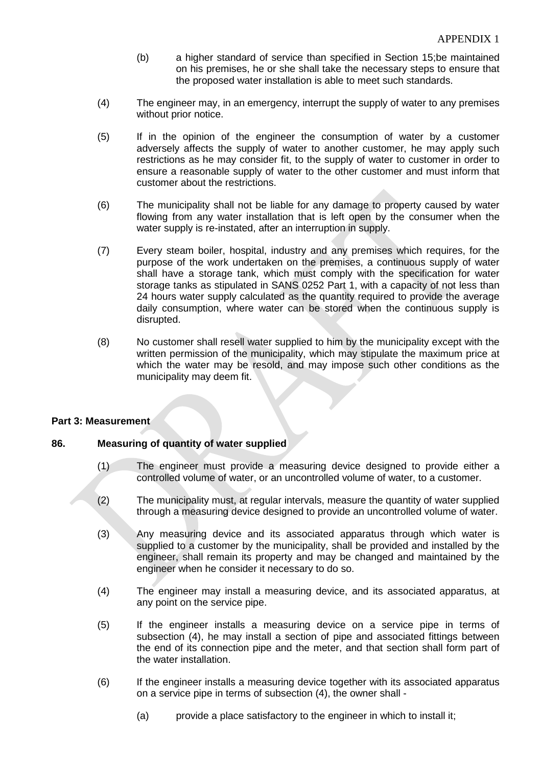- (b) a higher standard of service than specified in Section 15;be maintained on his premises, he or she shall take the necessary steps to ensure that the proposed water installation is able to meet such standards.
- (4) The engineer may, in an emergency, interrupt the supply of water to any premises without prior notice.
- (5) If in the opinion of the engineer the consumption of water by a customer adversely affects the supply of water to another customer, he may apply such restrictions as he may consider fit, to the supply of water to customer in order to ensure a reasonable supply of water to the other customer and must inform that customer about the restrictions.
- (6) The municipality shall not be liable for any damage to property caused by water flowing from any water installation that is left open by the consumer when the water supply is re-instated, after an interruption in supply.
- (7) Every steam boiler, hospital, industry and any premises which requires, for the purpose of the work undertaken on the premises, a continuous supply of water shall have a storage tank, which must comply with the specification for water storage tanks as stipulated in SANS 0252 Part 1, with a capacity of not less than 24 hours water supply calculated as the quantity required to provide the average daily consumption, where water can be stored when the continuous supply is disrupted.
- (8) No customer shall resell water supplied to him by the municipality except with the written permission of the municipality, which may stipulate the maximum price at which the water may be resold, and may impose such other conditions as the municipality may deem fit.

#### **Part 3: Measurement**

#### **86. Measuring of quantity of water supplied**

- (1) The engineer must provide a measuring device designed to provide either a controlled volume of water, or an uncontrolled volume of water, to a customer.
- (2) The municipality must, at regular intervals, measure the quantity of water supplied through a measuring device designed to provide an uncontrolled volume of water.
- (3) Any measuring device and its associated apparatus through which water is supplied to a customer by the municipality, shall be provided and installed by the engineer, shall remain its property and may be changed and maintained by the engineer when he consider it necessary to do so.
- (4) The engineer may install a measuring device, and its associated apparatus, at any point on the service pipe.
- (5) If the engineer installs a measuring device on a service pipe in terms of subsection (4), he may install a section of pipe and associated fittings between the end of its connection pipe and the meter, and that section shall form part of the water installation.
- (6) If the engineer installs a measuring device together with its associated apparatus on a service pipe in terms of subsection (4), the owner shall -
	- (a) provide a place satisfactory to the engineer in which to install it;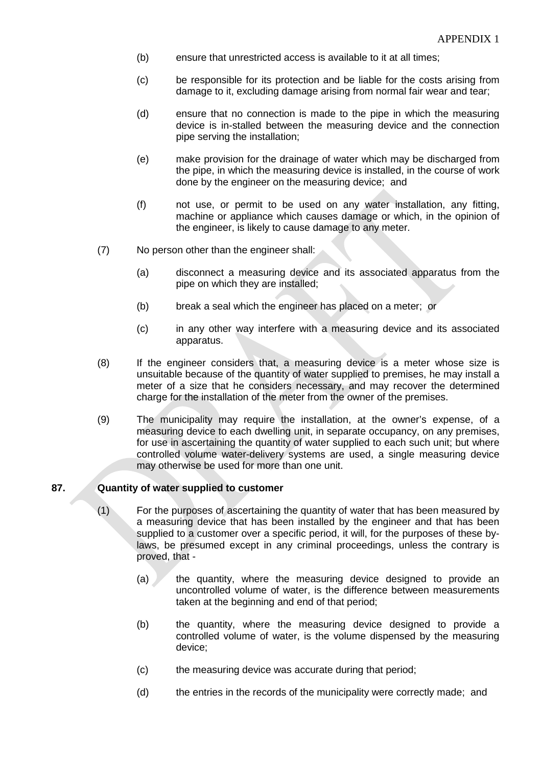- (b) ensure that unrestricted access is available to it at all times;
- (c) be responsible for its protection and be liable for the costs arising from damage to it, excluding damage arising from normal fair wear and tear;
- (d) ensure that no connection is made to the pipe in which the measuring device is in-stalled between the measuring device and the connection pipe serving the installation;
- (e) make provision for the drainage of water which may be discharged from the pipe, in which the measuring device is installed, in the course of work done by the engineer on the measuring device; and
- (f) not use, or permit to be used on any water installation, any fitting, machine or appliance which causes damage or which, in the opinion of the engineer, is likely to cause damage to any meter.
- (7) No person other than the engineer shall:
	- (a) disconnect a measuring device and its associated apparatus from the pipe on which they are installed;
	- (b) break a seal which the engineer has placed on a meter; or
	- (c) in any other way interfere with a measuring device and its associated apparatus.
- (8) If the engineer considers that, a measuring device is a meter whose size is unsuitable because of the quantity of water supplied to premises, he may install a meter of a size that he considers necessary, and may recover the determined charge for the installation of the meter from the owner of the premises.
- (9) The municipality may require the installation, at the owner's expense, of a measuring device to each dwelling unit, in separate occupancy, on any premises, for use in ascertaining the quantity of water supplied to each such unit; but where controlled volume water-delivery systems are used, a single measuring device may otherwise be used for more than one unit.

#### **87. Quantity of water supplied to customer**

- (1) For the purposes of ascertaining the quantity of water that has been measured by a measuring device that has been installed by the engineer and that has been supplied to a customer over a specific period, it will, for the purposes of these bylaws, be presumed except in any criminal proceedings, unless the contrary is proved, that -
	- (a) the quantity, where the measuring device designed to provide an uncontrolled volume of water, is the difference between measurements taken at the beginning and end of that period;
	- (b) the quantity, where the measuring device designed to provide a controlled volume of water, is the volume dispensed by the measuring device;
	- (c) the measuring device was accurate during that period;
	- (d) the entries in the records of the municipality were correctly made; and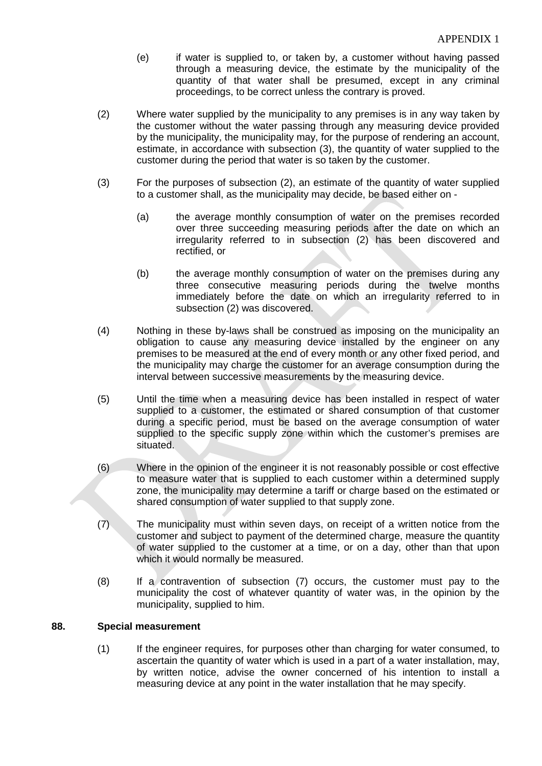- (e) if water is supplied to, or taken by, a customer without having passed through a measuring device, the estimate by the municipality of the quantity of that water shall be presumed, except in any criminal proceedings, to be correct unless the contrary is proved.
- (2) Where water supplied by the municipality to any premises is in any way taken by the customer without the water passing through any measuring device provided by the municipality, the municipality may, for the purpose of rendering an account, estimate, in accordance with subsection (3), the quantity of water supplied to the customer during the period that water is so taken by the customer.
- (3) For the purposes of subsection (2), an estimate of the quantity of water supplied to a customer shall, as the municipality may decide, be based either on -
	- (a) the average monthly consumption of water on the premises recorded over three succeeding measuring periods after the date on which an irregularity referred to in subsection (2) has been discovered and rectified, or
	- (b) the average monthly consumption of water on the premises during any three consecutive measuring periods during the twelve months immediately before the date on which an irregularity referred to in subsection (2) was discovered.
- (4) Nothing in these by-laws shall be construed as imposing on the municipality an obligation to cause any measuring device installed by the engineer on any premises to be measured at the end of every month or any other fixed period, and the municipality may charge the customer for an average consumption during the interval between successive measurements by the measuring device.
- (5) Until the time when a measuring device has been installed in respect of water supplied to a customer, the estimated or shared consumption of that customer during a specific period, must be based on the average consumption of water supplied to the specific supply zone within which the customer's premises are situated.
- (6) Where in the opinion of the engineer it is not reasonably possible or cost effective to measure water that is supplied to each customer within a determined supply zone, the municipality may determine a tariff or charge based on the estimated or shared consumption of water supplied to that supply zone.
- (7) The municipality must within seven days, on receipt of a written notice from the customer and subject to payment of the determined charge, measure the quantity of water supplied to the customer at a time, or on a day, other than that upon which it would normally be measured.
- (8) If a contravention of subsection (7) occurs, the customer must pay to the municipality the cost of whatever quantity of water was, in the opinion by the municipality, supplied to him.

#### **88. Special measurement**

(1) If the engineer requires, for purposes other than charging for water consumed, to ascertain the quantity of water which is used in a part of a water installation, may, by written notice, advise the owner concerned of his intention to install a measuring device at any point in the water installation that he may specify.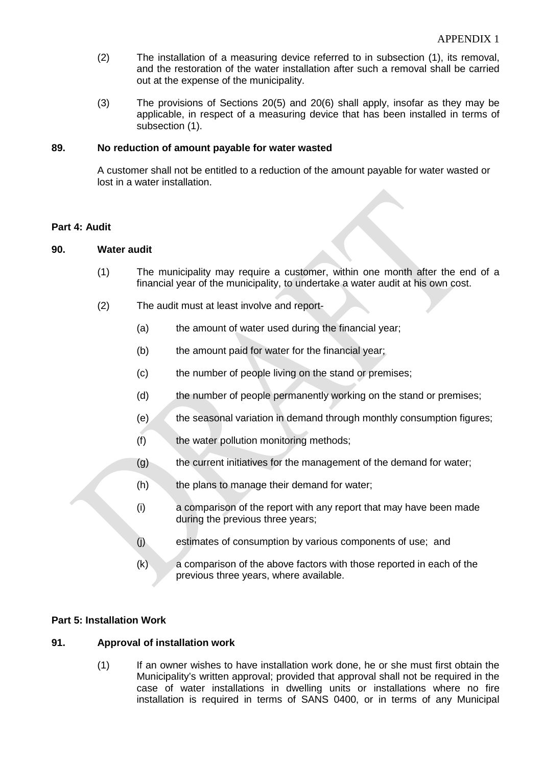- (2) The installation of a measuring device referred to in subsection (1), its removal, and the restoration of the water installation after such a removal shall be carried out at the expense of the municipality.
- (3) The provisions of Sections 20(5) and 20(6) shall apply, insofar as they may be applicable, in respect of a measuring device that has been installed in terms of subsection (1).

#### **89. No reduction of amount payable for water wasted**

A customer shall not be entitled to a reduction of the amount payable for water wasted or lost in a water installation.

#### **Part 4: Audit**

#### **90. Water audit**

- (1) The municipality may require a customer, within one month after the end of a financial year of the municipality, to undertake a water audit at his own cost.
- (2) The audit must at least involve and report-
	- (a) the amount of water used during the financial year;
	- (b) the amount paid for water for the financial year;
	- (c) the number of people living on the stand or premises;
	- (d) the number of people permanently working on the stand or premises;
	- (e) the seasonal variation in demand through monthly consumption figures;
	- (f) the water pollution monitoring methods;
	- (g) the current initiatives for the management of the demand for water;
	- $(h)$  the plans to manage their demand for water;
	- (i) a comparison of the report with any report that may have been made during the previous three years;
	- (j) estimates of consumption by various components of use; and
	- (k) a comparison of the above factors with those reported in each of the previous three years, where available.

#### **Part 5: Installation Work**

#### **91. Approval of installation work**

(1) If an owner wishes to have installation work done, he or she must first obtain the Municipality's written approval; provided that approval shall not be required in the case of water installations in dwelling units or installations where no fire installation is required in terms of SANS 0400, or in terms of any Municipal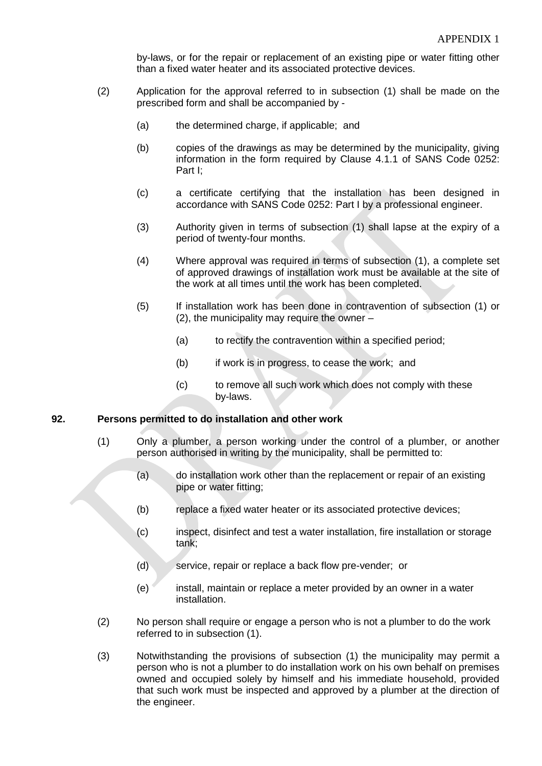by-laws, or for the repair or replacement of an existing pipe or water fitting other than a fixed water heater and its associated protective devices.

- (2) Application for the approval referred to in subsection (1) shall be made on the prescribed form and shall be accompanied by -
	- (a) the determined charge, if applicable; and
	- (b) copies of the drawings as may be determined by the municipality, giving information in the form required by Clause 4.1.1 of SANS Code 0252: Part I;
	- (c) a certificate certifying that the installation has been designed in accordance with SANS Code 0252: Part I by a professional engineer.
	- (3) Authority given in terms of subsection (1) shall lapse at the expiry of a period of twenty-four months.
	- (4) Where approval was required in terms of subsection (1), a complete set of approved drawings of installation work must be available at the site of the work at all times until the work has been completed.
	- (5) If installation work has been done in contravention of subsection (1) or (2), the municipality may require the owner –
		- (a) to rectify the contravention within a specified period;
		- (b) if work is in progress, to cease the work; and
		- (c) to remove all such work which does not comply with these by-laws.

#### **92. Persons permitted to do installation and other work**

- (1) Only a plumber, a person working under the control of a plumber, or another person authorised in writing by the municipality, shall be permitted to:
	- (a) do installation work other than the replacement or repair of an existing pipe or water fitting;
	- (b) replace a fixed water heater or its associated protective devices;
	- (c) inspect, disinfect and test a water installation, fire installation or storage tank;
	- (d) service, repair or replace a back flow pre-vender; or
	- (e) install, maintain or replace a meter provided by an owner in a water installation.
- (2) No person shall require or engage a person who is not a plumber to do the work referred to in subsection (1).
- (3) Notwithstanding the provisions of subsection (1) the municipality may permit a person who is not a plumber to do installation work on his own behalf on premises owned and occupied solely by himself and his immediate household, provided that such work must be inspected and approved by a plumber at the direction of the engineer.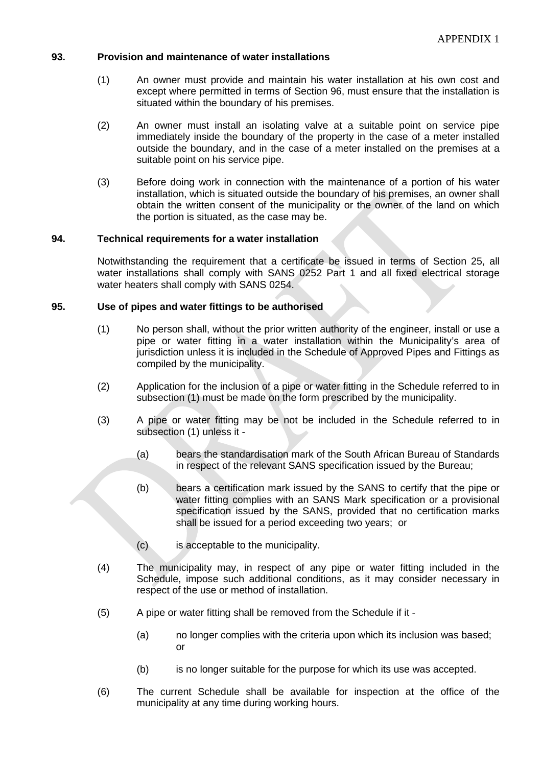#### **93. Provision and maintenance of water installations**

- (1) An owner must provide and maintain his water installation at his own cost and except where permitted in terms of Section 96, must ensure that the installation is situated within the boundary of his premises.
- (2) An owner must install an isolating valve at a suitable point on service pipe immediately inside the boundary of the property in the case of a meter installed outside the boundary, and in the case of a meter installed on the premises at a suitable point on his service pipe.
- (3) Before doing work in connection with the maintenance of a portion of his water installation, which is situated outside the boundary of his premises, an owner shall obtain the written consent of the municipality or the owner of the land on which the portion is situated, as the case may be.

#### **94. Technical requirements for a water installation**

Notwithstanding the requirement that a certificate be issued in terms of Section 25, all water installations shall comply with SANS 0252 Part 1 and all fixed electrical storage water heaters shall comply with SANS 0254.

#### **95. Use of pipes and water fittings to be authorised**

- (1) No person shall, without the prior written authority of the engineer, install or use a pipe or water fitting in a water installation within the Municipality's area of jurisdiction unless it is included in the Schedule of Approved Pipes and Fittings as compiled by the municipality.
- (2) Application for the inclusion of a pipe or water fitting in the Schedule referred to in subsection (1) must be made on the form prescribed by the municipality.
- (3) A pipe or water fitting may be not be included in the Schedule referred to in subsection (1) unless it -
	- (a) bears the standardisation mark of the South African Bureau of Standards in respect of the relevant SANS specification issued by the Bureau;
	- (b) bears a certification mark issued by the SANS to certify that the pipe or water fitting complies with an SANS Mark specification or a provisional specification issued by the SANS, provided that no certification marks shall be issued for a period exceeding two years; or
	- (c) is acceptable to the municipality.
- (4) The municipality may, in respect of any pipe or water fitting included in the Schedule, impose such additional conditions, as it may consider necessary in respect of the use or method of installation.
- (5) A pipe or water fitting shall be removed from the Schedule if it
	- (a) no longer complies with the criteria upon which its inclusion was based; or
	- (b) is no longer suitable for the purpose for which its use was accepted.
- (6) The current Schedule shall be available for inspection at the office of the municipality at any time during working hours.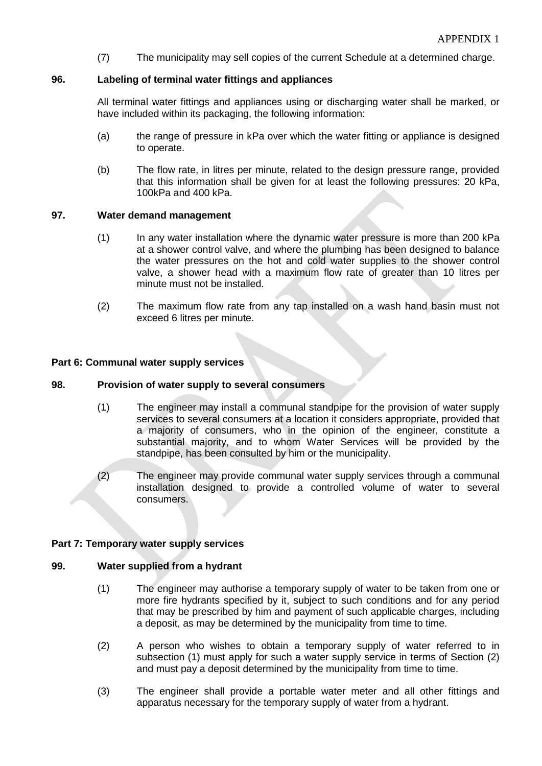(7) The municipality may sell copies of the current Schedule at a determined charge.

#### **96. Labeling of terminal water fittings and appliances**

All terminal water fittings and appliances using or discharging water shall be marked, or have included within its packaging, the following information:

- (a) the range of pressure in kPa over which the water fitting or appliance is designed to operate.
- (b) The flow rate, in litres per minute, related to the design pressure range, provided that this information shall be given for at least the following pressures: 20 kPa, 100kPa and 400 kPa.

#### **97. Water demand management**

- (1) In any water installation where the dynamic water pressure is more than 200 kPa at a shower control valve, and where the plumbing has been designed to balance the water pressures on the hot and cold water supplies to the shower control valve, a shower head with a maximum flow rate of greater than 10 litres per minute must not be installed.
- (2) The maximum flow rate from any tap installed on a wash hand basin must not exceed 6 litres per minute.

#### **Part 6: Communal water supply services**

#### **98. Provision of water supply to several consumers**

- (1) The engineer may install a communal standpipe for the provision of water supply services to several consumers at a location it considers appropriate, provided that a majority of consumers, who in the opinion of the engineer, constitute a substantial majority, and to whom Water Services will be provided by the standpipe, has been consulted by him or the municipality.
- (2) The engineer may provide communal water supply services through a communal installation designed to provide a controlled volume of water to several consumers.

#### **Part 7: Temporary water supply services**

#### **99. Water supplied from a hydrant**

- (1) The engineer may authorise a temporary supply of water to be taken from one or more fire hydrants specified by it, subject to such conditions and for any period that may be prescribed by him and payment of such applicable charges, including a deposit, as may be determined by the municipality from time to time.
- (2) A person who wishes to obtain a temporary supply of water referred to in subsection (1) must apply for such a water supply service in terms of Section (2) and must pay a deposit determined by the municipality from time to time.
- (3) The engineer shall provide a portable water meter and all other fittings and apparatus necessary for the temporary supply of water from a hydrant.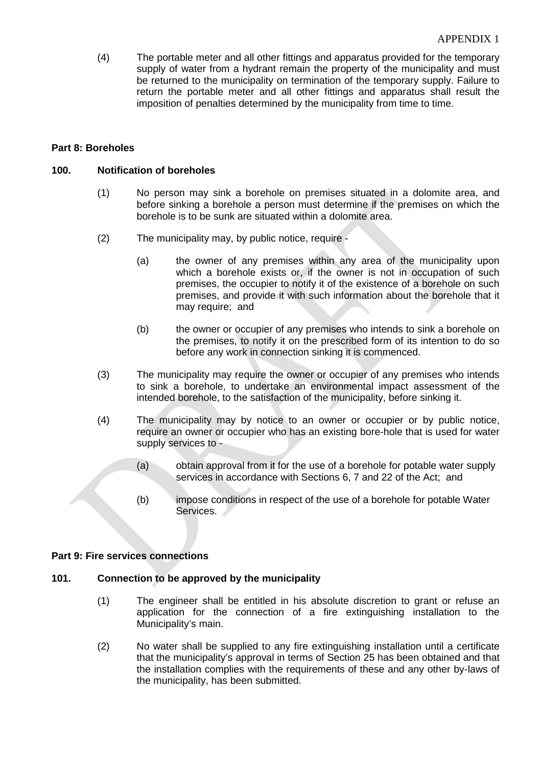(4) The portable meter and all other fittings and apparatus provided for the temporary supply of water from a hydrant remain the property of the municipality and must be returned to the municipality on termination of the temporary supply. Failure to return the portable meter and all other fittings and apparatus shall result the imposition of penalties determined by the municipality from time to time.

#### **Part 8: Boreholes**

#### **100. Notification of boreholes**

- (1) No person may sink a borehole on premises situated in a dolomite area, and before sinking a borehole a person must determine if the premises on which the borehole is to be sunk are situated within a dolomite area.
- (2) The municipality may, by public notice, require
	- (a) the owner of any premises within any area of the municipality upon which a borehole exists or, if the owner is not in occupation of such premises, the occupier to notify it of the existence of a borehole on such premises, and provide it with such information about the borehole that it may require; and
	- (b) the owner or occupier of any premises who intends to sink a borehole on the premises, to notify it on the prescribed form of its intention to do so before any work in connection sinking it is commenced.
- (3) The municipality may require the owner or occupier of any premises who intends to sink a borehole, to undertake an environmental impact assessment of the intended borehole, to the satisfaction of the municipality, before sinking it.
- (4) The municipality may by notice to an owner or occupier or by public notice, require an owner or occupier who has an existing bore-hole that is used for water supply services to -
	- (a) obtain approval from it for the use of a borehole for potable water supply services in accordance with Sections 6, 7 and 22 of the Act; and
	- (b) impose conditions in respect of the use of a borehole for potable Water Services.

#### **Part 9: Fire services connections**

#### **101. Connection to be approved by the municipality**

- (1) The engineer shall be entitled in his absolute discretion to grant or refuse an application for the connection of a fire extinguishing installation to the Municipality's main.
- (2) No water shall be supplied to any fire extinguishing installation until a certificate that the municipality's approval in terms of Section 25 has been obtained and that the installation complies with the requirements of these and any other by-laws of the municipality, has been submitted.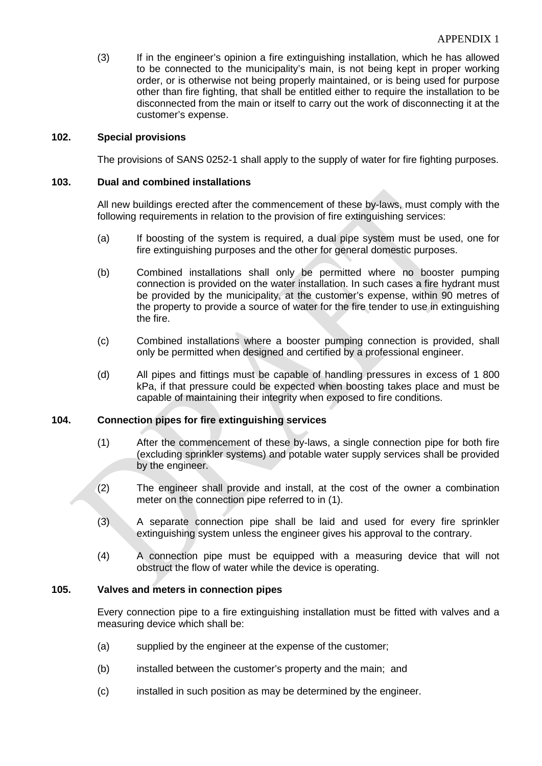(3) If in the engineer's opinion a fire extinguishing installation, which he has allowed to be connected to the municipality's main, is not being kept in proper working order, or is otherwise not being properly maintained, or is being used for purpose other than fire fighting, that shall be entitled either to require the installation to be disconnected from the main or itself to carry out the work of disconnecting it at the customer's expense.

#### **102. Special provisions**

The provisions of SANS 0252-1 shall apply to the supply of water for fire fighting purposes.

#### **103. Dual and combined installations**

All new buildings erected after the commencement of these by-laws, must comply with the following requirements in relation to the provision of fire extinguishing services:

- (a) If boosting of the system is required, a dual pipe system must be used, one for fire extinguishing purposes and the other for general domestic purposes.
- (b) Combined installations shall only be permitted where no booster pumping connection is provided on the water installation. In such cases a fire hydrant must be provided by the municipality, at the customer's expense, within 90 metres of the property to provide a source of water for the fire tender to use in extinguishing the fire.
- (c) Combined installations where a booster pumping connection is provided, shall only be permitted when designed and certified by a professional engineer.
- (d) All pipes and fittings must be capable of handling pressures in excess of 1 800 kPa, if that pressure could be expected when boosting takes place and must be capable of maintaining their integrity when exposed to fire conditions.

#### **104. Connection pipes for fire extinguishing services**

- (1) After the commencement of these by-laws, a single connection pipe for both fire (excluding sprinkler systems) and potable water supply services shall be provided by the engineer.
- (2) The engineer shall provide and install, at the cost of the owner a combination meter on the connection pipe referred to in (1).
- (3) A separate connection pipe shall be laid and used for every fire sprinkler extinguishing system unless the engineer gives his approval to the contrary.
- (4) A connection pipe must be equipped with a measuring device that will not obstruct the flow of water while the device is operating.

#### **105. Valves and meters in connection pipes**

Every connection pipe to a fire extinguishing installation must be fitted with valves and a measuring device which shall be:

- (a) supplied by the engineer at the expense of the customer;
- (b) installed between the customer's property and the main; and
- (c) installed in such position as may be determined by the engineer.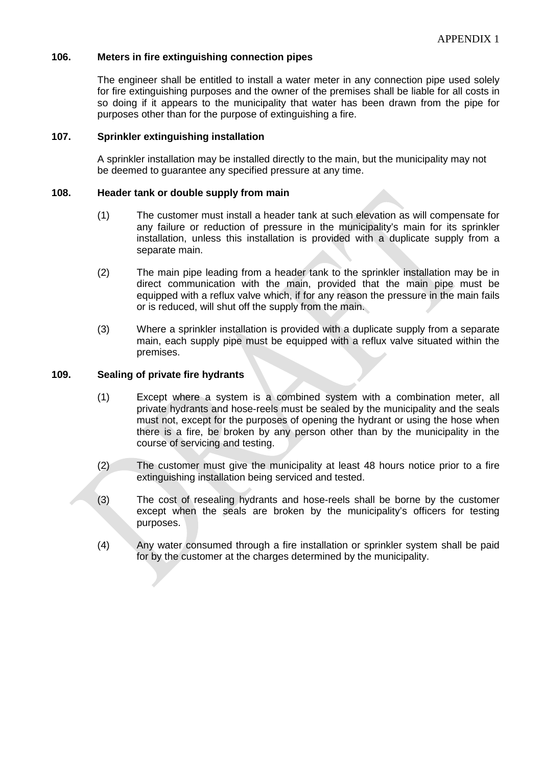#### **106. Meters in fire extinguishing connection pipes**

The engineer shall be entitled to install a water meter in any connection pipe used solely for fire extinguishing purposes and the owner of the premises shall be liable for all costs in so doing if it appears to the municipality that water has been drawn from the pipe for purposes other than for the purpose of extinguishing a fire.

#### **107. Sprinkler extinguishing installation**

A sprinkler installation may be installed directly to the main, but the municipality may not be deemed to guarantee any specified pressure at any time.

#### **108. Header tank or double supply from main**

- (1) The customer must install a header tank at such elevation as will compensate for any failure or reduction of pressure in the municipality's main for its sprinkler installation, unless this installation is provided with a duplicate supply from a separate main.
- (2) The main pipe leading from a header tank to the sprinkler installation may be in direct communication with the main, provided that the main pipe must be equipped with a reflux valve which, if for any reason the pressure in the main fails or is reduced, will shut off the supply from the main.
- (3) Where a sprinkler installation is provided with a duplicate supply from a separate main, each supply pipe must be equipped with a reflux valve situated within the premises.

#### **109. Sealing of private fire hydrants**

- (1) Except where a system is a combined system with a combination meter, all private hydrants and hose-reels must be sealed by the municipality and the seals must not, except for the purposes of opening the hydrant or using the hose when there is a fire, be broken by any person other than by the municipality in the course of servicing and testing.
- (2) The customer must give the municipality at least 48 hours notice prior to a fire extinguishing installation being serviced and tested.
- (3) The cost of resealing hydrants and hose-reels shall be borne by the customer except when the seals are broken by the municipality's officers for testing purposes.
- (4) Any water consumed through a fire installation or sprinkler system shall be paid for by the customer at the charges determined by the municipality.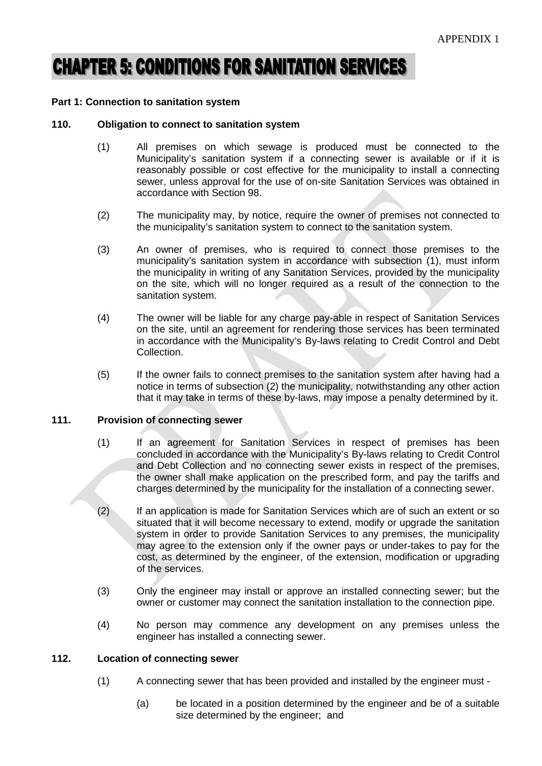# **CHAPTER 5: CONDITIONS FOR SANITATION SERVICES**

#### **Part 1: Connection to sanitation system**

#### **110. Obligation to connect to sanitation system**

- (1) All premises on which sewage is produced must be connected to the Municipality's sanitation system if a connecting sewer is available or if it is reasonably possible or cost effective for the municipality to install a connecting sewer, unless approval for the use of on-site Sanitation Services was obtained in accordance with Section 98.
- (2) The municipality may, by notice, require the owner of premises not connected to the municipality's sanitation system to connect to the sanitation system.
- (3) An owner of premises, who is required to connect those premises to the municipality's sanitation system in accordance with subsection (1), must inform the municipality in writing of any Sanitation Services, provided by the municipality on the site, which will no longer required as a result of the connection to the sanitation system.
- (4) The owner will be liable for any charge pay-able in respect of Sanitation Services on the site, until an agreement for rendering those services has been terminated in accordance with the Municipality's By-laws relating to Credit Control and Debt Collection.
- (5) If the owner fails to connect premises to the sanitation system after having had a notice in terms of subsection (2) the municipality, notwithstanding any other action that it may take in terms of these by-laws, may impose a penalty determined by it.

#### **111. Provision of connecting sewer**

- (1) If an agreement for Sanitation Services in respect of premises has been concluded in accordance with the Municipality's By-laws relating to Credit Control and Debt Collection and no connecting sewer exists in respect of the premises, the owner shall make application on the prescribed form, and pay the tariffs and charges determined by the municipality for the installation of a connecting sewer.
- (2) If an application is made for Sanitation Services which are of such an extent or so situated that it will become necessary to extend, modify or upgrade the sanitation system in order to provide Sanitation Services to any premises, the municipality may agree to the extension only if the owner pays or under-takes to pay for the cost, as determined by the engineer, of the extension, modification or upgrading of the services.
- (3) Only the engineer may install or approve an installed connecting sewer; but the owner or customer may connect the sanitation installation to the connection pipe.
- (4) No person may commence any development on any premises unless the engineer has installed a connecting sewer.

#### **112. Location of connecting sewer**

- (1) A connecting sewer that has been provided and installed by the engineer must
	- (a) be located in a position determined by the engineer and be of a suitable size determined by the engineer; and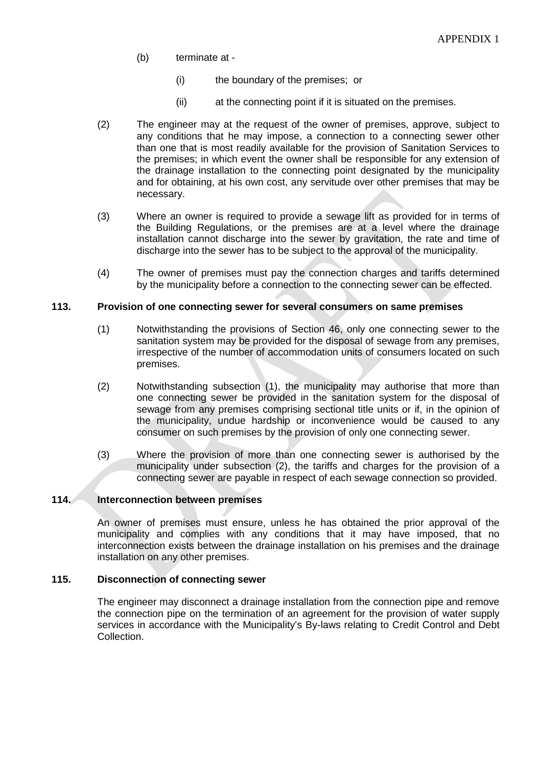- (b) terminate at
	- (i) the boundary of the premises; or
	- (ii) at the connecting point if it is situated on the premises.
- (2) The engineer may at the request of the owner of premises, approve, subject to any conditions that he may impose, a connection to a connecting sewer other than one that is most readily available for the provision of Sanitation Services to the premises; in which event the owner shall be responsible for any extension of the drainage installation to the connecting point designated by the municipality and for obtaining, at his own cost, any servitude over other premises that may be necessary.
- (3) Where an owner is required to provide a sewage lift as provided for in terms of the Building Regulations, or the premises are at a level where the drainage installation cannot discharge into the sewer by gravitation, the rate and time of discharge into the sewer has to be subject to the approval of the municipality.
- (4) The owner of premises must pay the connection charges and tariffs determined by the municipality before a connection to the connecting sewer can be effected.

#### **113. Provision of one connecting sewer for several consumers on same premises**

- (1) Notwithstanding the provisions of Section 46, only one connecting sewer to the sanitation system may be provided for the disposal of sewage from any premises, irrespective of the number of accommodation units of consumers located on such premises.
- (2) Notwithstanding subsection (1), the municipality may authorise that more than one connecting sewer be provided in the sanitation system for the disposal of sewage from any premises comprising sectional title units or if, in the opinion of the municipality, undue hardship or inconvenience would be caused to any consumer on such premises by the provision of only one connecting sewer.
- (3) Where the provision of more than one connecting sewer is authorised by the municipality under subsection (2), the tariffs and charges for the provision of a connecting sewer are payable in respect of each sewage connection so provided.

#### **114. Interconnection between premises**

An owner of premises must ensure, unless he has obtained the prior approval of the municipality and complies with any conditions that it may have imposed, that no interconnection exists between the drainage installation on his premises and the drainage installation on any other premises.

#### **115. Disconnection of connecting sewer**

The engineer may disconnect a drainage installation from the connection pipe and remove the connection pipe on the termination of an agreement for the provision of water supply services in accordance with the Municipality's By-laws relating to Credit Control and Debt Collection.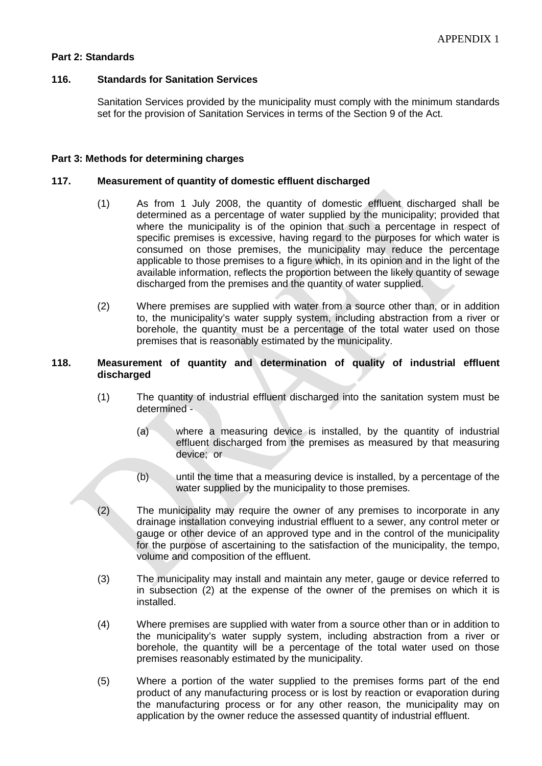#### **Part 2: Standards**

#### **116. Standards for Sanitation Services**

Sanitation Services provided by the municipality must comply with the minimum standards set for the provision of Sanitation Services in terms of the Section 9 of the Act.

#### **Part 3: Methods for determining charges**

#### **117. Measurement of quantity of domestic effluent discharged**

- (1) As from 1 July 2008, the quantity of domestic effluent discharged shall be determined as a percentage of water supplied by the municipality; provided that where the municipality is of the opinion that such a percentage in respect of specific premises is excessive, having regard to the purposes for which water is consumed on those premises, the municipality may reduce the percentage applicable to those premises to a figure which, in its opinion and in the light of the available information, reflects the proportion between the likely quantity of sewage discharged from the premises and the quantity of water supplied.
- (2) Where premises are supplied with water from a source other than, or in addition to, the municipality's water supply system, including abstraction from a river or borehole, the quantity must be a percentage of the total water used on those premises that is reasonably estimated by the municipality.

#### **118. Measurement of quantity and determination of quality of industrial effluent discharged**

- (1) The quantity of industrial effluent discharged into the sanitation system must be determined -
	- (a) where a measuring device is installed, by the quantity of industrial effluent discharged from the premises as measured by that measuring device; or
	- (b) until the time that a measuring device is installed, by a percentage of the water supplied by the municipality to those premises.
- (2) The municipality may require the owner of any premises to incorporate in any drainage installation conveying industrial effluent to a sewer, any control meter or gauge or other device of an approved type and in the control of the municipality for the purpose of ascertaining to the satisfaction of the municipality, the tempo, volume and composition of the effluent.
- (3) The municipality may install and maintain any meter, gauge or device referred to in subsection (2) at the expense of the owner of the premises on which it is installed.
- (4) Where premises are supplied with water from a source other than or in addition to the municipality's water supply system, including abstraction from a river or borehole, the quantity will be a percentage of the total water used on those premises reasonably estimated by the municipality.
- (5) Where a portion of the water supplied to the premises forms part of the end product of any manufacturing process or is lost by reaction or evaporation during the manufacturing process or for any other reason, the municipality may on application by the owner reduce the assessed quantity of industrial effluent.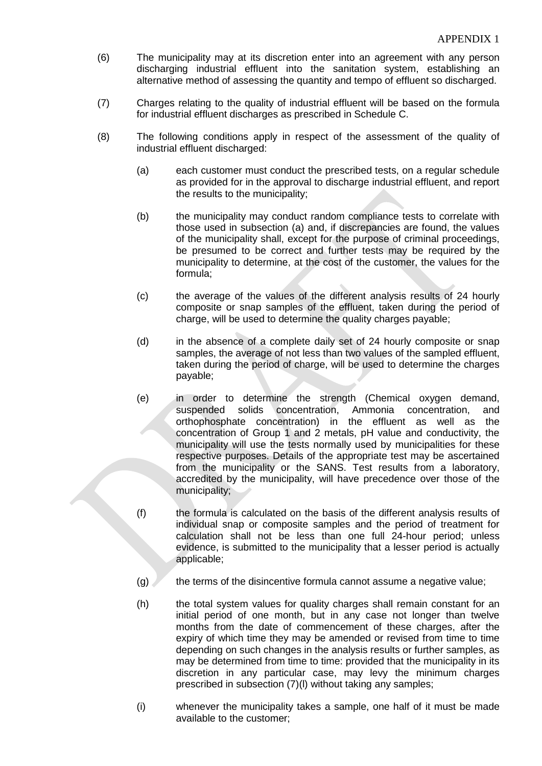- (6) The municipality may at its discretion enter into an agreement with any person discharging industrial effluent into the sanitation system, establishing an alternative method of assessing the quantity and tempo of effluent so discharged.
- (7) Charges relating to the quality of industrial effluent will be based on the formula for industrial effluent discharges as prescribed in Schedule C.
- (8) The following conditions apply in respect of the assessment of the quality of industrial effluent discharged:
	- (a) each customer must conduct the prescribed tests, on a regular schedule as provided for in the approval to discharge industrial effluent, and report the results to the municipality;
	- (b) the municipality may conduct random compliance tests to correlate with those used in subsection (a) and, if discrepancies are found, the values of the municipality shall, except for the purpose of criminal proceedings, be presumed to be correct and further tests may be required by the municipality to determine, at the cost of the customer, the values for the formula;
	- (c) the average of the values of the different analysis results of 24 hourly composite or snap samples of the effluent, taken during the period of charge, will be used to determine the quality charges payable;
	- (d) in the absence of a complete daily set of 24 hourly composite or snap samples, the average of not less than two values of the sampled effluent, taken during the period of charge, will be used to determine the charges payable;
	- (e) in order to determine the strength (Chemical oxygen demand, suspended solids concentration, Ammonia concentration, and orthophosphate concentration) in the effluent as well as the concentration of Group 1 and 2 metals, pH value and conductivity, the municipality will use the tests normally used by municipalities for these respective purposes. Details of the appropriate test may be ascertained from the municipality or the SANS. Test results from a laboratory, accredited by the municipality, will have precedence over those of the municipality;
	- (f) the formula is calculated on the basis of the different analysis results of individual snap or composite samples and the period of treatment for calculation shall not be less than one full 24-hour period; unless evidence, is submitted to the municipality that a lesser period is actually applicable;
	- $(g)$  the terms of the disincentive formula cannot assume a negative value;
	- (h) the total system values for quality charges shall remain constant for an initial period of one month, but in any case not longer than twelve months from the date of commencement of these charges, after the expiry of which time they may be amended or revised from time to time depending on such changes in the analysis results or further samples, as may be determined from time to time: provided that the municipality in its discretion in any particular case, may levy the minimum charges prescribed in subsection (7)(l) without taking any samples;
	- (i) whenever the municipality takes a sample, one half of it must be made available to the customer;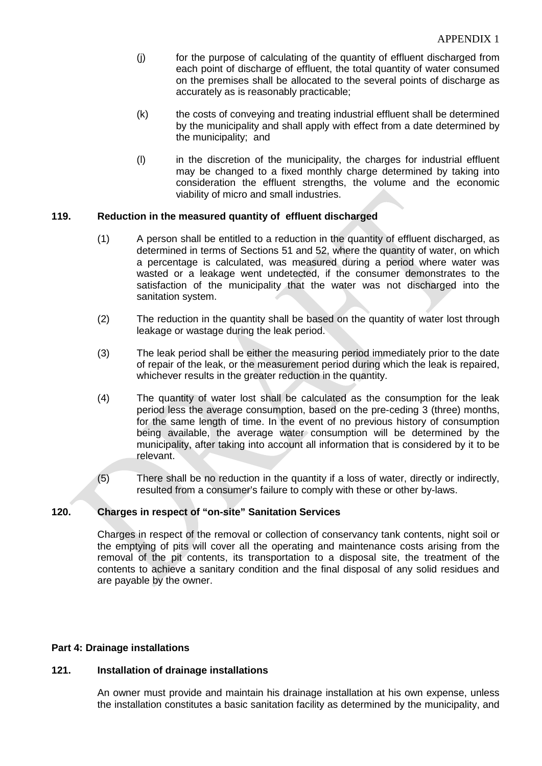- (j) for the purpose of calculating of the quantity of effluent discharged from each point of discharge of effluent, the total quantity of water consumed on the premises shall be allocated to the several points of discharge as accurately as is reasonably practicable;
- (k) the costs of conveying and treating industrial effluent shall be determined by the municipality and shall apply with effect from a date determined by the municipality; and
- (l) in the discretion of the municipality, the charges for industrial effluent may be changed to a fixed monthly charge determined by taking into consideration the effluent strengths, the volume and the economic viability of micro and small industries.

#### **119. Reduction in the measured quantity of effluent discharged**

- (1) A person shall be entitled to a reduction in the quantity of effluent discharged, as determined in terms of Sections 51 and 52, where the quantity of water, on which a percentage is calculated, was measured during a period where water was wasted or a leakage went undetected, if the consumer demonstrates to the satisfaction of the municipality that the water was not discharged into the sanitation system.
- (2) The reduction in the quantity shall be based on the quantity of water lost through leakage or wastage during the leak period.
- (3) The leak period shall be either the measuring period immediately prior to the date of repair of the leak, or the measurement period during which the leak is repaired, whichever results in the greater reduction in the quantity.
- (4) The quantity of water lost shall be calculated as the consumption for the leak period less the average consumption, based on the pre-ceding 3 (three) months, for the same length of time. In the event of no previous history of consumption being available, the average water consumption will be determined by the municipality, after taking into account all information that is considered by it to be relevant.
- (5) There shall be no reduction in the quantity if a loss of water, directly or indirectly, resulted from a consumer's failure to comply with these or other by-laws.

#### **120. Charges in respect of "on-site" Sanitation Services**

Charges in respect of the removal or collection of conservancy tank contents, night soil or the emptying of pits will cover all the operating and maintenance costs arising from the removal of the pit contents, its transportation to a disposal site, the treatment of the contents to achieve a sanitary condition and the final disposal of any solid residues and are payable by the owner.

#### **Part 4: Drainage installations**

#### **121. Installation of drainage installations**

An owner must provide and maintain his drainage installation at his own expense, unless the installation constitutes a basic sanitation facility as determined by the municipality, and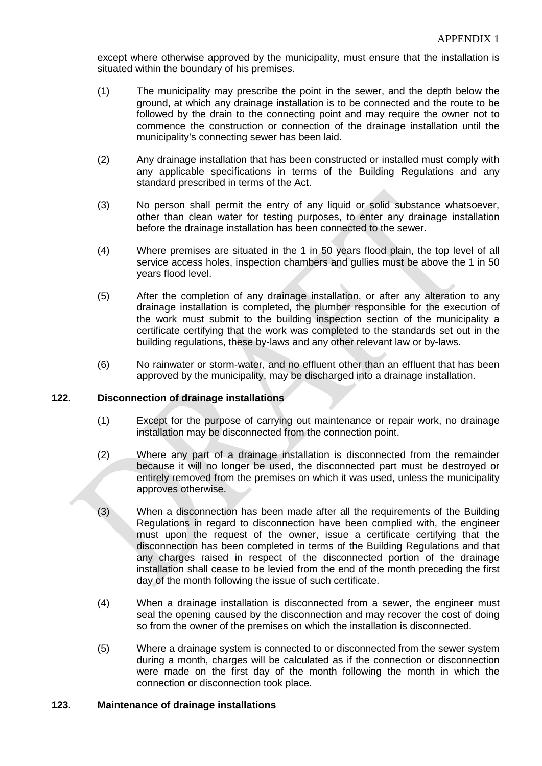except where otherwise approved by the municipality, must ensure that the installation is situated within the boundary of his premises.

- (1) The municipality may prescribe the point in the sewer, and the depth below the ground, at which any drainage installation is to be connected and the route to be followed by the drain to the connecting point and may require the owner not to commence the construction or connection of the drainage installation until the municipality's connecting sewer has been laid.
- (2) Any drainage installation that has been constructed or installed must comply with any applicable specifications in terms of the Building Regulations and any standard prescribed in terms of the Act.
- (3) No person shall permit the entry of any liquid or solid substance whatsoever, other than clean water for testing purposes, to enter any drainage installation before the drainage installation has been connected to the sewer.
- (4) Where premises are situated in the 1 in 50 years flood plain, the top level of all service access holes, inspection chambers and gullies must be above the 1 in 50 years flood level.
- (5) After the completion of any drainage installation, or after any alteration to any drainage installation is completed, the plumber responsible for the execution of the work must submit to the building inspection section of the municipality a certificate certifying that the work was completed to the standards set out in the building regulations, these by-laws and any other relevant law or by-laws.
- (6) No rainwater or storm-water, and no effluent other than an effluent that has been approved by the municipality, may be discharged into a drainage installation.

#### **122. Disconnection of drainage installations**

- (1) Except for the purpose of carrying out maintenance or repair work, no drainage installation may be disconnected from the connection point.
- (2) Where any part of a drainage installation is disconnected from the remainder because it will no longer be used, the disconnected part must be destroyed or entirely removed from the premises on which it was used, unless the municipality approves otherwise.
- (3) When a disconnection has been made after all the requirements of the Building Regulations in regard to disconnection have been complied with, the engineer must upon the request of the owner, issue a certificate certifying that the disconnection has been completed in terms of the Building Regulations and that any charges raised in respect of the disconnected portion of the drainage installation shall cease to be levied from the end of the month preceding the first day of the month following the issue of such certificate.
- (4) When a drainage installation is disconnected from a sewer, the engineer must seal the opening caused by the disconnection and may recover the cost of doing so from the owner of the premises on which the installation is disconnected.
- (5) Where a drainage system is connected to or disconnected from the sewer system during a month, charges will be calculated as if the connection or disconnection were made on the first day of the month following the month in which the connection or disconnection took place.

#### **123. Maintenance of drainage installations**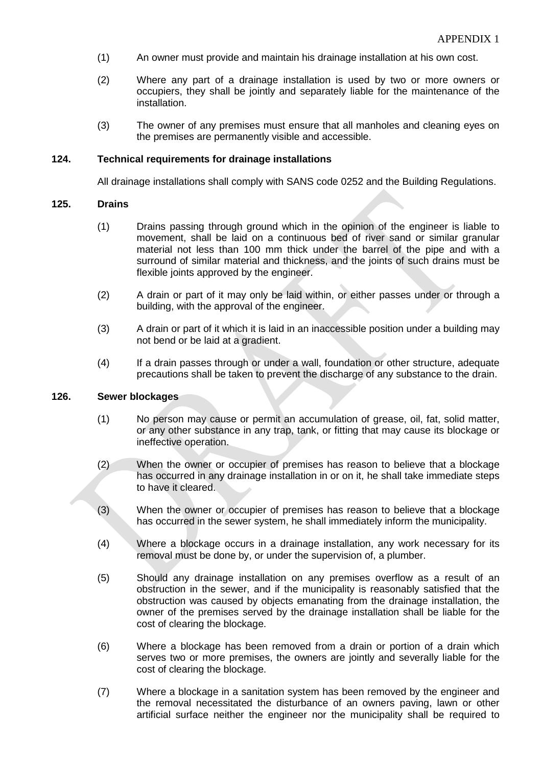- (1) An owner must provide and maintain his drainage installation at his own cost.
- (2) Where any part of a drainage installation is used by two or more owners or occupiers, they shall be jointly and separately liable for the maintenance of the installation.
- (3) The owner of any premises must ensure that all manholes and cleaning eyes on the premises are permanently visible and accessible.

#### **124. Technical requirements for drainage installations**

All drainage installations shall comply with SANS code 0252 and the Building Regulations.

#### **125. Drains**

- (1) Drains passing through ground which in the opinion of the engineer is liable to movement, shall be laid on a continuous bed of river sand or similar granular material not less than 100 mm thick under the barrel of the pipe and with a surround of similar material and thickness, and the joints of such drains must be flexible joints approved by the engineer.
- (2) A drain or part of it may only be laid within, or either passes under or through a building, with the approval of the engineer.
- (3) A drain or part of it which it is laid in an inaccessible position under a building may not bend or be laid at a gradient.
- (4) If a drain passes through or under a wall, foundation or other structure, adequate precautions shall be taken to prevent the discharge of any substance to the drain.

#### **126. Sewer blockages**

- (1) No person may cause or permit an accumulation of grease, oil, fat, solid matter, or any other substance in any trap, tank, or fitting that may cause its blockage or ineffective operation.
- (2) When the owner or occupier of premises has reason to believe that a blockage has occurred in any drainage installation in or on it, he shall take immediate steps to have it cleared.
- (3) When the owner or occupier of premises has reason to believe that a blockage has occurred in the sewer system, he shall immediately inform the municipality.
- (4) Where a blockage occurs in a drainage installation, any work necessary for its removal must be done by, or under the supervision of, a plumber.
- (5) Should any drainage installation on any premises overflow as a result of an obstruction in the sewer, and if the municipality is reasonably satisfied that the obstruction was caused by objects emanating from the drainage installation, the owner of the premises served by the drainage installation shall be liable for the cost of clearing the blockage.
- (6) Where a blockage has been removed from a drain or portion of a drain which serves two or more premises, the owners are jointly and severally liable for the cost of clearing the blockage.
- (7) Where a blockage in a sanitation system has been removed by the engineer and the removal necessitated the disturbance of an owners paving, lawn or other artificial surface neither the engineer nor the municipality shall be required to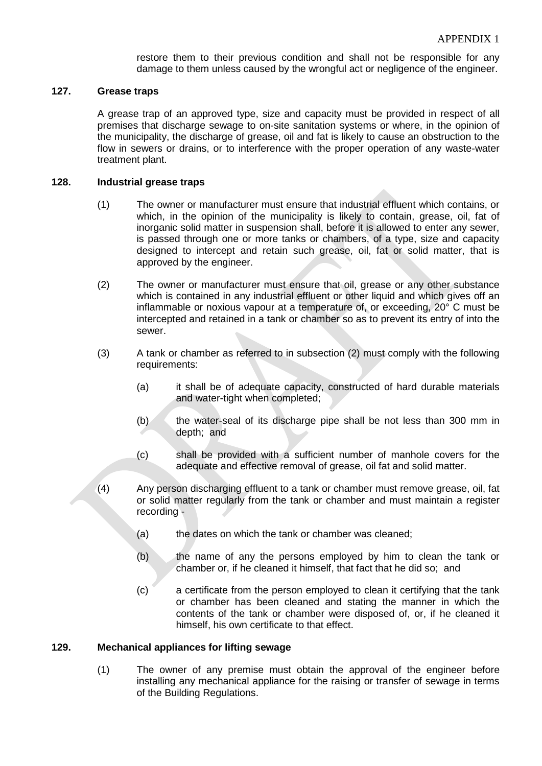restore them to their previous condition and shall not be responsible for any damage to them unless caused by the wrongful act or negligence of the engineer.

#### **127. Grease traps**

A grease trap of an approved type, size and capacity must be provided in respect of all premises that discharge sewage to on-site sanitation systems or where, in the opinion of the municipality, the discharge of grease, oil and fat is likely to cause an obstruction to the flow in sewers or drains, or to interference with the proper operation of any waste-water treatment plant.

#### **128. Industrial grease traps**

- (1) The owner or manufacturer must ensure that industrial effluent which contains, or which, in the opinion of the municipality is likely to contain, grease, oil, fat of inorganic solid matter in suspension shall, before it is allowed to enter any sewer, is passed through one or more tanks or chambers, of a type, size and capacity designed to intercept and retain such grease, oil, fat or solid matter, that is approved by the engineer.
- (2) The owner or manufacturer must ensure that oil, grease or any other substance which is contained in any industrial effluent or other liquid and which gives off an inflammable or noxious vapour at a temperature of, or exceeding, 20° C must be intercepted and retained in a tank or chamber so as to prevent its entry of into the sewer.
- (3) A tank or chamber as referred to in subsection (2) must comply with the following requirements:
	- (a) it shall be of adequate capacity, constructed of hard durable materials and water-tight when completed;
	- (b) the water-seal of its discharge pipe shall be not less than 300 mm in depth; and
	- (c) shall be provided with a sufficient number of manhole covers for the adequate and effective removal of grease, oil fat and solid matter.
- (4) Any person discharging effluent to a tank or chamber must remove grease, oil, fat or solid matter regularly from the tank or chamber and must maintain a register recording -
	- (a) the dates on which the tank or chamber was cleaned;
	- (b) the name of any the persons employed by him to clean the tank or chamber or, if he cleaned it himself, that fact that he did so; and
	- (c) a certificate from the person employed to clean it certifying that the tank or chamber has been cleaned and stating the manner in which the contents of the tank or chamber were disposed of, or, if he cleaned it himself, his own certificate to that effect.

#### **129. Mechanical appliances for lifting sewage**

(1) The owner of any premise must obtain the approval of the engineer before installing any mechanical appliance for the raising or transfer of sewage in terms of the Building Regulations.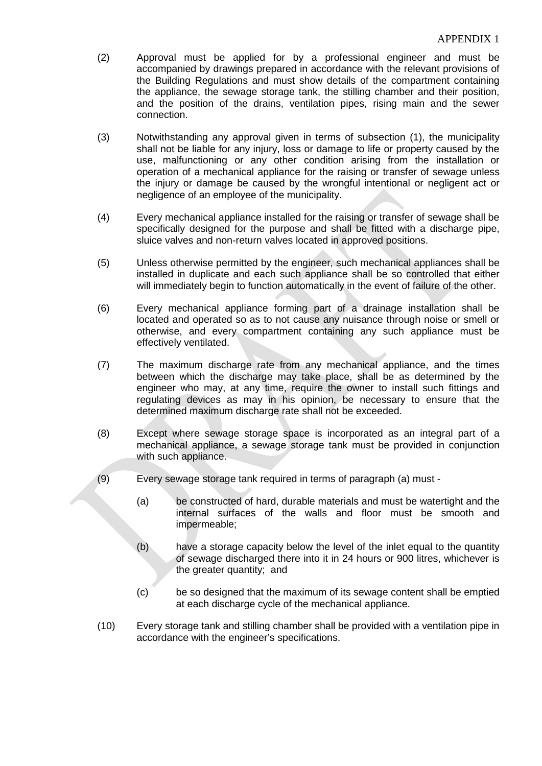- (2) Approval must be applied for by a professional engineer and must be accompanied by drawings prepared in accordance with the relevant provisions of the Building Regulations and must show details of the compartment containing the appliance, the sewage storage tank, the stilling chamber and their position, and the position of the drains, ventilation pipes, rising main and the sewer connection.
- (3) Notwithstanding any approval given in terms of subsection (1), the municipality shall not be liable for any injury, loss or damage to life or property caused by the use, malfunctioning or any other condition arising from the installation or operation of a mechanical appliance for the raising or transfer of sewage unless the injury or damage be caused by the wrongful intentional or negligent act or negligence of an employee of the municipality.
- (4) Every mechanical appliance installed for the raising or transfer of sewage shall be specifically designed for the purpose and shall be fitted with a discharge pipe, sluice valves and non-return valves located in approved positions.
- (5) Unless otherwise permitted by the engineer, such mechanical appliances shall be installed in duplicate and each such appliance shall be so controlled that either will immediately begin to function automatically in the event of failure of the other.
- (6) Every mechanical appliance forming part of a drainage installation shall be located and operated so as to not cause any nuisance through noise or smell or otherwise, and every compartment containing any such appliance must be effectively ventilated.
- (7) The maximum discharge rate from any mechanical appliance, and the times between which the discharge may take place, shall be as determined by the engineer who may, at any time, require the owner to install such fittings and regulating devices as may in his opinion, be necessary to ensure that the determined maximum discharge rate shall not be exceeded.
- (8) Except where sewage storage space is incorporated as an integral part of a mechanical appliance, a sewage storage tank must be provided in conjunction with such appliance.
- (9) Every sewage storage tank required in terms of paragraph (a) must
	- (a) be constructed of hard, durable materials and must be watertight and the internal surfaces of the walls and floor must be smooth and impermeable;
	- (b) have a storage capacity below the level of the inlet equal to the quantity of sewage discharged there into it in 24 hours or 900 litres, whichever is the greater quantity; and
	- (c) be so designed that the maximum of its sewage content shall be emptied at each discharge cycle of the mechanical appliance.
- (10) Every storage tank and stilling chamber shall be provided with a ventilation pipe in accordance with the engineer's specifications.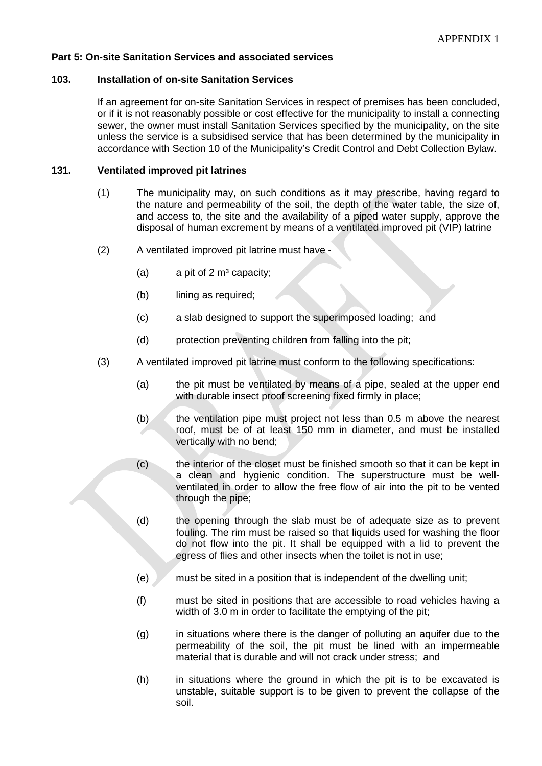#### **Part 5: On-site Sanitation Services and associated services**

#### **103. Installation of on-site Sanitation Services**

If an agreement for on-site Sanitation Services in respect of premises has been concluded, or if it is not reasonably possible or cost effective for the municipality to install a connecting sewer, the owner must install Sanitation Services specified by the municipality, on the site unless the service is a subsidised service that has been determined by the municipality in accordance with Section 10 of the Municipality's Credit Control and Debt Collection Bylaw.

#### **131. Ventilated improved pit latrines**

- (1) The municipality may, on such conditions as it may prescribe, having regard to the nature and permeability of the soil, the depth of the water table, the size of, and access to, the site and the availability of a piped water supply, approve the disposal of human excrement by means of a ventilated improved pit (VIP) latrine
- (2) A ventilated improved pit latrine must have
	- (a) a pit of  $2 \text{ m}^3$  capacity;
	- (b) lining as required;
	- (c) a slab designed to support the superimposed loading; and
	- (d) protection preventing children from falling into the pit;
- (3) A ventilated improved pit latrine must conform to the following specifications:
	- (a) the pit must be ventilated by means of a pipe, sealed at the upper end with durable insect proof screening fixed firmly in place;
	- (b) the ventilation pipe must project not less than  $0.5$  m above the nearest roof, must be of at least 150 mm in diameter, and must be installed vertically with no bend;
	- (c) the interior of the closet must be finished smooth so that it can be kept in a clean and hygienic condition. The superstructure must be wellventilated in order to allow the free flow of air into the pit to be vented through the pipe;
	- (d) the opening through the slab must be of adequate size as to prevent fouling. The rim must be raised so that liquids used for washing the floor do not flow into the pit. It shall be equipped with a lid to prevent the egress of flies and other insects when the toilet is not in use;
	- (e) must be sited in a position that is independent of the dwelling unit;
	- (f) must be sited in positions that are accessible to road vehicles having a width of 3.0 m in order to facilitate the emptying of the pit;
	- (g) in situations where there is the danger of polluting an aquifer due to the permeability of the soil, the pit must be lined with an impermeable material that is durable and will not crack under stress; and
	- (h) in situations where the ground in which the pit is to be excavated is unstable, suitable support is to be given to prevent the collapse of the soil.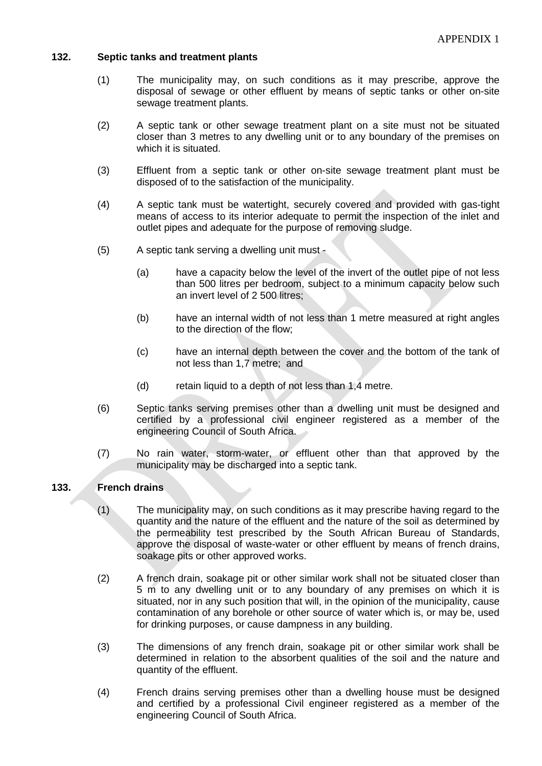#### **132. Septic tanks and treatment plants**

- (1) The municipality may, on such conditions as it may prescribe, approve the disposal of sewage or other effluent by means of septic tanks or other on-site sewage treatment plants.
- (2) A septic tank or other sewage treatment plant on a site must not be situated closer than 3 metres to any dwelling unit or to any boundary of the premises on which it is situated.
- (3) Effluent from a septic tank or other on-site sewage treatment plant must be disposed of to the satisfaction of the municipality.
- (4) A septic tank must be watertight, securely covered and provided with gas-tight means of access to its interior adequate to permit the inspection of the inlet and outlet pipes and adequate for the purpose of removing sludge.
- (5) A septic tank serving a dwelling unit must
	- (a) have a capacity below the level of the invert of the outlet pipe of not less than 500 litres per bedroom, subject to a minimum capacity below such an invert level of 2 500 litres;
	- (b) have an internal width of not less than 1 metre measured at right angles to the direction of the flow;
	- (c) have an internal depth between the cover and the bottom of the tank of not less than 1,7 metre; and
	- (d) retain liquid to a depth of not less than 1,4 metre.
- (6) Septic tanks serving premises other than a dwelling unit must be designed and certified by a professional civil engineer registered as a member of the engineering Council of South Africa.
- (7) No rain water, storm-water, or effluent other than that approved by the municipality may be discharged into a septic tank.

#### **133. French drains**

- (1) The municipality may, on such conditions as it may prescribe having regard to the quantity and the nature of the effluent and the nature of the soil as determined by the permeability test prescribed by the South African Bureau of Standards, approve the disposal of waste-water or other effluent by means of french drains, soakage pits or other approved works.
- (2) A french drain, soakage pit or other similar work shall not be situated closer than 5 m to any dwelling unit or to any boundary of any premises on which it is situated, nor in any such position that will, in the opinion of the municipality, cause contamination of any borehole or other source of water which is, or may be, used for drinking purposes, or cause dampness in any building.
- (3) The dimensions of any french drain, soakage pit or other similar work shall be determined in relation to the absorbent qualities of the soil and the nature and quantity of the effluent.
- (4) French drains serving premises other than a dwelling house must be designed and certified by a professional Civil engineer registered as a member of the engineering Council of South Africa.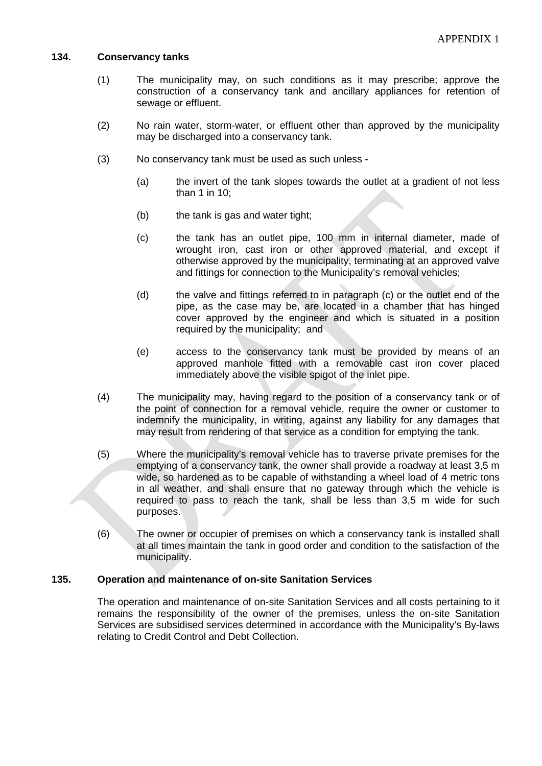#### **134. Conservancy tanks**

- (1) The municipality may, on such conditions as it may prescribe; approve the construction of a conservancy tank and ancillary appliances for retention of sewage or effluent.
- (2) No rain water, storm-water, or effluent other than approved by the municipality may be discharged into a conservancy tank.
- (3) No conservancy tank must be used as such unless
	- (a) the invert of the tank slopes towards the outlet at a gradient of not less than 1 in 10;
	- (b) the tank is gas and water tight;
	- (c) the tank has an outlet pipe, 100 mm in internal diameter, made of wrought iron, cast iron or other approved material, and except if otherwise approved by the municipality, terminating at an approved valve and fittings for connection to the Municipality's removal vehicles;
	- (d) the valve and fittings referred to in paragraph (c) or the outlet end of the pipe, as the case may be, are located in a chamber that has hinged cover approved by the engineer and which is situated in a position required by the municipality; and
	- (e) access to the conservancy tank must be provided by means of an approved manhole fitted with a removable cast iron cover placed immediately above the visible spigot of the inlet pipe.
- (4) The municipality may, having regard to the position of a conservancy tank or of the point of connection for a removal vehicle, require the owner or customer to indemnify the municipality, in writing, against any liability for any damages that may result from rendering of that service as a condition for emptying the tank.
- (5) Where the municipality's removal vehicle has to traverse private premises for the emptying of a conservancy tank, the owner shall provide a roadway at least 3,5 m wide, so hardened as to be capable of withstanding a wheel load of 4 metric tons in all weather, and shall ensure that no gateway through which the vehicle is required to pass to reach the tank, shall be less than 3,5 m wide for such purposes.
- (6) The owner or occupier of premises on which a conservancy tank is installed shall at all times maintain the tank in good order and condition to the satisfaction of the municipality.

#### **135. Operation and maintenance of on-site Sanitation Services**

The operation and maintenance of on-site Sanitation Services and all costs pertaining to it remains the responsibility of the owner of the premises, unless the on-site Sanitation Services are subsidised services determined in accordance with the Municipality's By-laws relating to Credit Control and Debt Collection.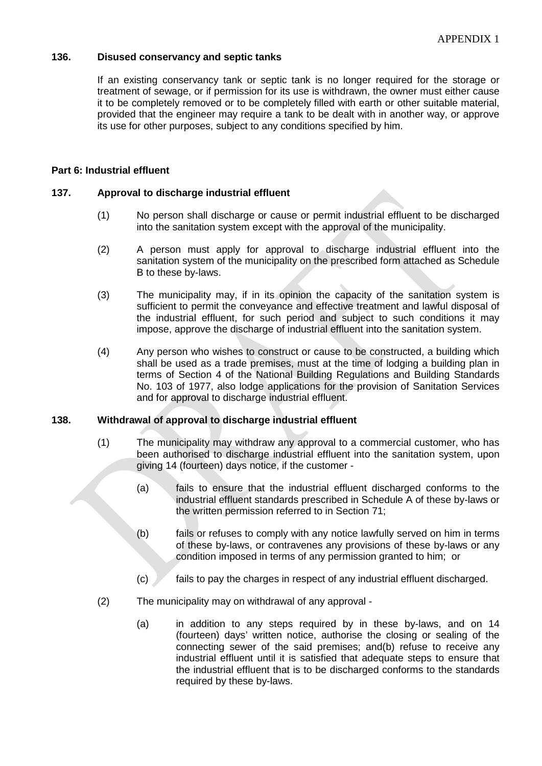## **136. Disused conservancy and septic tanks**

If an existing conservancy tank or septic tank is no longer required for the storage or treatment of sewage, or if permission for its use is withdrawn, the owner must either cause it to be completely removed or to be completely filled with earth or other suitable material, provided that the engineer may require a tank to be dealt with in another way, or approve its use for other purposes, subject to any conditions specified by him.

## **Part 6: Industrial effluent**

#### **137. Approval to discharge industrial effluent**

- (1) No person shall discharge or cause or permit industrial effluent to be discharged into the sanitation system except with the approval of the municipality.
- (2) A person must apply for approval to discharge industrial effluent into the sanitation system of the municipality on the prescribed form attached as Schedule B to these by-laws.
- (3) The municipality may, if in its opinion the capacity of the sanitation system is sufficient to permit the conveyance and effective treatment and lawful disposal of the industrial effluent, for such period and subject to such conditions it may impose, approve the discharge of industrial effluent into the sanitation system.
- (4) Any person who wishes to construct or cause to be constructed, a building which shall be used as a trade premises, must at the time of lodging a building plan in terms of Section 4 of the National Building Regulations and Building Standards No. 103 of 1977, also lodge applications for the provision of Sanitation Services and for approval to discharge industrial effluent.

#### **138. Withdrawal of approval to discharge industrial effluent**

- (1) The municipality may withdraw any approval to a commercial customer, who has been authorised to discharge industrial effluent into the sanitation system, upon giving 14 (fourteen) days notice, if the customer -
	- (a) fails to ensure that the industrial effluent discharged conforms to the industrial effluent standards prescribed in Schedule A of these by-laws or the written permission referred to in Section 71;
	- (b) fails or refuses to comply with any notice lawfully served on him in terms of these by-laws, or contravenes any provisions of these by-laws or any condition imposed in terms of any permission granted to him; or
	- (c) fails to pay the charges in respect of any industrial effluent discharged.
- (2) The municipality may on withdrawal of any approval
	- (a) in addition to any steps required by in these by-laws, and on 14 (fourteen) days' written notice, authorise the closing or sealing of the connecting sewer of the said premises; and(b) refuse to receive any industrial effluent until it is satisfied that adequate steps to ensure that the industrial effluent that is to be discharged conforms to the standards required by these by-laws.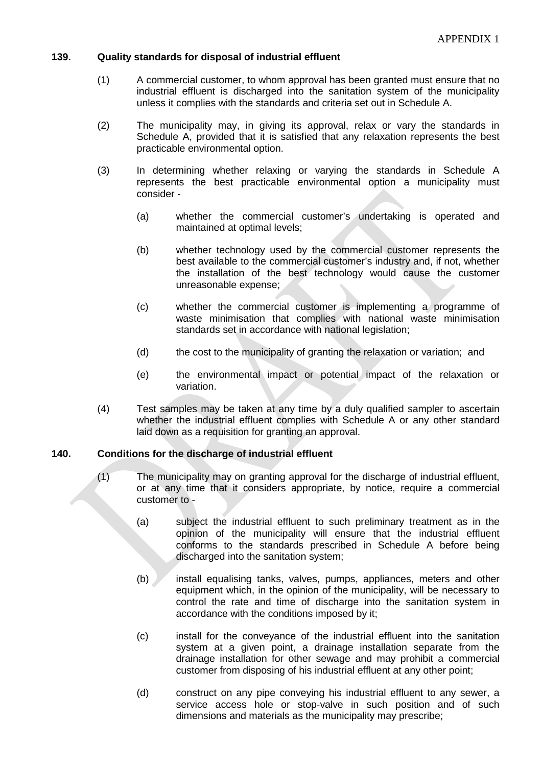#### **139. Quality standards for disposal of industrial effluent**

- (1) A commercial customer, to whom approval has been granted must ensure that no industrial effluent is discharged into the sanitation system of the municipality unless it complies with the standards and criteria set out in Schedule A.
- (2) The municipality may, in giving its approval, relax or vary the standards in Schedule A, provided that it is satisfied that any relaxation represents the best practicable environmental option.
- (3) In determining whether relaxing or varying the standards in Schedule A represents the best practicable environmental option a municipality must consider -
	- (a) whether the commercial customer's undertaking is operated and maintained at optimal levels;
	- (b) whether technology used by the commercial customer represents the best available to the commercial customer's industry and, if not, whether the installation of the best technology would cause the customer unreasonable expense;
	- (c) whether the commercial customer is implementing a programme of waste minimisation that complies with national waste minimisation standards set in accordance with national legislation;
	- (d) the cost to the municipality of granting the relaxation or variation; and
	- (e) the environmental impact or potential impact of the relaxation or variation.
- (4) Test samples may be taken at any time by a duly qualified sampler to ascertain whether the industrial effluent complies with Schedule A or any other standard laid down as a requisition for granting an approval.

#### **140. Conditions for the discharge of industrial effluent**

- (1) The municipality may on granting approval for the discharge of industrial effluent, or at any time that it considers appropriate, by notice, require a commercial customer to -
	- (a) subject the industrial effluent to such preliminary treatment as in the opinion of the municipality will ensure that the industrial effluent conforms to the standards prescribed in Schedule A before being discharged into the sanitation system;
	- (b) install equalising tanks, valves, pumps, appliances, meters and other equipment which, in the opinion of the municipality, will be necessary to control the rate and time of discharge into the sanitation system in accordance with the conditions imposed by it;
	- (c) install for the conveyance of the industrial effluent into the sanitation system at a given point, a drainage installation separate from the drainage installation for other sewage and may prohibit a commercial customer from disposing of his industrial effluent at any other point;
	- (d) construct on any pipe conveying his industrial effluent to any sewer, a service access hole or stop-valve in such position and of such dimensions and materials as the municipality may prescribe;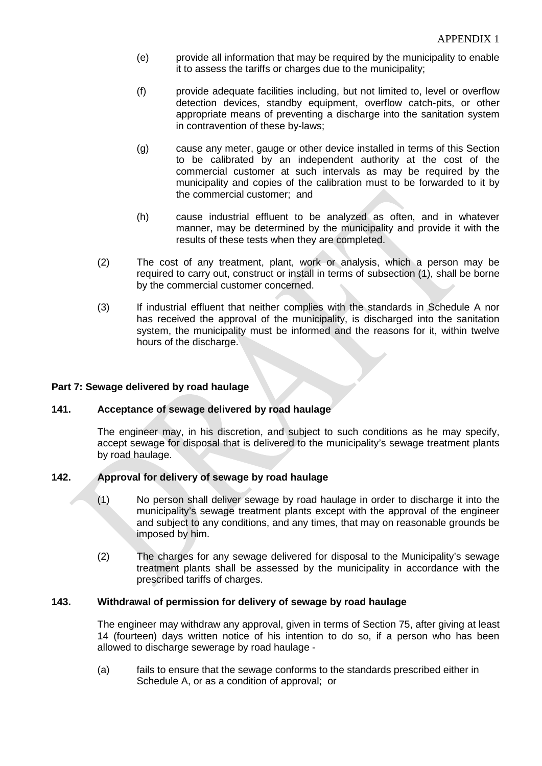- (e) provide all information that may be required by the municipality to enable it to assess the tariffs or charges due to the municipality;
- (f) provide adequate facilities including, but not limited to, level or overflow detection devices, standby equipment, overflow catch-pits, or other appropriate means of preventing a discharge into the sanitation system in contravention of these by-laws;
- (g) cause any meter, gauge or other device installed in terms of this Section to be calibrated by an independent authority at the cost of the commercial customer at such intervals as may be required by the municipality and copies of the calibration must to be forwarded to it by the commercial customer; and
- (h) cause industrial effluent to be analyzed as often, and in whatever manner, may be determined by the municipality and provide it with the results of these tests when they are completed.
- (2) The cost of any treatment, plant, work or analysis, which a person may be required to carry out, construct or install in terms of subsection (1), shall be borne by the commercial customer concerned.
- (3) If industrial effluent that neither complies with the standards in Schedule A nor has received the approval of the municipality, is discharged into the sanitation system, the municipality must be informed and the reasons for it, within twelve hours of the discharge.

## **Part 7: Sewage delivered by road haulage**

### **141. Acceptance of sewage delivered by road haulage**

The engineer may, in his discretion, and subject to such conditions as he may specify, accept sewage for disposal that is delivered to the municipality's sewage treatment plants by road haulage.

### **142. Approval for delivery of sewage by road haulage**

- (1) No person shall deliver sewage by road haulage in order to discharge it into the municipality's sewage treatment plants except with the approval of the engineer and subject to any conditions, and any times, that may on reasonable grounds be imposed by him.
- (2) The charges for any sewage delivered for disposal to the Municipality's sewage treatment plants shall be assessed by the municipality in accordance with the prescribed tariffs of charges.

### **143. Withdrawal of permission for delivery of sewage by road haulage**

The engineer may withdraw any approval, given in terms of Section 75, after giving at least 14 (fourteen) days written notice of his intention to do so, if a person who has been allowed to discharge sewerage by road haulage -

(a) fails to ensure that the sewage conforms to the standards prescribed either in Schedule A, or as a condition of approval; or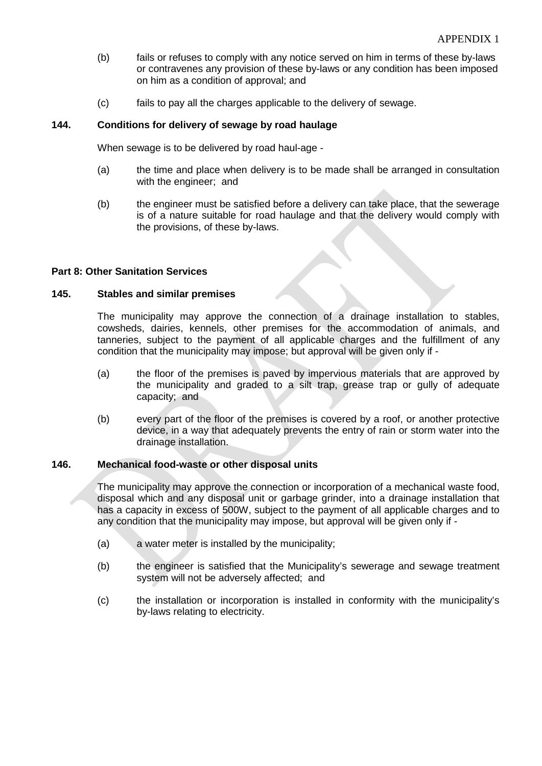- (b) fails or refuses to comply with any notice served on him in terms of these by-laws or contravenes any provision of these by-laws or any condition has been imposed on him as a condition of approval; and
- (c) fails to pay all the charges applicable to the delivery of sewage.

## **144. Conditions for delivery of sewage by road haulage**

When sewage is to be delivered by road haul-age -

- (a) the time and place when delivery is to be made shall be arranged in consultation with the engineer; and
- (b) the engineer must be satisfied before a delivery can take place, that the sewerage is of a nature suitable for road haulage and that the delivery would comply with the provisions, of these by-laws.

### **Part 8: Other Sanitation Services**

#### **145. Stables and similar premises**

The municipality may approve the connection of a drainage installation to stables, cowsheds, dairies, kennels, other premises for the accommodation of animals, and tanneries, subject to the payment of all applicable charges and the fulfillment of any condition that the municipality may impose; but approval will be given only if -

- (a) the floor of the premises is paved by impervious materials that are approved by the municipality and graded to a silt trap, grease trap or gully of adequate capacity; and
- (b) every part of the floor of the premises is covered by a roof, or another protective device, in a way that adequately prevents the entry of rain or storm water into the drainage installation.

### **146. Mechanical food-waste or other disposal units**

The municipality may approve the connection or incorporation of a mechanical waste food, disposal which and any disposal unit or garbage grinder, into a drainage installation that has a capacity in excess of 500W, subject to the payment of all applicable charges and to any condition that the municipality may impose, but approval will be given only if -

- (a) a water meter is installed by the municipality;
- (b) the engineer is satisfied that the Municipality's sewerage and sewage treatment system will not be adversely affected; and
- (c) the installation or incorporation is installed in conformity with the municipality's by-laws relating to electricity.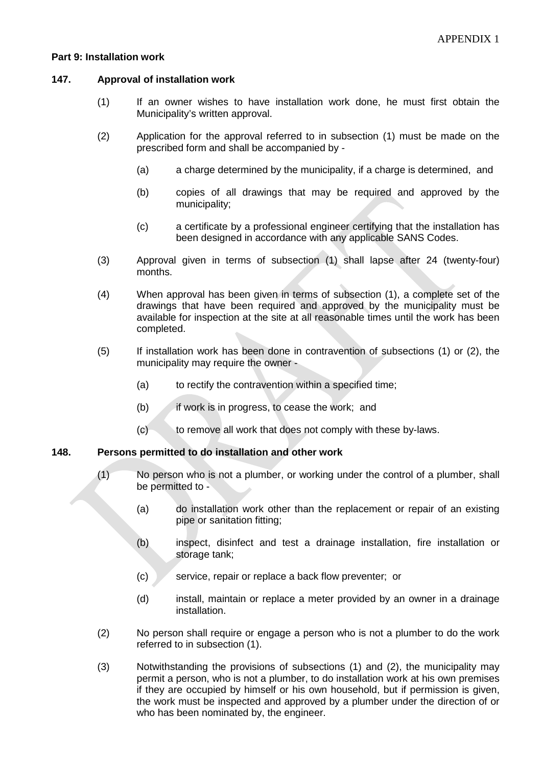#### **Part 9: Installation work**

#### **147. Approval of installation work**

- (1) If an owner wishes to have installation work done, he must first obtain the Municipality's written approval.
- (2) Application for the approval referred to in subsection (1) must be made on the prescribed form and shall be accompanied by -
	- (a) a charge determined by the municipality, if a charge is determined, and
	- (b) copies of all drawings that may be required and approved by the municipality;
	- (c) a certificate by a professional engineer certifying that the installation has been designed in accordance with any applicable SANS Codes.
- (3) Approval given in terms of subsection (1) shall lapse after 24 (twenty-four) months.
- (4) When approval has been given in terms of subsection (1), a complete set of the drawings that have been required and approved by the municipality must be available for inspection at the site at all reasonable times until the work has been completed.
- (5) If installation work has been done in contravention of subsections (1) or (2), the municipality may require the owner -
	- (a) to rectify the contravention within a specified time;
	- (b) if work is in progress, to cease the work; and
	- (c) to remove all work that does not comply with these by-laws.

#### **148. Persons permitted to do installation and other work**

- (1) No person who is not a plumber, or working under the control of a plumber, shall be permitted to -
	- (a) do installation work other than the replacement or repair of an existing pipe or sanitation fitting;
	- (b) inspect, disinfect and test a drainage installation, fire installation or storage tank;
	- (c) service, repair or replace a back flow preventer; or
	- (d) install, maintain or replace a meter provided by an owner in a drainage installation.
- (2) No person shall require or engage a person who is not a plumber to do the work referred to in subsection (1).
- (3) Notwithstanding the provisions of subsections (1) and (2), the municipality may permit a person, who is not a plumber, to do installation work at his own premises if they are occupied by himself or his own household, but if permission is given, the work must be inspected and approved by a plumber under the direction of or who has been nominated by, the engineer.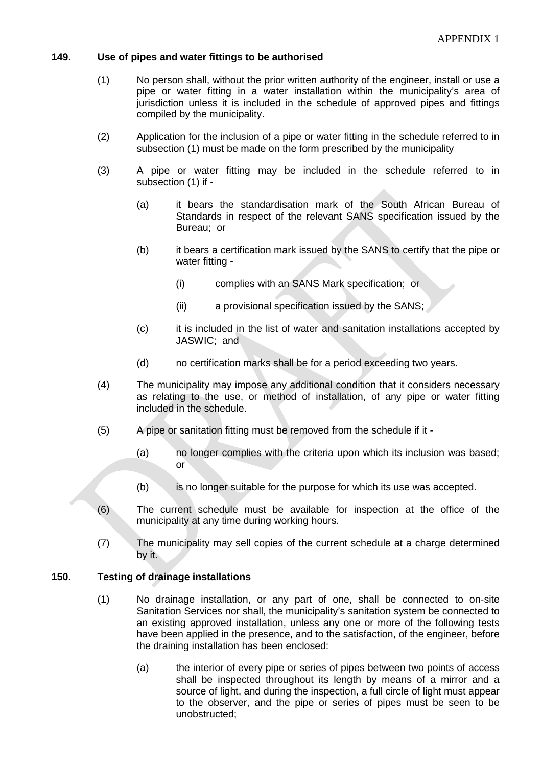#### **149. Use of pipes and water fittings to be authorised**

- (1) No person shall, without the prior written authority of the engineer, install or use a pipe or water fitting in a water installation within the municipality's area of jurisdiction unless it is included in the schedule of approved pipes and fittings compiled by the municipality.
- (2) Application for the inclusion of a pipe or water fitting in the schedule referred to in subsection (1) must be made on the form prescribed by the municipality
- (3) A pipe or water fitting may be included in the schedule referred to in subsection (1) if -
	- (a) it bears the standardisation mark of the South African Bureau of Standards in respect of the relevant SANS specification issued by the Bureau; or
	- (b) it bears a certification mark issued by the SANS to certify that the pipe or water fitting -
		- (i) complies with an SANS Mark specification; or
		- (ii) a provisional specification issued by the SANS;
	- (c) it is included in the list of water and sanitation installations accepted by JASWIC; and
	- (d) no certification marks shall be for a period exceeding two years.
- (4) The municipality may impose any additional condition that it considers necessary as relating to the use, or method of installation, of any pipe or water fitting included in the schedule.
- (5) A pipe or sanitation fitting must be removed from the schedule if it
	- (a) no longer complies with the criteria upon which its inclusion was based; or
	- (b) is no longer suitable for the purpose for which its use was accepted.
- (6) The current schedule must be available for inspection at the office of the municipality at any time during working hours.
- (7) The municipality may sell copies of the current schedule at a charge determined by it.

#### **150. Testing of drainage installations**

- (1) No drainage installation, or any part of one, shall be connected to on-site Sanitation Services nor shall, the municipality's sanitation system be connected to an existing approved installation, unless any one or more of the following tests have been applied in the presence, and to the satisfaction, of the engineer, before the draining installation has been enclosed:
	- (a) the interior of every pipe or series of pipes between two points of access shall be inspected throughout its length by means of a mirror and a source of light, and during the inspection, a full circle of light must appear to the observer, and the pipe or series of pipes must be seen to be unobstructed;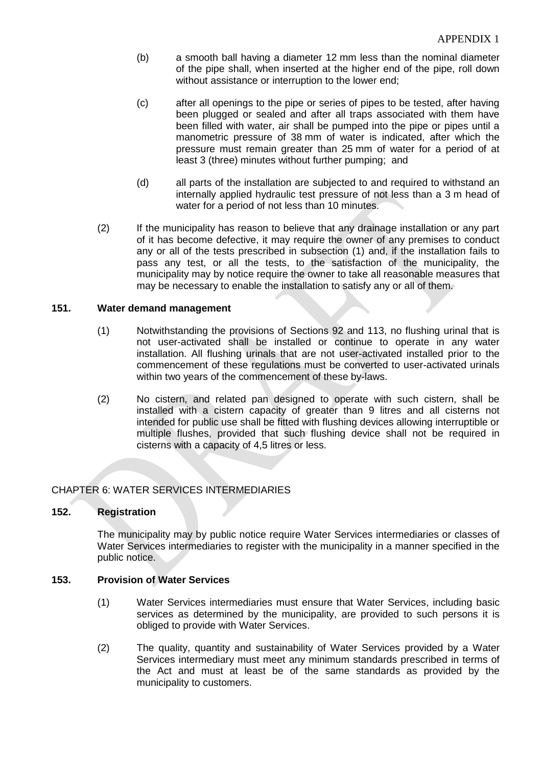- (b) a smooth ball having a diameter 12 mm less than the nominal diameter of the pipe shall, when inserted at the higher end of the pipe, roll down without assistance or interruption to the lower end;
- (c) after all openings to the pipe or series of pipes to be tested, after having been plugged or sealed and after all traps associated with them have been filled with water, air shall be pumped into the pipe or pipes until a manometric pressure of 38 mm of water is indicated, after which the pressure must remain greater than 25 mm of water for a period of at least 3 (three) minutes without further pumping; and
- (d) all parts of the installation are subjected to and required to withstand an internally applied hydraulic test pressure of not less than a 3 m head of water for a period of not less than 10 minutes.
- (2) If the municipality has reason to believe that any drainage installation or any part of it has become defective, it may require the owner of any premises to conduct any or all of the tests prescribed in subsection (1) and, if the installation fails to pass any test, or all the tests, to the satisfaction of the municipality, the municipality may by notice require the owner to take all reasonable measures that may be necessary to enable the installation to satisfy any or all of them.

#### **151. Water demand management**

- (1) Notwithstanding the provisions of Sections 92 and 113, no flushing urinal that is not user-activated shall be installed or continue to operate in any water installation. All flushing urinals that are not user-activated installed prior to the commencement of these regulations must be converted to user-activated urinals within two years of the commencement of these by-laws.
- (2) No cistern, and related pan designed to operate with such cistern, shall be installed with a cistern capacity of greater than 9 litres and all cisterns not intended for public use shall be fitted with flushing devices allowing interruptible or multiple flushes, provided that such flushing device shall not be required in cisterns with a capacity of 4,5 litres or less.

### CHAPTER 6: WATER SERVICES INTERMEDIARIES

### **152. Registration**

The municipality may by public notice require Water Services intermediaries or classes of Water Services intermediaries to register with the municipality in a manner specified in the public notice.

#### **153. Provision of Water Services**

- (1) Water Services intermediaries must ensure that Water Services, including basic services as determined by the municipality, are provided to such persons it is obliged to provide with Water Services.
- (2) The quality, quantity and sustainability of Water Services provided by a Water Services intermediary must meet any minimum standards prescribed in terms of the Act and must at least be of the same standards as provided by the municipality to customers.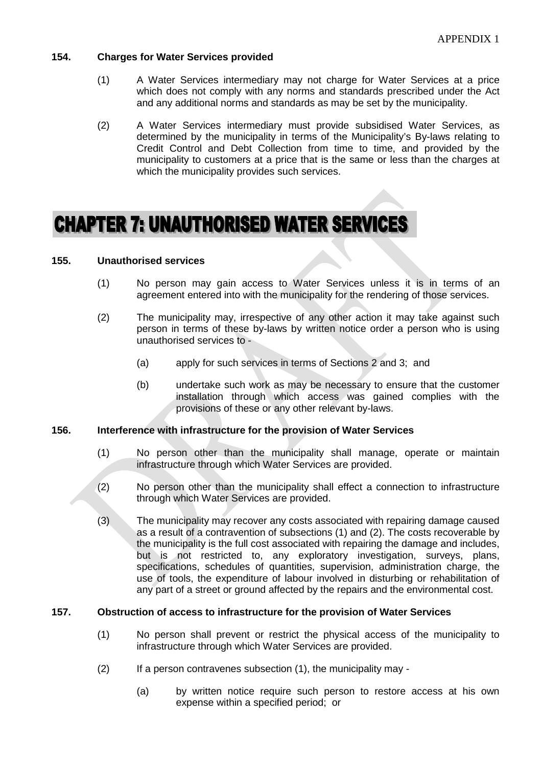### **154. Charges for Water Services provided**

- (1) A Water Services intermediary may not charge for Water Services at a price which does not comply with any norms and standards prescribed under the Act and any additional norms and standards as may be set by the municipality.
- (2) A Water Services intermediary must provide subsidised Water Services, as determined by the municipality in terms of the Municipality's By-laws relating to Credit Control and Debt Collection from time to time, and provided by the municipality to customers at a price that is the same or less than the charges at which the municipality provides such services.

# **CHAPTER 7: UNAUTHORISED WATER SERVICES**

#### **155. Unauthorised services**

- (1) No person may gain access to Water Services unless it is in terms of an agreement entered into with the municipality for the rendering of those services.
- (2) The municipality may, irrespective of any other action it may take against such person in terms of these by-laws by written notice order a person who is using unauthorised services to -
	- (a) apply for such services in terms of Sections 2 and 3; and
	- (b) undertake such work as may be necessary to ensure that the customer installation through which access was gained complies with the provisions of these or any other relevant by-laws.

#### **156. Interference with infrastructure for the provision of Water Services**

- (1) No person other than the municipality shall manage, operate or maintain infrastructure through which Water Services are provided.
- (2) No person other than the municipality shall effect a connection to infrastructure through which Water Services are provided.
- (3) The municipality may recover any costs associated with repairing damage caused as a result of a contravention of subsections (1) and (2). The costs recoverable by the municipality is the full cost associated with repairing the damage and includes, but is not restricted to, any exploratory investigation, surveys, plans, specifications, schedules of quantities, supervision, administration charge, the use of tools, the expenditure of labour involved in disturbing or rehabilitation of any part of a street or ground affected by the repairs and the environmental cost.

#### **157. Obstruction of access to infrastructure for the provision of Water Services**

- (1) No person shall prevent or restrict the physical access of the municipality to infrastructure through which Water Services are provided.
- $(2)$  If a person contravenes subsection  $(1)$ , the municipality may -
	- (a) by written notice require such person to restore access at his own expense within a specified period; or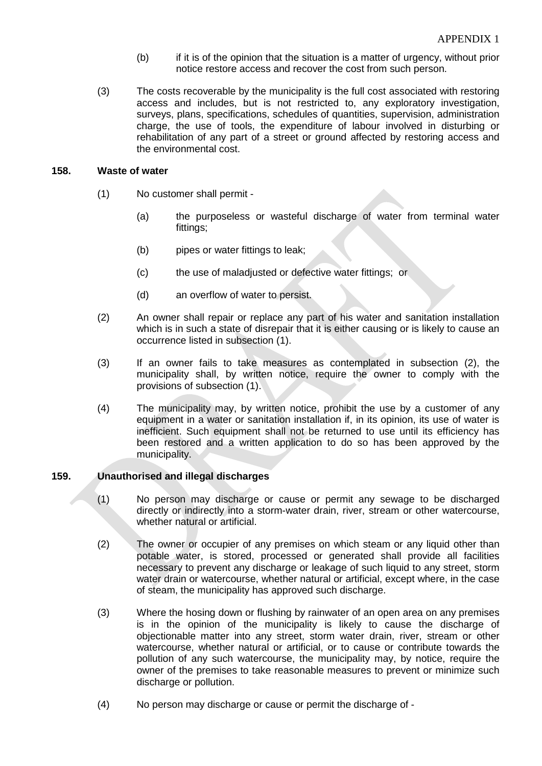- (b) if it is of the opinion that the situation is a matter of urgency, without prior notice restore access and recover the cost from such person.
- (3) The costs recoverable by the municipality is the full cost associated with restoring access and includes, but is not restricted to, any exploratory investigation, surveys, plans, specifications, schedules of quantities, supervision, administration charge, the use of tools, the expenditure of labour involved in disturbing or rehabilitation of any part of a street or ground affected by restoring access and the environmental cost.

#### **158. Waste of water**

- (1) No customer shall permit
	- (a) the purposeless or wasteful discharge of water from terminal water fittings;
	- (b) pipes or water fittings to leak;
	- (c) the use of maladjusted or defective water fittings; or
	- (d) an overflow of water to persist.
- (2) An owner shall repair or replace any part of his water and sanitation installation which is in such a state of disrepair that it is either causing or is likely to cause an occurrence listed in subsection (1).
- (3) If an owner fails to take measures as contemplated in subsection (2), the municipality shall, by written notice, require the owner to comply with the provisions of subsection (1).
- (4) The municipality may, by written notice, prohibit the use by a customer of any equipment in a water or sanitation installation if, in its opinion, its use of water is inefficient. Such equipment shall not be returned to use until its efficiency has been restored and a written application to do so has been approved by the municipality.

### **159. Unauthorised and illegal discharges**

- (1) No person may discharge or cause or permit any sewage to be discharged directly or indirectly into a storm-water drain, river, stream or other watercourse, whether natural or artificial.
- (2) The owner or occupier of any premises on which steam or any liquid other than potable water, is stored, processed or generated shall provide all facilities necessary to prevent any discharge or leakage of such liquid to any street, storm water drain or watercourse, whether natural or artificial, except where, in the case of steam, the municipality has approved such discharge.
- (3) Where the hosing down or flushing by rainwater of an open area on any premises is in the opinion of the municipality is likely to cause the discharge of objectionable matter into any street, storm water drain, river, stream or other watercourse, whether natural or artificial, or to cause or contribute towards the pollution of any such watercourse, the municipality may, by notice, require the owner of the premises to take reasonable measures to prevent or minimize such discharge or pollution.
- (4) No person may discharge or cause or permit the discharge of -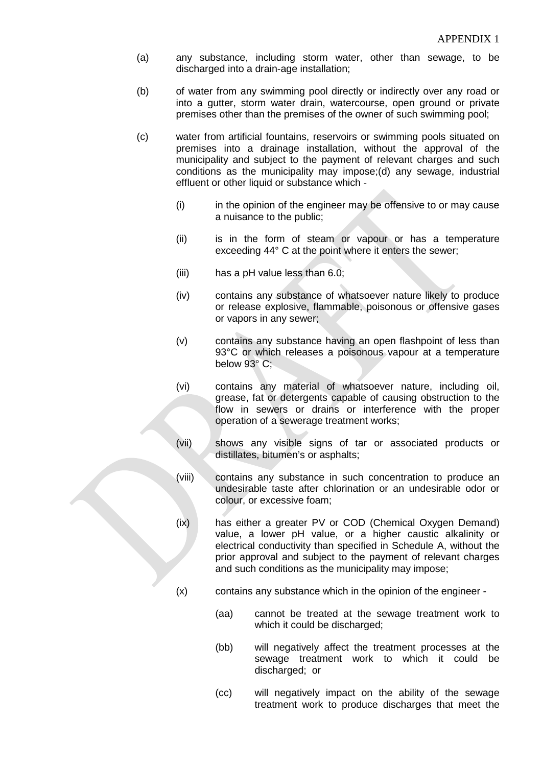- (a) any substance, including storm water, other than sewage, to be discharged into a drain-age installation;
- (b) of water from any swimming pool directly or indirectly over any road or into a gutter, storm water drain, watercourse, open ground or private premises other than the premises of the owner of such swimming pool;
- (c) water from artificial fountains, reservoirs or swimming pools situated on premises into a drainage installation, without the approval of the municipality and subject to the payment of relevant charges and such conditions as the municipality may impose;(d) any sewage, industrial effluent or other liquid or substance which -
	- (i) in the opinion of the engineer may be offensive to or may cause a nuisance to the public;
	- (ii) is in the form of steam or vapour or has a temperature exceeding 44° C at the point where it enters the sewer;
	- (iii) has a pH value less than 6.0;
	- (iv) contains any substance of whatsoever nature likely to produce or release explosive, flammable, poisonous or offensive gases or vapors in any sewer;
	- (v) contains any substance having an open flashpoint of less than 93°C or which releases a poisonous vapour at a temperature below 93° C;
	- (vi) contains any material of whatsoever nature, including oil, grease, fat or detergents capable of causing obstruction to the flow in sewers or drains or interference with the proper operation of a sewerage treatment works;
	- (vii) shows any visible signs of tar or associated products or distillates, bitumen's or asphalts;
	- (viii) contains any substance in such concentration to produce an undesirable taste after chlorination or an undesirable odor or colour, or excessive foam;
	- (ix) has either a greater PV or COD (Chemical Oxygen Demand) value, a lower pH value, or a higher caustic alkalinity or electrical conductivity than specified in Schedule A, without the prior approval and subject to the payment of relevant charges and such conditions as the municipality may impose;
	- (x) contains any substance which in the opinion of the engineer
		- (aa) cannot be treated at the sewage treatment work to which it could be discharged;
		- (bb) will negatively affect the treatment processes at the sewage treatment work to which it could be discharged; or
		- (cc) will negatively impact on the ability of the sewage treatment work to produce discharges that meet the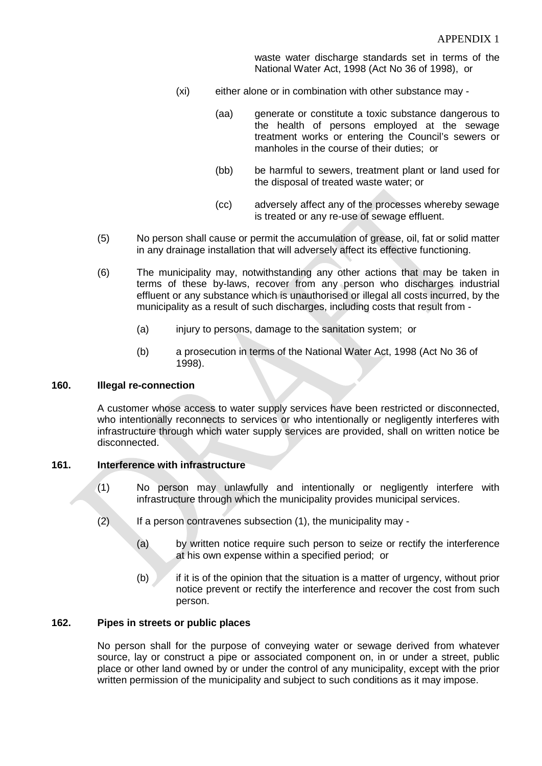waste water discharge standards set in terms of the National Water Act, 1998 (Act No 36 of 1998), or

- (xi) either alone or in combination with other substance may
	- (aa) generate or constitute a toxic substance dangerous to the health of persons employed at the sewage treatment works or entering the Council's sewers or manholes in the course of their duties; or
	- (bb) be harmful to sewers, treatment plant or land used for the disposal of treated waste water; or
	- (cc) adversely affect any of the processes whereby sewage is treated or any re-use of sewage effluent.
- (5) No person shall cause or permit the accumulation of grease, oil, fat or solid matter in any drainage installation that will adversely affect its effective functioning.
- (6) The municipality may, notwithstanding any other actions that may be taken in terms of these by-laws, recover from any person who discharges industrial effluent or any substance which is unauthorised or illegal all costs incurred, by the municipality as a result of such discharges, including costs that result from -
	- (a) injury to persons, damage to the sanitation system; or
	- (b) a prosecution in terms of the National Water Act, 1998 (Act No 36 of 1998).

# **160. Illegal re-connection**

A customer whose access to water supply services have been restricted or disconnected, who intentionally reconnects to services or who intentionally or negligently interferes with infrastructure through which water supply services are provided, shall on written notice be disconnected.

#### **161. Interference with infrastructure**

- (1) No person may unlawfully and intentionally or negligently interfere with infrastructure through which the municipality provides municipal services.
- (2) If a person contravenes subsection (1), the municipality may
	- (a) by written notice require such person to seize or rectify the interference at his own expense within a specified period; or
	- (b)  $\mathbb{Z}$  if it is of the opinion that the situation is a matter of urgency, without prior notice prevent or rectify the interference and recover the cost from such person.

#### **162. Pipes in streets or public places**

No person shall for the purpose of conveying water or sewage derived from whatever source, lay or construct a pipe or associated component on, in or under a street, public place or other land owned by or under the control of any municipality, except with the prior written permission of the municipality and subject to such conditions as it may impose.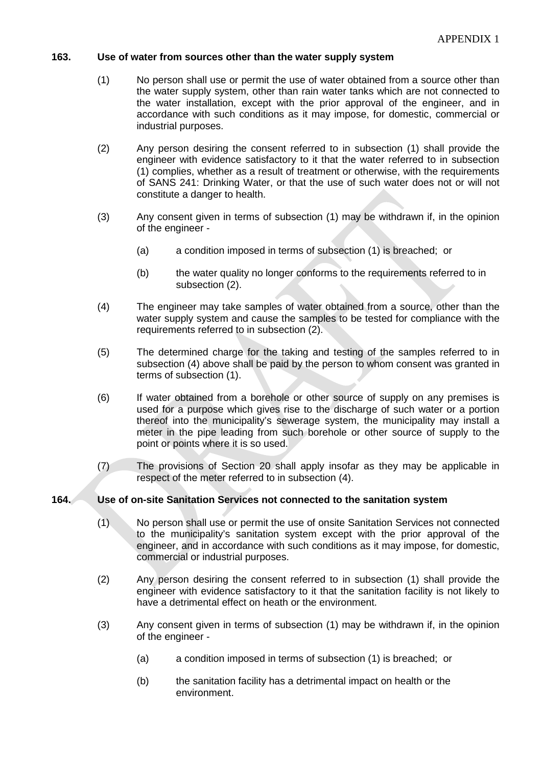## **163. Use of water from sources other than the water supply system**

- (1) No person shall use or permit the use of water obtained from a source other than the water supply system, other than rain water tanks which are not connected to the water installation, except with the prior approval of the engineer, and in accordance with such conditions as it may impose, for domestic, commercial or industrial purposes.
- (2) Any person desiring the consent referred to in subsection (1) shall provide the engineer with evidence satisfactory to it that the water referred to in subsection (1) complies, whether as a result of treatment or otherwise, with the requirements of SANS 241: Drinking Water, or that the use of such water does not or will not constitute a danger to health.
- (3) Any consent given in terms of subsection (1) may be withdrawn if, in the opinion of the engineer -
	- (a) a condition imposed in terms of subsection (1) is breached; or
	- (b) the water quality no longer conforms to the requirements referred to in subsection (2).
- (4) The engineer may take samples of water obtained from a source, other than the water supply system and cause the samples to be tested for compliance with the requirements referred to in subsection (2).
- (5) The determined charge for the taking and testing of the samples referred to in subsection (4) above shall be paid by the person to whom consent was granted in terms of subsection (1).
- (6) If water obtained from a borehole or other source of supply on any premises is used for a purpose which gives rise to the discharge of such water or a portion thereof into the municipality's sewerage system, the municipality may install a meter in the pipe leading from such borehole or other source of supply to the point or points where it is so used.
- (7) The provisions of Section 20 shall apply insofar as they may be applicable in respect of the meter referred to in subsection (4).

### **164. Use of on-site Sanitation Services not connected to the sanitation system**

- (1) No person shall use or permit the use of onsite Sanitation Services not connected to the municipality's sanitation system except with the prior approval of the engineer, and in accordance with such conditions as it may impose, for domestic, commercial or industrial purposes.
- (2) Any person desiring the consent referred to in subsection (1) shall provide the engineer with evidence satisfactory to it that the sanitation facility is not likely to have a detrimental effect on heath or the environment.
- (3) Any consent given in terms of subsection (1) may be withdrawn if, in the opinion of the engineer -
	- (a) a condition imposed in terms of subsection (1) is breached; or
	- (b) the sanitation facility has a detrimental impact on health or the environment.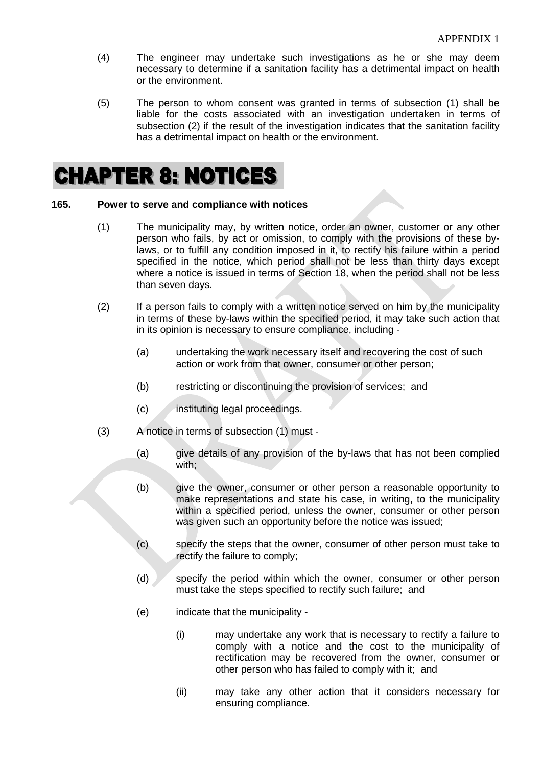- (4) The engineer may undertake such investigations as he or she may deem necessary to determine if a sanitation facility has a detrimental impact on health or the environment.
- (5) The person to whom consent was granted in terms of subsection (1) shall be liable for the costs associated with an investigation undertaken in terms of subsection (2) if the result of the investigation indicates that the sanitation facility has a detrimental impact on health or the environment.

# **CHAPTER 8: NOTICES**

#### **165. Power to serve and compliance with notices**

- (1) The municipality may, by written notice, order an owner, customer or any other person who fails, by act or omission, to comply with the provisions of these bylaws, or to fulfill any condition imposed in it, to rectify his failure within a period specified in the notice, which period shall not be less than thirty days except where a notice is issued in terms of Section 18, when the period shall not be less than seven days.
- (2) If a person fails to comply with a written notice served on him by the municipality in terms of these by-laws within the specified period, it may take such action that in its opinion is necessary to ensure compliance, including -
	- (a) undertaking the work necessary itself and recovering the cost of such action or work from that owner, consumer or other person;
	- (b) restricting or discontinuing the provision of services; and
	- (c) instituting legal proceedings.
- (3) A notice in terms of subsection (1) must
	- (a) give details of any provision of the by-laws that has not been complied with;
	- (b) give the owner, consumer or other person a reasonable opportunity to make representations and state his case, in writing, to the municipality within a specified period, unless the owner, consumer or other person was given such an opportunity before the notice was issued;
	- (c) specify the steps that the owner, consumer of other person must take to rectify the failure to comply;
	- (d) specify the period within which the owner, consumer or other person must take the steps specified to rectify such failure; and
	- (e) indicate that the municipality
		- (i) may undertake any work that is necessary to rectify a failure to comply with a notice and the cost to the municipality of rectification may be recovered from the owner, consumer or other person who has failed to comply with it; and
		- (ii) may take any other action that it considers necessary for ensuring compliance.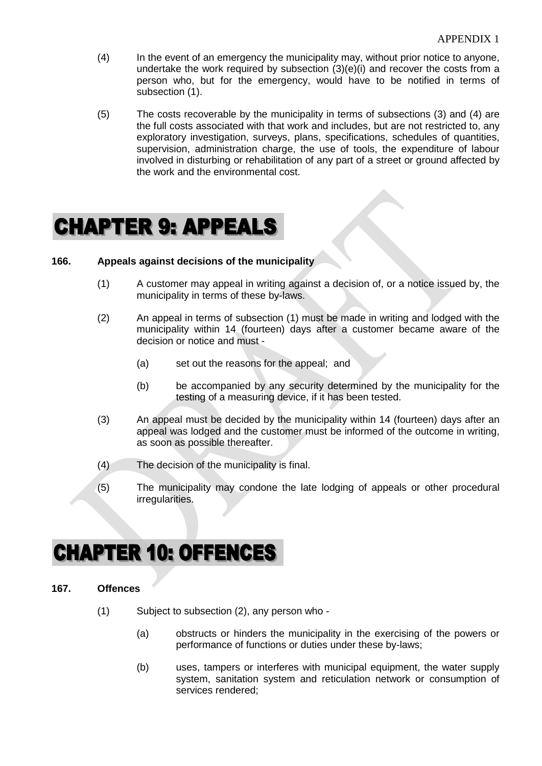- (4) In the event of an emergency the municipality may, without prior notice to anyone, undertake the work required by subsection  $(3)(e)(i)$  and recover the costs from a person who, but for the emergency, would have to be notified in terms of subsection (1).
- (5) The costs recoverable by the municipality in terms of subsections (3) and (4) are the full costs associated with that work and includes, but are not restricted to, any exploratory investigation, surveys, plans, specifications, schedules of quantities, supervision, administration charge, the use of tools, the expenditure of labour involved in disturbing or rehabilitation of any part of a street or ground affected by the work and the environmental cost.

# **CHAPTER 9: APPEALS**

#### **166. Appeals against decisions of the municipality**

- (1) A customer may appeal in writing against a decision of, or a notice issued by, the municipality in terms of these by-laws.
- (2) An appeal in terms of subsection (1) must be made in writing and lodged with the municipality within 14 (fourteen) days after a customer became aware of the decision or notice and must -
	- (a) set out the reasons for the appeal; and
	- (b) be accompanied by any security determined by the municipality for the testing of a measuring device, if it has been tested.
- (3) An appeal must be decided by the municipality within 14 (fourteen) days after an appeal was lodged and the customer must be informed of the outcome in writing, as soon as possible thereafter.
- (4) The decision of the municipality is final.
- (5) The municipality may condone the late lodging of appeals or other procedural irregularities.

# **CHAPTER 10: OFFENCES**

### **167. Offences**

- (1) Subject to subsection (2), any person who
	- (a) obstructs or hinders the municipality in the exercising of the powers or performance of functions or duties under these by-laws;
	- (b) uses, tampers or interferes with municipal equipment, the water supply system, sanitation system and reticulation network or consumption of services rendered;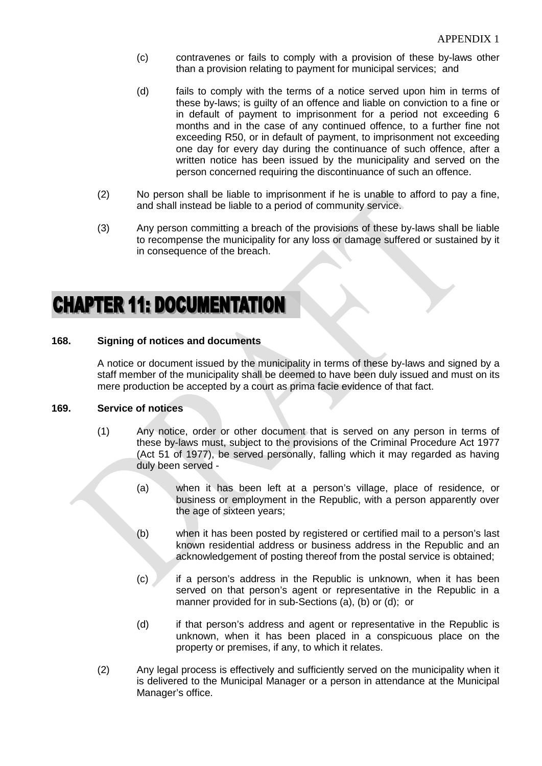- (c) contravenes or fails to comply with a provision of these by-laws other than a provision relating to payment for municipal services; and
- (d) fails to comply with the terms of a notice served upon him in terms of these by-laws; is guilty of an offence and liable on conviction to a fine or in default of payment to imprisonment for a period not exceeding 6 months and in the case of any continued offence, to a further fine not exceeding R50, or in default of payment, to imprisonment not exceeding one day for every day during the continuance of such offence, after a written notice has been issued by the municipality and served on the person concerned requiring the discontinuance of such an offence.
- (2) No person shall be liable to imprisonment if he is unable to afford to pay a fine, and shall instead be liable to a period of community service.
- (3) Any person committing a breach of the provisions of these by-laws shall be liable to recompense the municipality for any loss or damage suffered or sustained by it in consequence of the breach.

# **CHAPTER 11: DOCUMENTATION**

### **168. Signing of notices and documents**

A notice or document issued by the municipality in terms of these by-laws and signed by a staff member of the municipality shall be deemed to have been duly issued and must on its mere production be accepted by a court as prima facie evidence of that fact.

#### **169. Service of notices**

- (1) Any notice, order or other document that is served on any person in terms of these by-laws must, subject to the provisions of the Criminal Procedure Act 1977 (Act 51 of 1977), be served personally, falling which it may regarded as having duly been served -
	- (a) when it has been left at a person's village, place of residence, or business or employment in the Republic, with a person apparently over the age of sixteen years;
	- (b) when it has been posted by registered or certified mail to a person's last known residential address or business address in the Republic and an acknowledgement of posting thereof from the postal service is obtained;
	- (c) if a person's address in the Republic is unknown, when it has been served on that person's agent or representative in the Republic in a manner provided for in sub-Sections (a), (b) or (d); or
	- (d) if that person's address and agent or representative in the Republic is unknown, when it has been placed in a conspicuous place on the property or premises, if any, to which it relates.
- (2) Any legal process is effectively and sufficiently served on the municipality when it is delivered to the Municipal Manager or a person in attendance at the Municipal Manager's office.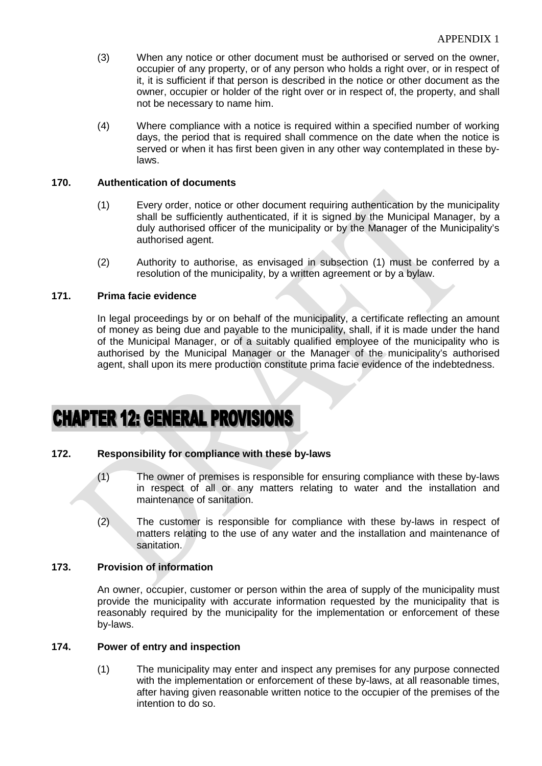- (3) When any notice or other document must be authorised or served on the owner, occupier of any property, or of any person who holds a right over, or in respect of it, it is sufficient if that person is described in the notice or other document as the owner, occupier or holder of the right over or in respect of, the property, and shall not be necessary to name him.
- (4) Where compliance with a notice is required within a specified number of working days, the period that is required shall commence on the date when the notice is served or when it has first been given in any other way contemplated in these bylaws.

#### **170. Authentication of documents**

- (1) Every order, notice or other document requiring authentication by the municipality shall be sufficiently authenticated, if it is signed by the Municipal Manager, by a duly authorised officer of the municipality or by the Manager of the Municipality's authorised agent.
- (2) Authority to authorise, as envisaged in subsection (1) must be conferred by a resolution of the municipality, by a written agreement or by a bylaw.

### **171. Prima facie evidence**

In legal proceedings by or on behalf of the municipality, a certificate reflecting an amount of money as being due and payable to the municipality, shall, if it is made under the hand of the Municipal Manager, or of a suitably qualified employee of the municipality who is authorised by the Municipal Manager or the Manager of the municipality's authorised agent, shall upon its mere production constitute prima facie evidence of the indebtedness.

# **CHAPTER 12: GENERAL PROVISIONS**

#### **172. Responsibility for compliance with these by-laws**

- (1) The owner of premises is responsible for ensuring compliance with these by-laws in respect of all or any matters relating to water and the installation and maintenance of sanitation.
- (2) The customer is responsible for compliance with these by-laws in respect of matters relating to the use of any water and the installation and maintenance of sanitation.

#### **173. Provision of information**

An owner, occupier, customer or person within the area of supply of the municipality must provide the municipality with accurate information requested by the municipality that is reasonably required by the municipality for the implementation or enforcement of these by-laws.

#### **174. Power of entry and inspection**

(1) The municipality may enter and inspect any premises for any purpose connected with the implementation or enforcement of these by-laws, at all reasonable times, after having given reasonable written notice to the occupier of the premises of the intention to do so.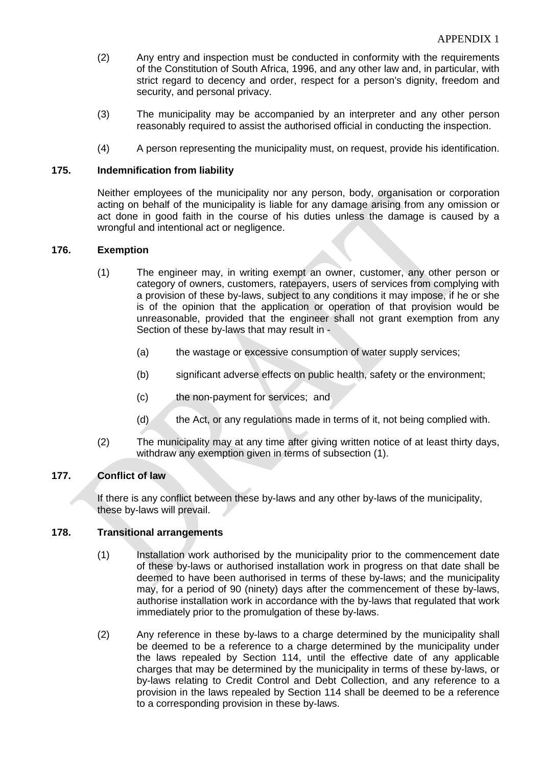- (2) Any entry and inspection must be conducted in conformity with the requirements of the Constitution of South Africa, 1996, and any other law and, in particular, with strict regard to decency and order, respect for a person's dignity, freedom and security, and personal privacy.
- (3) The municipality may be accompanied by an interpreter and any other person reasonably required to assist the authorised official in conducting the inspection.
- (4) A person representing the municipality must, on request, provide his identification.

### **175. Indemnification from liability**

Neither employees of the municipality nor any person, body, organisation or corporation acting on behalf of the municipality is liable for any damage arising from any omission or act done in good faith in the course of his duties unless the damage is caused by a wrongful and intentional act or negligence.

#### **176. Exemption**

- (1) The engineer may, in writing exempt an owner, customer, any other person or category of owners, customers, ratepayers, users of services from complying with a provision of these by-laws, subject to any conditions it may impose, if he or she is of the opinion that the application or operation of that provision would be unreasonable, provided that the engineer shall not grant exemption from any Section of these by-laws that may result in -
	- (a) the wastage or excessive consumption of water supply services;
	- (b) significant adverse effects on public health, safety or the environment;
	- (c) the non-payment for services; and
	- (d) the Act, or any regulations made in terms of it, not being complied with.
- (2) The municipality may at any time after giving written notice of at least thirty days, withdraw any exemption given in terms of subsection (1).

## **177. Conflict of law**

If there is any conflict between these by-laws and any other by-laws of the municipality, these by-laws will prevail.

#### **178. Transitional arrangements**

- (1) Installation work authorised by the municipality prior to the commencement date of these by-laws or authorised installation work in progress on that date shall be deemed to have been authorised in terms of these by-laws; and the municipality may, for a period of 90 (ninety) days after the commencement of these by-laws, authorise installation work in accordance with the by-laws that regulated that work immediately prior to the promulgation of these by-laws.
- (2) Any reference in these by-laws to a charge determined by the municipality shall be deemed to be a reference to a charge determined by the municipality under the laws repealed by Section 114, until the effective date of any applicable charges that may be determined by the municipality in terms of these by-laws, or by-laws relating to Credit Control and Debt Collection, and any reference to a provision in the laws repealed by Section 114 shall be deemed to be a reference to a corresponding provision in these by-laws.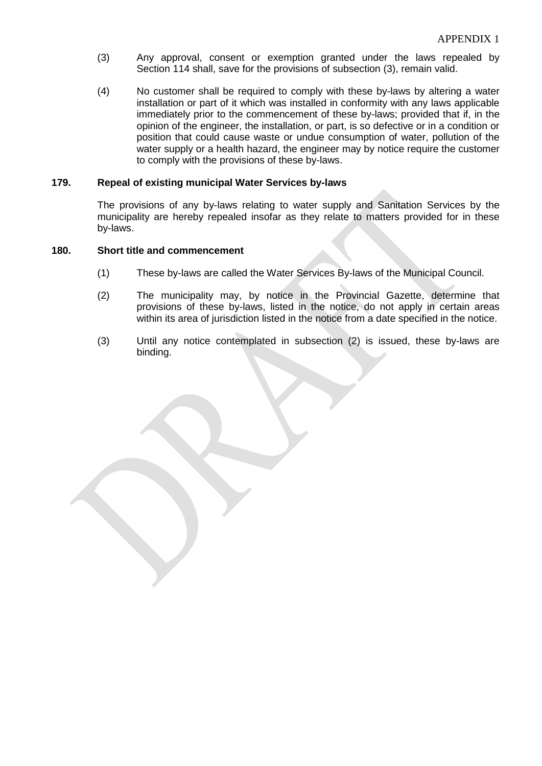- (3) Any approval, consent or exemption granted under the laws repealed by Section 114 shall, save for the provisions of subsection (3), remain valid.
- (4) No customer shall be required to comply with these by-laws by altering a water installation or part of it which was installed in conformity with any laws applicable immediately prior to the commencement of these by-laws; provided that if, in the opinion of the engineer, the installation, or part, is so defective or in a condition or position that could cause waste or undue consumption of water, pollution of the water supply or a health hazard, the engineer may by notice require the customer to comply with the provisions of these by-laws.

#### **179. Repeal of existing municipal Water Services by-laws**

The provisions of any by-laws relating to water supply and Sanitation Services by the municipality are hereby repealed insofar as they relate to matters provided for in these by-laws.

#### **180. Short title and commencement**

- (1) These by-laws are called the Water Services By-laws of the Municipal Council.
- (2) The municipality may, by notice in the Provincial Gazette, determine that provisions of these by-laws, listed in the notice, do not apply in certain areas within its area of jurisdiction listed in the notice from a date specified in the notice.
- (3) Until any notice contemplated in subsection (2) is issued, these by-laws are binding.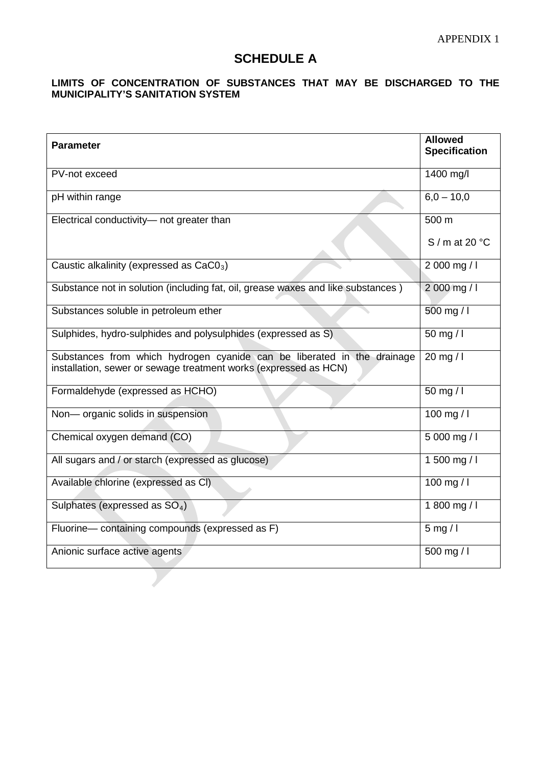# **SCHEDULE A**

# **LIMITS OF CONCENTRATION OF SUBSTANCES THAT MAY BE DISCHARGED TO THE MUNICIPALITY'S SANITATION SYSTEM**

| <b>Parameter</b>                                                                                                                            | <b>Allowed</b><br><b>Specification</b> |
|---------------------------------------------------------------------------------------------------------------------------------------------|----------------------------------------|
| PV-not exceed                                                                                                                               | 1400 mg/l                              |
| pH within range                                                                                                                             | $6,0 - 10,0$                           |
| Electrical conductivity- not greater than                                                                                                   | 500 m                                  |
|                                                                                                                                             | $S/m$ at 20 °C                         |
| Caustic alkalinity (expressed as $CaCO3$ )                                                                                                  | 2 000 mg / l                           |
| Substance not in solution (including fat, oil, grease waxes and like substances)                                                            | 2 000 mg / l                           |
| Substances soluble in petroleum ether                                                                                                       | 500 mg / l                             |
| Sulphides, hydro-sulphides and polysulphides (expressed as S)                                                                               | 50 mg / l                              |
| Substances from which hydrogen cyanide can be liberated in the drainage<br>installation, sewer or sewage treatment works (expressed as HCN) | 20 mg / $\vert$                        |
| Formaldehyde (expressed as HCHO)                                                                                                            | 50 mg / l                              |
| Non- organic solids in suspension                                                                                                           | 100 mg / $I$                           |
| Chemical oxygen demand (CO)                                                                                                                 | 5 000 mg / l                           |
| All sugars and / or starch (expressed as glucose)                                                                                           | 1 500 mg / $\vert$                     |
| Available chlorine (expressed as CI)                                                                                                        | 100 mg / $\vert$                       |
| Sulphates (expressed as SO <sub>4</sub> )                                                                                                   | 1 800 mg / l                           |
| Fluorine- containing compounds (expressed as F)                                                                                             | $5$ mg / l                             |
| Anionic surface active agents                                                                                                               | 500 mg / l                             |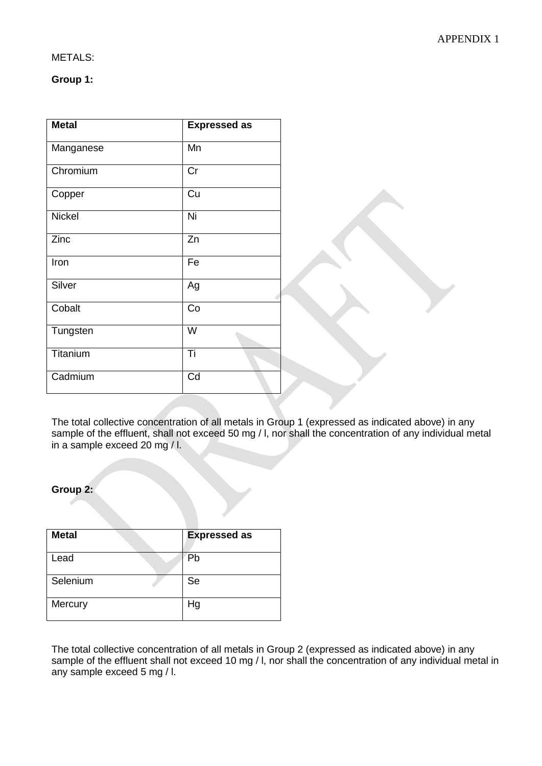## METALS:

## **Group 1:**

| <b>Metal</b>  | <b>Expressed as</b> |
|---------------|---------------------|
| Manganese     | Mn                  |
| Chromium      | Cr                  |
| Copper        | Cu                  |
| <b>Nickel</b> | Ni                  |
| Zinc          | Zn                  |
| Iron          | Fe                  |
| Silver        | Ag                  |
| Cobalt        | Co                  |
| Tungsten      | W                   |
| Titanium      | Ti                  |
| Cadmium       | Cd                  |

The total collective concentration of all metals in Group 1 (expressed as indicated above) in any sample of the effluent, shall not exceed 50 mg / I, nor shall the concentration of any individual metal in a sample exceed 20 mg / l.

# **Group 2:**

| <b>Metal</b> | <b>Expressed as</b> |
|--------------|---------------------|
| Lead         | Pb                  |
| Selenium     | Se                  |
| Mercury      | Hg                  |

The total collective concentration of all metals in Group 2 (expressed as indicated above) in any sample of the effluent shall not exceed 10 mg / l, nor shall the concentration of any individual metal in any sample exceed 5 mg / l.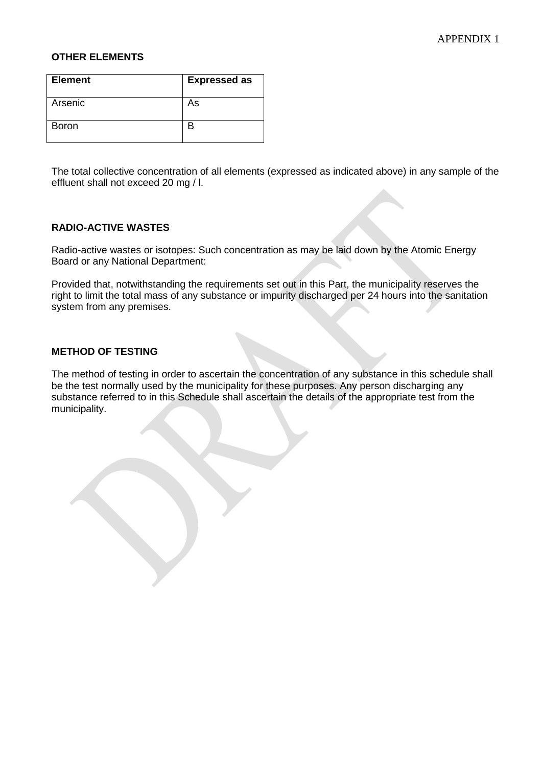#### **OTHER ELEMENTS**

| <b>Element</b> | <b>Expressed as</b> |  |
|----------------|---------------------|--|
| Arsenic        | As                  |  |
| <b>Boron</b>   |                     |  |

The total collective concentration of all elements (expressed as indicated above) in any sample of the effluent shall not exceed 20 mg / l.

### **RADIO-ACTIVE WASTES**

Radio-active wastes or isotopes: Such concentration as may be laid down by the Atomic Energy Board or any National Department:

Provided that, notwithstanding the requirements set out in this Part, the municipality reserves the right to limit the total mass of any substance or impurity discharged per 24 hours into the sanitation system from any premises.

#### **METHOD OF TESTING**

The method of testing in order to ascertain the concentration of any substance in this schedule shall be the test normally used by the municipality for these purposes. Any person discharging any substance referred to in this Schedule shall ascertain the details of the appropriate test from the municipality.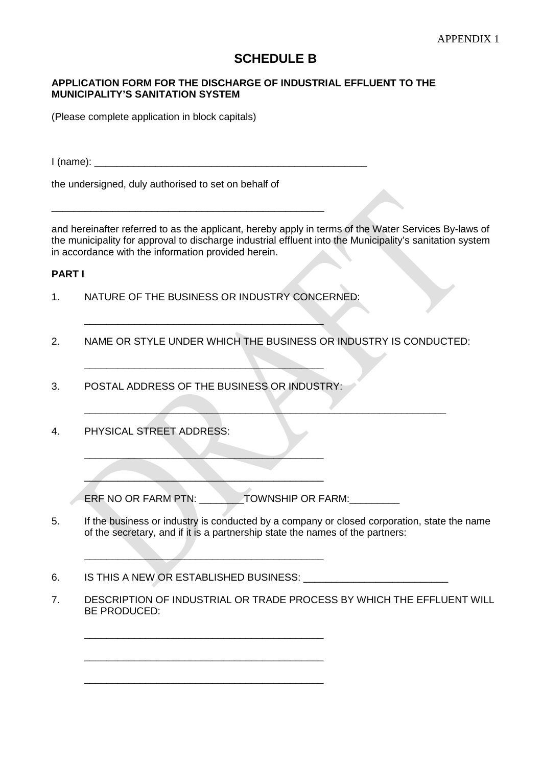# **SCHEDULE B**

#### **APPLICATION FORM FOR THE DISCHARGE OF INDUSTRIAL EFFLUENT TO THE MUNICIPALITY'S SANITATION SYSTEM**

(Please complete application in block capitals)

 $I$  (name):

the undersigned, duly authorised to set on behalf of

\_\_\_\_\_\_\_\_\_\_\_\_\_\_\_\_\_\_\_\_\_\_\_\_\_\_\_\_\_\_\_\_\_\_\_\_\_\_\_\_\_\_\_\_\_\_\_\_\_

and hereinafter referred to as the applicant, hereby apply in terms of the Water Services By-laws of the municipality for approval to discharge industrial effluent into the Municipality's sanitation system in accordance with the information provided herein.

# **PART I**

1. NATURE OF THE BUSINESS OR INDUSTRY CONCERNED:

 $\overline{\phantom{a}}$  , where  $\overline{\phantom{a}}$  , where  $\overline{\phantom{a}}$  ,  $\overline{\phantom{a}}$  ,  $\overline{\phantom{a}}$  ,  $\overline{\phantom{a}}$  ,  $\overline{\phantom{a}}$  ,  $\overline{\phantom{a}}$  ,  $\overline{\phantom{a}}$  ,  $\overline{\phantom{a}}$  ,  $\overline{\phantom{a}}$  ,  $\overline{\phantom{a}}$  ,  $\overline{\phantom{a}}$  ,  $\overline{\phantom{a}}$  ,  $\overline{\phantom{a}}$  ,

2. NAME OR STYLE UNDER WHICH THE BUSINESS OR INDUSTRY IS CONDUCTED:

 $\blacksquare$ 

3. POSTAL ADDRESS OF THE BUSINESS OR INDUSTRY:

 $\overline{\phantom{a}}$ 

 $\mathcal{L}=\mathcal{L}=\mathcal{L}=\mathcal{L}=\mathcal{L}=\mathcal{L}=\mathcal{L}=\mathcal{L}=\mathcal{L}=\mathcal{L}=\mathcal{L}=\mathcal{L}=\mathcal{L}=\mathcal{L}=\mathcal{L}=\mathcal{L}=\mathcal{L}=\mathcal{L}=\mathcal{L}=\mathcal{L}=\mathcal{L}=\mathcal{L}=\mathcal{L}=\mathcal{L}=\mathcal{L}=\mathcal{L}=\mathcal{L}=\mathcal{L}=\mathcal{L}=\mathcal{L}=\mathcal{L}=\mathcal{L}=\mathcal{L}=\mathcal{L}=\mathcal{L}=\mathcal{L}=\mathcal{$ 

 $\overline{\phantom{a}}$  , where  $\overline{\phantom{a}}$  , where  $\overline{\phantom{a}}$  , where  $\overline{\phantom{a}}$  , where  $\overline{\phantom{a}}$ 

\_\_\_\_\_\_\_\_\_\_\_\_\_\_\_\_\_\_\_\_\_\_\_\_\_\_\_\_\_\_\_\_\_\_\_\_\_\_\_\_\_\_\_

\_\_\_\_\_\_\_\_\_\_\_\_\_\_\_\_\_\_\_\_\_\_\_\_\_\_\_\_\_\_\_\_\_\_\_\_\_\_\_\_\_\_\_

\_\_\_\_\_\_\_\_\_\_\_\_\_\_\_\_\_\_\_\_\_\_\_\_\_\_\_\_\_\_\_\_\_\_\_\_\_\_\_\_\_\_\_

 $\overline{\phantom{a}}$  , where  $\overline{\phantom{a}}$  , where  $\overline{\phantom{a}}$  ,  $\overline{\phantom{a}}$  ,  $\overline{\phantom{a}}$  ,  $\overline{\phantom{a}}$  ,  $\overline{\phantom{a}}$  ,  $\overline{\phantom{a}}$  ,  $\overline{\phantom{a}}$  ,  $\overline{\phantom{a}}$  ,  $\overline{\phantom{a}}$  ,  $\overline{\phantom{a}}$  ,  $\overline{\phantom{a}}$  ,  $\overline{\phantom{a}}$  ,  $\overline{\phantom{a}}$  ,

4. PHYSICAL STREET ADDRESS:

ERF NO OR FARM PTN: \_\_\_\_\_\_\_\_TOWNSHIP OR FARM: \_\_\_\_\_\_\_\_\_

- 5. If the business or industry is conducted by a company or closed corporation, state the name of the secretary, and if it is a partnership state the names of the partners:
- 6. IS THIS A NEW OR ESTABLISHED BUSINESS:
- 7. DESCRIPTION OF INDUSTRIAL OR TRADE PROCESS BY WHICH THE EFFLUENT WILL BE PRODUCED: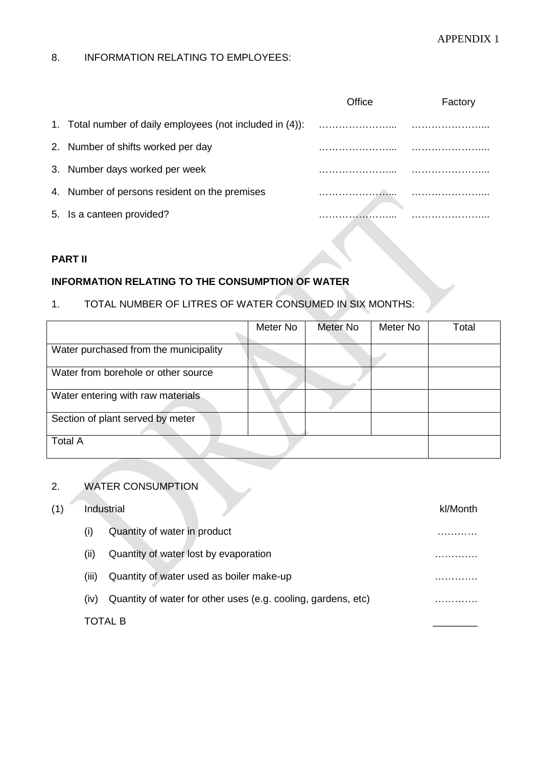# APPENDIX 1

# 8. INFORMATION RELATING TO EMPLOYEES:

|                                                           | ∩ffice | Factory |
|-----------------------------------------------------------|--------|---------|
| 1. Total number of daily employees (not included in (4)): |        |         |
| 2. Number of shifts worked per day                        |        |         |
| 3. Number days worked per week                            |        |         |
| 4. Number of persons resident on the premises             |        |         |
| 5. Is a canteen provided?                                 |        |         |

# **PART II**

# **INFORMATION RELATING TO THE CONSUMPTION OF WATER**

# 1. TOTAL NUMBER OF LITRES OF WATER CONSUMED IN SIX MONTHS:

|                                       | Meter No | Meter No | Meter No | Total |
|---------------------------------------|----------|----------|----------|-------|
|                                       |          |          |          |       |
| Water purchased from the municipality |          |          |          |       |
| Water from borehole or other source   |          |          |          |       |
| Water entering with raw materials     |          |          |          |       |
| Section of plant served by meter      |          |          |          |       |
| <b>Total A</b>                        |          |          |          |       |

# 2. WATER CONSUMPTION

| (1) |       | Industrial                                                    | kl/Month |
|-----|-------|---------------------------------------------------------------|----------|
|     | (i)   | Quantity of water in product                                  |          |
|     | (ii)  | Quantity of water lost by evaporation                         |          |
|     | (iii) | Quantity of water used as boiler make-up                      |          |
|     | (iv)  | Quantity of water for other uses (e.g. cooling, gardens, etc) |          |
|     |       | TOTAL B                                                       |          |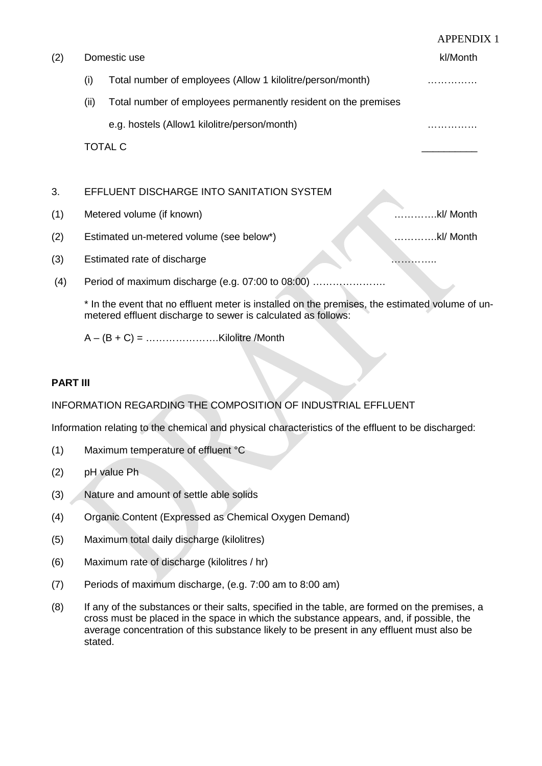|     |      |                                                                | <b>APPENDIX 1</b> |
|-----|------|----------------------------------------------------------------|-------------------|
| (2) |      | Domestic use                                                   | kl/Month          |
|     | (i)  | Total number of employees (Allow 1 kilolitre/person/month)     |                   |
|     | (ii) | Total number of employees permanently resident on the premises |                   |
|     |      | e.g. hostels (Allow1 kilolitre/person/month)                   |                   |
|     |      | <b>TOTAL C</b>                                                 |                   |
|     |      |                                                                |                   |
| 3.  |      | EFFLUENT DISCHARGE INTO SANITATION SYSTEM                      |                   |
| (1) |      | Metered volume (if known)                                      | kl/ Month         |
| (2) |      | Estimated un-metered volume (see below*)                       | kl/ Month         |
| (3) |      | Estimated rate of discharge                                    | .                 |
| (4) |      | Period of maximum discharge (e.g. 07:00 to 08:00)              |                   |
|     |      |                                                                |                   |

\* In the event that no effluent meter is installed on the premises, the estimated volume of unmetered effluent discharge to sewer is calculated as follows:

 $A - (B + C) =$  ……………………Kilolitre /Month

# **PART III**

# INFORMATION REGARDING THE COMPOSITION OF INDUSTRIAL EFFLUENT

Information relating to the chemical and physical characteristics of the effluent to be discharged:

- (1) Maximum temperature of effluent °C
- (2) pH value Ph
- (3) Nature and amount of settle able solids
- (4) Organic Content (Expressed as Chemical Oxygen Demand)
- (5) Maximum total daily discharge (kilolitres)
- (6) Maximum rate of discharge (kilolitres / hr)
- (7) Periods of maximum discharge, (e.g. 7:00 am to 8:00 am)
- (8) If any of the substances or their salts, specified in the table, are formed on the premises, a cross must be placed in the space in which the substance appears, and, if possible, the average concentration of this substance likely to be present in any effluent must also be stated.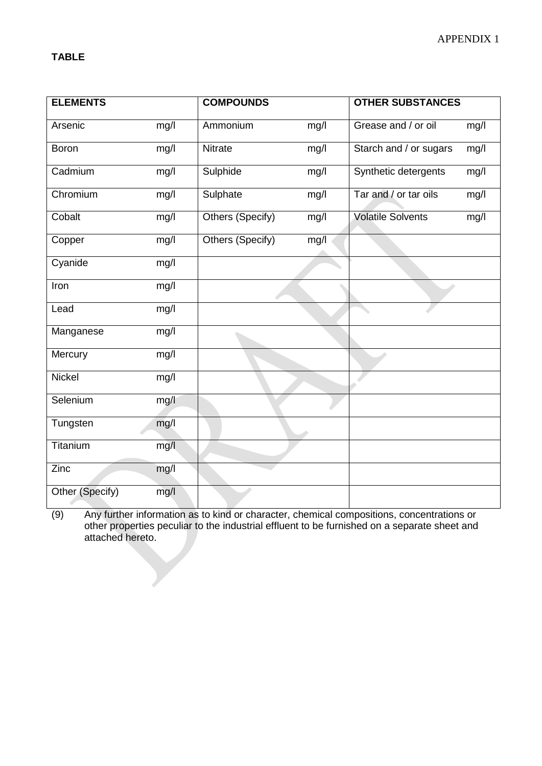| <b>ELEMENTS</b> |      | <b>COMPOUNDS</b> |      | <b>OTHER SUBSTANCES</b>  |      |
|-----------------|------|------------------|------|--------------------------|------|
| Arsenic         | mg/l | Ammonium         | mg/l | Grease and / or oil      | mg/l |
| Boron           | mg/l | Nitrate          | mg/l | Starch and / or sugars   | mg/l |
| Cadmium         | mg/l | Sulphide         | mg/l | Synthetic detergents     | mg/l |
| Chromium        | mg/l | Sulphate         | mg/I | Tar and / or tar oils    | mg/l |
| Cobalt          | mg/l | Others (Specify) | mg/l | <b>Volatile Solvents</b> | mg/l |
| Copper          | mg/l | Others (Specify) | mg/l |                          |      |
| Cyanide         | mg/l |                  |      |                          |      |
| Iron            | mg/l |                  |      |                          |      |
| Lead            | mg/l |                  |      |                          |      |
| Manganese       | mg/l |                  |      |                          |      |
| Mercury         | mg/l |                  |      |                          |      |
| Nickel          | mg/I |                  |      |                          |      |
| Selenium        | mg/l |                  |      |                          |      |
| Tungsten        | mg/l |                  |      |                          |      |
| Titanium        | mg/l |                  |      |                          |      |
| Zinc            | mg/l |                  |      |                          |      |
| Other (Specify) | mg/l |                  |      |                          |      |

(9) Any further information as to kind or character, chemical compositions, concentrations or other properties peculiar to the industrial effluent to be furnished on a separate sheet and attached hereto.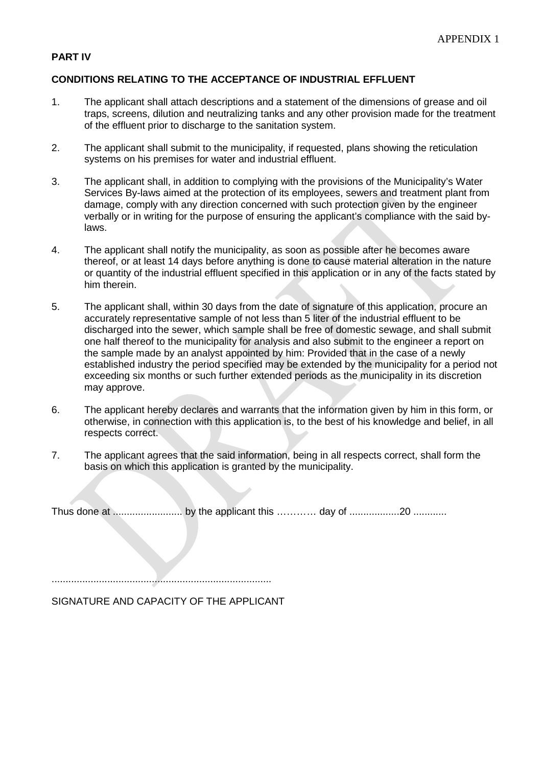## **PART IV**

#### **CONDITIONS RELATING TO THE ACCEPTANCE OF INDUSTRIAL EFFLUENT**

- 1. The applicant shall attach descriptions and a statement of the dimensions of grease and oil traps, screens, dilution and neutralizing tanks and any other provision made for the treatment of the effluent prior to discharge to the sanitation system.
- 2. The applicant shall submit to the municipality, if requested, plans showing the reticulation systems on his premises for water and industrial effluent.
- 3. The applicant shall, in addition to complying with the provisions of the Municipality's Water Services By-laws aimed at the protection of its employees, sewers and treatment plant from damage, comply with any direction concerned with such protection given by the engineer verbally or in writing for the purpose of ensuring the applicant's compliance with the said bylaws.
- 4. The applicant shall notify the municipality, as soon as possible after he becomes aware thereof, or at least 14 days before anything is done to cause material alteration in the nature or quantity of the industrial effluent specified in this application or in any of the facts stated by him therein.
- 5. The applicant shall, within 30 days from the date of signature of this application, procure an accurately representative sample of not less than 5 liter of the industrial effluent to be discharged into the sewer, which sample shall be free of domestic sewage, and shall submit one half thereof to the municipality for analysis and also submit to the engineer a report on the sample made by an analyst appointed by him: Provided that in the case of a newly established industry the period specified may be extended by the municipality for a period not exceeding six months or such further extended periods as the municipality in its discretion may approve.
- 6. The applicant hereby declares and warrants that the information given by him in this form, or otherwise, in connection with this application is, to the best of his knowledge and belief, in all respects correct.
- 7. The applicant agrees that the said information, being in all respects correct, shall form the basis on which this application is granted by the municipality.

Thus done at ......................... by the applicant this ………… day of ..................20 ............

...............................................................................

SIGNATURE AND CAPACITY OF THE APPLICANT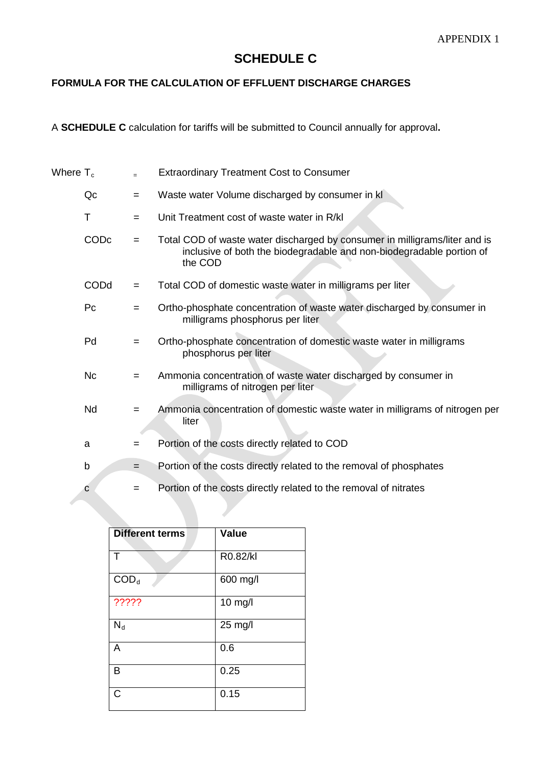# **SCHEDULE C**

# **FORMULA FOR THE CALCULATION OF EFFLUENT DISCHARGE CHARGES**

A **SCHEDULE C** calculation for tariffs will be submitted to Council annually for approval**.**

| Where $\mathsf{T}_{\mathrm{c}}$ |      |     | <b>Extraordinary Treatment Cost to Consumer</b>                                                                                                               |
|---------------------------------|------|-----|---------------------------------------------------------------------------------------------------------------------------------------------------------------|
|                                 | Qc   | $=$ | Waste water Volume discharged by consumer in kl                                                                                                               |
|                                 | Τ    | $=$ | Unit Treatment cost of waste water in R/kl                                                                                                                    |
|                                 | CODc | $=$ | Total COD of waste water discharged by consumer in milligrams/liter and is<br>inclusive of both the biodegradable and non-biodegradable portion of<br>the COD |
|                                 | CODd | $=$ | Total COD of domestic waste water in milligrams per liter                                                                                                     |
|                                 | Pc   | $=$ | Ortho-phosphate concentration of waste water discharged by consumer in<br>milligrams phosphorus per liter                                                     |
|                                 | Pd   | $=$ | Ortho-phosphate concentration of domestic waste water in milligrams<br>phosphorus per liter                                                                   |
|                                 | Nc   | $=$ | Ammonia concentration of waste water discharged by consumer in<br>milligrams of nitrogen per liter                                                            |
|                                 | Nd   | $=$ | Ammonia concentration of domestic waste water in milligrams of nitrogen per<br>liter                                                                          |
|                                 | a    | $=$ | Portion of the costs directly related to COD                                                                                                                  |
|                                 | b    | $=$ | Portion of the costs directly related to the removal of phosphates                                                                                            |
|                                 | С    | $=$ | Portion of the costs directly related to the removal of nitrates                                                                                              |

| <b>Different terms</b> | <b>Value</b> |
|------------------------|--------------|
| т                      | R0.82/kl     |
| $\text{COD}_d$         | 600 mg/l     |
| ?????                  | 10 mg/l      |
| $N_d$                  | 25 mg/l      |
| A                      | 0.6          |
| в                      | 0.25         |
| C                      | 0.15         |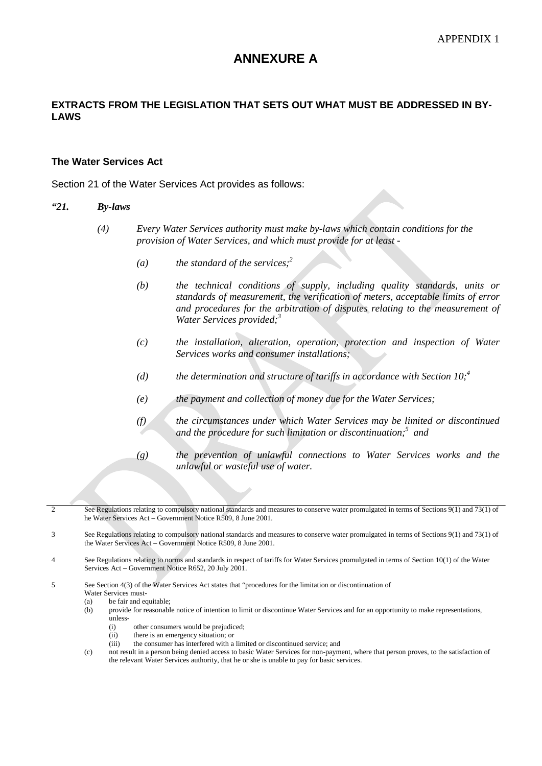# **ANNEXURE A**

## **EXTRACTS FROM THE LEGISLATION THAT SETS OUT WHAT MUST BE ADDRESSED IN BY-LAWS**

#### **The Water Services Act**

Section 21 of the Water Services Act provides as follows:

#### *"21. By-laws*

- *(4) Every Water Services authority must make by-laws which contain conditions for the provision of Water Services, and which must provide for at least -*
	- *(a) the standard of the services;<sup>2</sup>*
	- *(b) the technical conditions of supply, including quality standards, units or standards of measurement, the verification of meters, acceptable limits of error and procedures for the arbitration of disputes relating to the measurement of Water Services provided;3*
	- *(c) the installation, alteration, operation, protection and inspection of Water Services works and consumer installations;*
	- (d) the determination and structure of tariffs in accordance with Section  $10<sup>4</sup>$
	- *(e) the payment and collection of money due for the Water Services;*
	- *(f) the circumstances under which Water Services may be limited or discontinued and the procedure for such limitation or discontinuation;5 and*
	- *(g) the prevention of unlawful connections to Water Services works and the unlawful or wasteful use of water.*
- 2 See Regulations relating to compulsory national standards and measures to conserve water promulgated in terms of Sections 9(1) and 73(1) of he Water Services Act – Government Notice R509, 8 June 2001.
- 3 See Regulations relating to compulsory national standards and measures to conserve water promulgated in terms of Sections 9(1) and 73(1) of the Water Services Act – Government Notice R509, 8 June 2001.
- 4 See Regulations relating to norms and standards in respect of tariffs for Water Services promulgated in terms of Section 10(1) of the Water Services Act – Government Notice R652, 20 July 2001.
- 5 See Section 4(3) of the Water Services Act states that "procedures for the limitation or discontinuation of Water Services must-
	- (a) be fair and equitable;<br>(b) provide for reasonable
	- (b) provide for reasonable notice of intention to limit or discontinue Water Services and for an opportunity to make representations, unless-
		- (i) other consumers would be prejudiced;
		- (ii) there is an emergency situation; or<br>(iii) the consumer has interfered with a
		- the consumer has interfered with a limited or discontinued service; and
	- (c) not result in a person being denied access to basic Water Services for non-payment, where that person proves, to the satisfaction of the relevant Water Services authority, that he or she is unable to pay for basic services.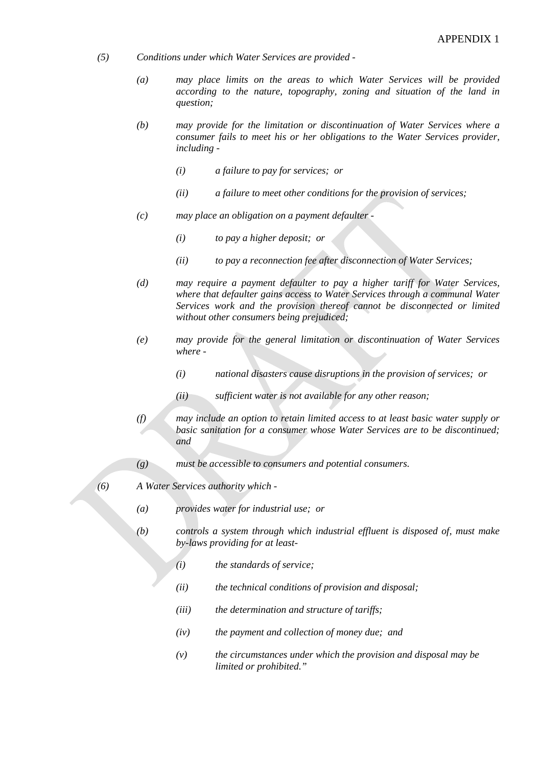- *(5) Conditions under which Water Services are provided -*
	- *(a) may place limits on the areas to which Water Services will be provided according to the nature, topography, zoning and situation of the land in question;*
	- *(b) may provide for the limitation or discontinuation of Water Services where a consumer fails to meet his or her obligations to the Water Services provider, including -*
		- *(i) a failure to pay for services; or*
		- *(ii) a failure to meet other conditions for the provision of services;*
	- *(c) may place an obligation on a payment defaulter -*
		- *(i) to pay a higher deposit; or*
		- *(ii) to pay a reconnection fee after disconnection of Water Services;*
	- *(d) may require a payment defaulter to pay a higher tariff for Water Services, where that defaulter gains access to Water Services through a communal Water Services work and the provision thereof cannot be disconnected or limited without other consumers being prejudiced;*
	- *(e) may provide for the general limitation or discontinuation of Water Services where -*
		- *(i) national disasters cause disruptions in the provision of services; or*
		- *(ii) sufficient water is not available for any other reason;*
	- *(f) may include an option to retain limited access to at least basic water supply or basic sanitation for a consumer whose Water Services are to be discontinued; and*
	- *(g) must be accessible to consumers and potential consumers.*
- *(6) A Water Services authority which -*
	- *(a) provides water for industrial use; or*
	- *(b) controls a system through which industrial effluent is disposed of, must make by-laws providing for at least-*
		- *(i) the standards of service;*
		- *(ii) the technical conditions of provision and disposal;*
		- *(iii) the determination and structure of tariffs;*
		- *(iv) the payment and collection of money due; and*
		- *(v) the circumstances under which the provision and disposal may be limited or prohibited."*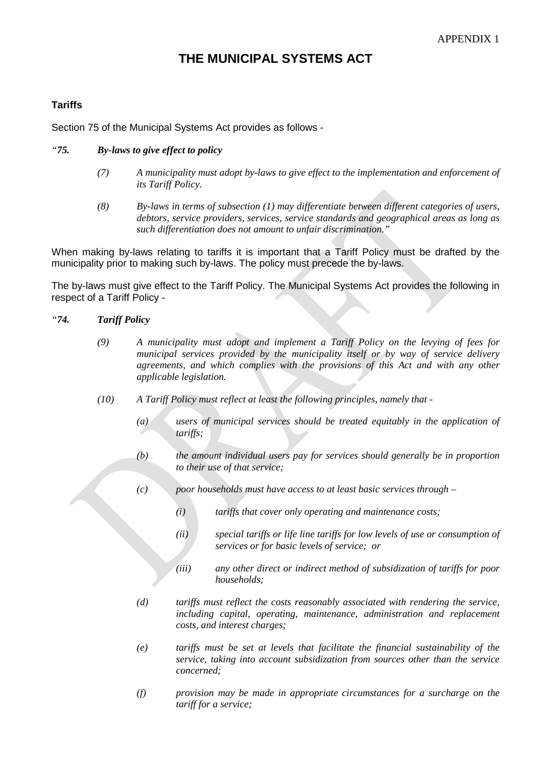# **THE MUNICIPAL SYSTEMS ACT**

# **Tariffs**

Section 75 of the Municipal Systems Act provides as follows -

#### *"75. By-laws to give effect to policy*

- *(7) A municipality must adopt by-laws to give effect to the implementation and enforcement of its Tariff Policy.*
- *(8) By-laws in terms of subsection (1) may differentiate between different categories of users, debtors, service providers, services, service standards and geographical areas as long as such differentiation does not amount to unfair discrimination."*

When making by-laws relating to tariffs it is important that a Tariff Policy must be drafted by the municipality prior to making such by-laws. The policy must precede the by-laws.

The by-laws must give effect to the Tariff Policy. The Municipal Systems Act provides the following in respect of a Tariff Policy -

#### *"74. Tariff Policy*

- *(9) A municipality must adopt and implement a Tariff Policy on the levying of fees for municipal services provided by the municipality itself or by way of service delivery agreements, and which complies with the provisions of this Act and with any other applicable legislation.*
- *(10) A Tariff Policy must reflect at least the following principles, namely that -*
	- *(a) users of municipal services should be treated equitably in the application of tariffs;*
	- *(b) the amount individual users pay for services should generally be in proportion to their use of that service;*
	- *(c) poor households must have access to at least basic services through –*
		- *(i) tariffs that cover only operating and maintenance costs;*
		- *(ii) special tariffs or life line tariffs for low levels of use or consumption of services or for basic levels of service; or*
		- *(iii) any other direct or indirect method of subsidization of tariffs for poor households;*
	- *(d) tariffs must reflect the costs reasonably associated with rendering the service, including capital, operating, maintenance, administration and replacement costs, and interest charges;*
	- *(e) tariffs must be set at levels that facilitate the financial sustainability of the service, taking into account subsidization from sources other than the service concerned;*
	- *(f) provision may be made in appropriate circumstances for a surcharge on the tariff for a service;*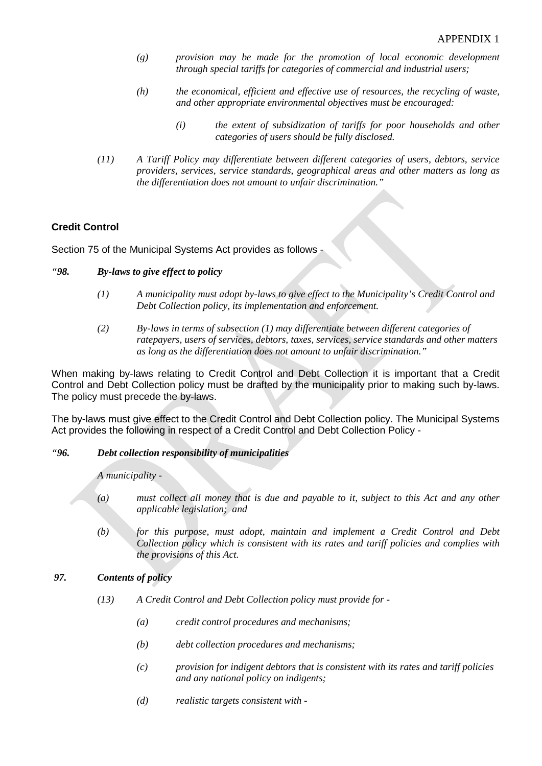- *(g) provision may be made for the promotion of local economic development through special tariffs for categories of commercial and industrial users;*
- *(h) the economical, efficient and effective use of resources, the recycling of waste, and other appropriate environmental objectives must be encouraged:*
	- *(i) the extent of subsidization of tariffs for poor households and other categories of users should be fully disclosed.*
- *(11) A Tariff Policy may differentiate between different categories of users, debtors, service providers, services, service standards, geographical areas and other matters as long as the differentiation does not amount to unfair discrimination."*

# **Credit Control**

Section 75 of the Municipal Systems Act provides as follows -

- *"98. By-laws to give effect to policy*
	- *(1) A municipality must adopt by-laws to give effect to the Municipality's Credit Control and Debt Collection policy, its implementation and enforcement.*
	- *(2) By-laws in terms of subsection (1) may differentiate between different categories of ratepayers, users of services, debtors, taxes, services, service standards and other matters as long as the differentiation does not amount to unfair discrimination."*

When making by-laws relating to Credit Control and Debt Collection it is important that a Credit Control and Debt Collection policy must be drafted by the municipality prior to making such by-laws. The policy must precede the by-laws.

The by-laws must give effect to the Credit Control and Debt Collection policy. The Municipal Systems Act provides the following in respect of a Credit Control and Debt Collection Policy -

#### *"96. Debt collection responsibility of municipalities*

*A municipality -*

- *(a) must collect all money that is due and payable to it, subject to this Act and any other applicable legislation; and*
- *(b) for this purpose, must adopt, maintain and implement a Credit Control and Debt Collection policy which is consistent with its rates and tariff policies and complies with the provisions of this Act.*

### *97. Contents of policy*

- *(13) A Credit Control and Debt Collection policy must provide for -*
	- *(a) credit control procedures and mechanisms;*
	- *(b) debt collection procedures and mechanisms;*
	- *(c) provision for indigent debtors that is consistent with its rates and tariff policies and any national policy on indigents;*
	- *(d) realistic targets consistent with -*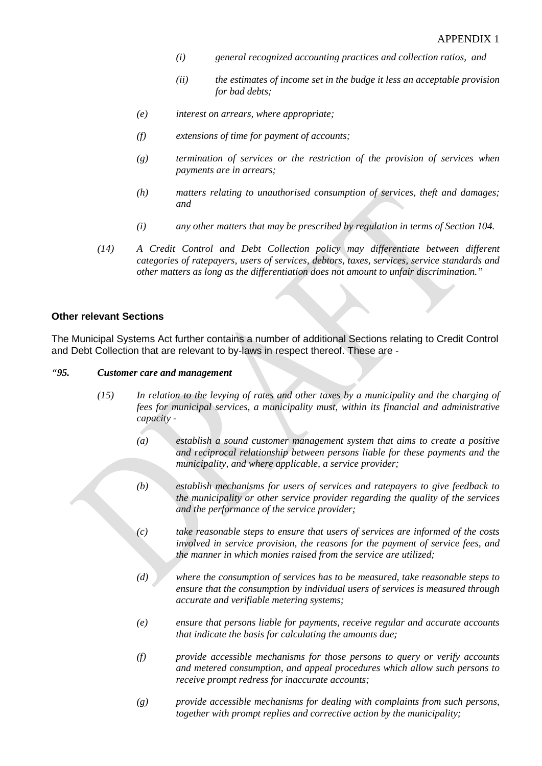- *(i) general recognized accounting practices and collection ratios, and*
- *(ii) the estimates of income set in the budge it less an acceptable provision for bad debts;*
- *(e) interest on arrears, where appropriate;*
- *(f) extensions of time for payment of accounts;*
- *(g) termination of services or the restriction of the provision of services when payments are in arrears;*
- *(h) matters relating to unauthorised consumption of services, theft and damages; and*
- *(i) any other matters that may be prescribed by regulation in terms of Section 104.*
- *(14) A Credit Control and Debt Collection policy may differentiate between different categories of ratepayers, users of services, debtors, taxes, services, service standards and other matters as long as the differentiation does not amount to unfair discrimination."*

#### **Other relevant Sections**

The Municipal Systems Act further contains a number of additional Sections relating to Credit Control and Debt Collection that are relevant to by-laws in respect thereof. These are -

#### *"95. Customer care and management*

- *(15) In relation to the levying of rates and other taxes by a municipality and the charging of fees for municipal services, a municipality must, within its financial and administrative capacity -*
	- *(a) establish a sound customer management system that aims to create a positive and reciprocal relationship between persons liable for these payments and the municipality, and where applicable, a service provider;*
	- *(b) establish mechanisms for users of services and ratepayers to give feedback to the municipality or other service provider regarding the quality of the services and the performance of the service provider;*
	- *(c) take reasonable steps to ensure that users of services are informed of the costs involved in service provision, the reasons for the payment of service fees, and the manner in which monies raised from the service are utilized;*
	- *(d) where the consumption of services has to be measured, take reasonable steps to ensure that the consumption by individual users of services is measured through accurate and verifiable metering systems;*
	- *(e) ensure that persons liable for payments, receive regular and accurate accounts that indicate the basis for calculating the amounts due;*
	- *(f) provide accessible mechanisms for those persons to query or verify accounts and metered consumption, and appeal procedures which allow such persons to receive prompt redress for inaccurate accounts;*
	- *(g) provide accessible mechanisms for dealing with complaints from such persons, together with prompt replies and corrective action by the municipality;*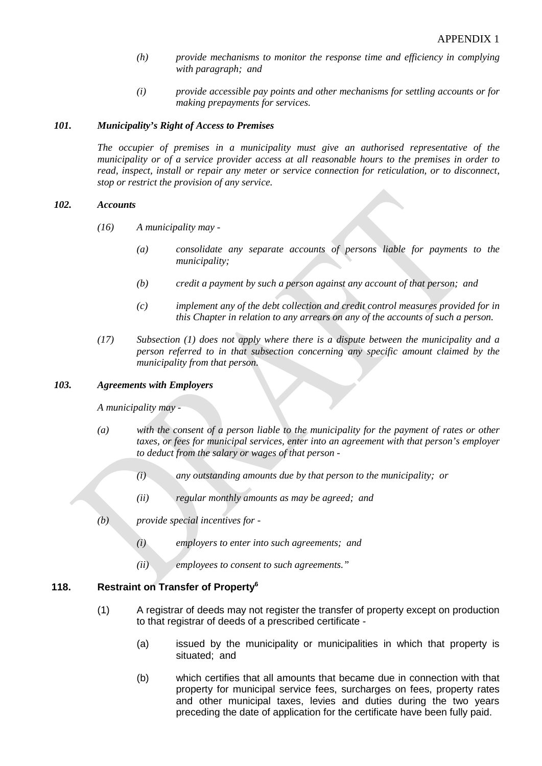- *(h) provide mechanisms to monitor the response time and efficiency in complying with paragraph; and*
- *(i) provide accessible pay points and other mechanisms for settling accounts or for making prepayments for services.*

#### *101. Municipality's Right of Access to Premises*

*The occupier of premises in a municipality must give an authorised representative of the municipality or of a service provider access at all reasonable hours to the premises in order to read, inspect, install or repair any meter or service connection for reticulation, or to disconnect, stop or restrict the provision of any service.*

#### *102. Accounts*

- *(16) A municipality may -*
	- *(a) consolidate any separate accounts of persons liable for payments to the municipality;*
	- *(b) credit a payment by such a person against any account of that person; and*
	- *(c) implement any of the debt collection and credit control measures provided for in this Chapter in relation to any arrears on any of the accounts of such a person.*
- *(17) Subsection (1) does not apply where there is a dispute between the municipality and a person referred to in that subsection concerning any specific amount claimed by the municipality from that person.*

#### *103. Agreements with Employers*

*A municipality may -*

- *(a) with the consent of a person liable to the municipality for the payment of rates or other taxes, or fees for municipal services, enter into an agreement with that person's employer to deduct from the salary or wages of that person -*
	- *(i) any outstanding amounts due by that person to the municipality; or*
	- *(ii) regular monthly amounts as may be agreed; and*
- *(b) provide special incentives for -*
	- *(i) employers to enter into such agreements; and*
	- *(ii) employees to consent to such agreements."*

## **118. Restraint on Transfer of Property6**

- (1) A registrar of deeds may not register the transfer of property except on production to that registrar of deeds of a prescribed certificate -
	- (a) issued by the municipality or municipalities in which that property is situated; and
	- (b) which certifies that all amounts that became due in connection with that property for municipal service fees, surcharges on fees, property rates and other municipal taxes, levies and duties during the two years preceding the date of application for the certificate have been fully paid.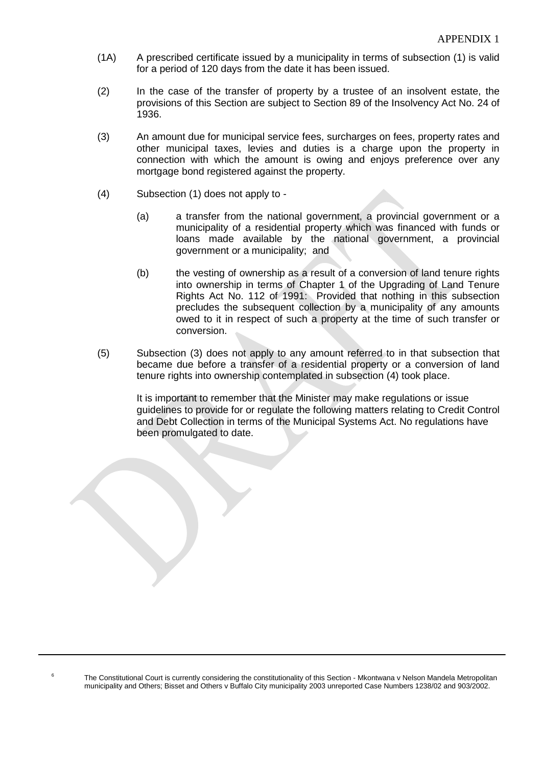- (1A) A prescribed certificate issued by a municipality in terms of subsection (1) is valid for a period of 120 days from the date it has been issued.
- (2) In the case of the transfer of property by a trustee of an insolvent estate, the provisions of this Section are subject to Section 89 of the Insolvency Act No. 24 of 1936.
- (3) An amount due for municipal service fees, surcharges on fees, property rates and other municipal taxes, levies and duties is a charge upon the property in connection with which the amount is owing and enjoys preference over any mortgage bond registered against the property.
- (4) Subsection (1) does not apply to
	- (a) a transfer from the national government, a provincial government or a municipality of a residential property which was financed with funds or loans made available by the national government, a provincial government or a municipality; and
	- (b) the vesting of ownership as a result of a conversion of land tenure rights into ownership in terms of Chapter 1 of the Upgrading of Land Tenure Rights Act No. 112 of 1991: Provided that nothing in this subsection precludes the subsequent collection by a municipality of any amounts owed to it in respect of such a property at the time of such transfer or conversion.
- (5) Subsection (3) does not apply to any amount referred to in that subsection that became due before a transfer of a residential property or a conversion of land tenure rights into ownership contemplated in subsection (4) took place.

It is important to remember that the Minister may make regulations or issue guidelines to provide for or regulate the following matters relating to Credit Control and Debt Collection in terms of the Municipal Systems Act. No regulations have been promulgated to date.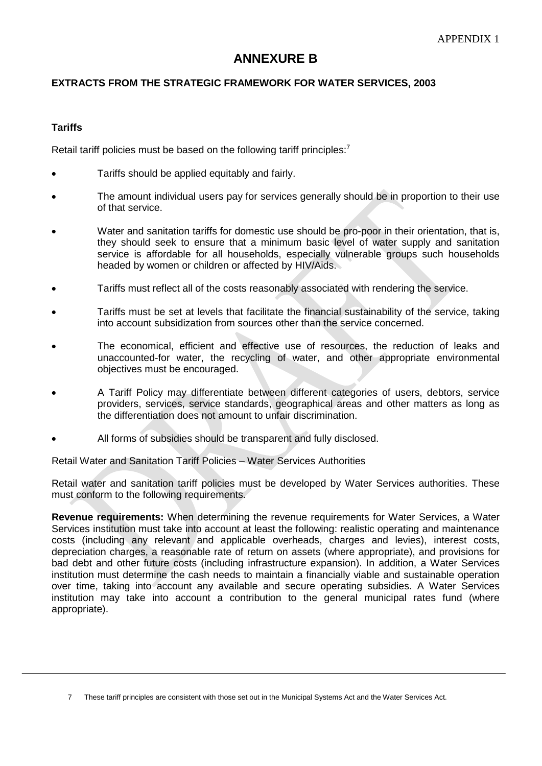# **ANNEXURE B**

# **EXTRACTS FROM THE STRATEGIC FRAMEWORK FOR WATER SERVICES, 2003**

### **Tariffs**

Retail tariff policies must be based on the following tariff principles: $<sup>7</sup>$ </sup>

- Tariffs should be applied equitably and fairly.
- The amount individual users pay for services generally should be in proportion to their use of that service.
- Water and sanitation tariffs for domestic use should be pro-poor in their orientation, that is, they should seek to ensure that a minimum basic level of water supply and sanitation service is affordable for all households, especially vulnerable groups such households headed by women or children or affected by HIV/Aids.
- Tariffs must reflect all of the costs reasonably associated with rendering the service.
- Tariffs must be set at levels that facilitate the financial sustainability of the service, taking into account subsidization from sources other than the service concerned.
- The economical, efficient and effective use of resources, the reduction of leaks and unaccounted-for water, the recycling of water, and other appropriate environmental objectives must be encouraged.
- A Tariff Policy may differentiate between different categories of users, debtors, service providers, services, service standards, geographical areas and other matters as long as the differentiation does not amount to unfair discrimination.
- All forms of subsidies should be transparent and fully disclosed.

Retail Water and Sanitation Tariff Policies – Water Services Authorities

Retail water and sanitation tariff policies must be developed by Water Services authorities. These must conform to the following requirements.

**Revenue requirements:** When determining the revenue requirements for Water Services, a Water Services institution must take into account at least the following: realistic operating and maintenance costs (including any relevant and applicable overheads, charges and levies), interest costs, depreciation charges, a reasonable rate of return on assets (where appropriate), and provisions for bad debt and other future costs (including infrastructure expansion). In addition, a Water Services institution must determine the cash needs to maintain a financially viable and sustainable operation over time, taking into account any available and secure operating subsidies. A Water Services institution may take into account a contribution to the general municipal rates fund (where appropriate).

<sup>7</sup> These tariff principles are consistent with those set out in the Municipal Systems Act and the Water Services Act.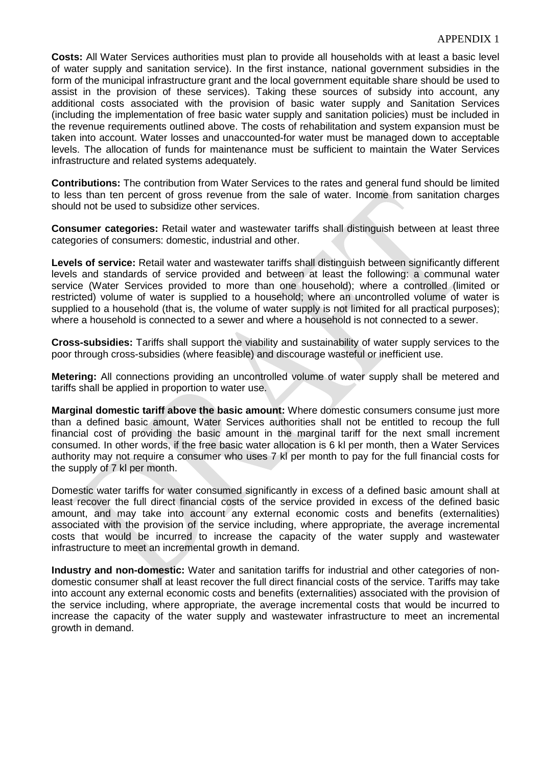#### APPENDIX 1

**Costs:** All Water Services authorities must plan to provide all households with at least a basic level of water supply and sanitation service). In the first instance, national government subsidies in the form of the municipal infrastructure grant and the local government equitable share should be used to assist in the provision of these services). Taking these sources of subsidy into account, any additional costs associated with the provision of basic water supply and Sanitation Services (including the implementation of free basic water supply and sanitation policies) must be included in the revenue requirements outlined above. The costs of rehabilitation and system expansion must be taken into account. Water losses and unaccounted-for water must be managed down to acceptable levels. The allocation of funds for maintenance must be sufficient to maintain the Water Services infrastructure and related systems adequately.

**Contributions:** The contribution from Water Services to the rates and general fund should be limited to less than ten percent of gross revenue from the sale of water. Income from sanitation charges should not be used to subsidize other services.

**Consumer categories:** Retail water and wastewater tariffs shall distinguish between at least three categories of consumers: domestic, industrial and other.

**Levels of service:** Retail water and wastewater tariffs shall distinguish between significantly different levels and standards of service provided and between at least the following: a communal water service (Water Services provided to more than one household); where a controlled (limited or restricted) volume of water is supplied to a household; where an uncontrolled volume of water is supplied to a household (that is, the volume of water supply is not limited for all practical purposes); where a household is connected to a sewer and where a household is not connected to a sewer.

**Cross-subsidies:** Tariffs shall support the viability and sustainability of water supply services to the poor through cross-subsidies (where feasible) and discourage wasteful or inefficient use.

**Metering:** All connections providing an uncontrolled volume of water supply shall be metered and tariffs shall be applied in proportion to water use.

**Marginal domestic tariff above the basic amount:** Where domestic consumers consume just more than a defined basic amount, Water Services authorities shall not be entitled to recoup the full financial cost of providing the basic amount in the marginal tariff for the next small increment consumed. In other words, if the free basic water allocation is 6 kl per month, then a Water Services authority may not require a consumer who uses 7 kl per month to pay for the full financial costs for the supply of 7 kl per month.

Domestic water tariffs for water consumed significantly in excess of a defined basic amount shall at least recover the full direct financial costs of the service provided in excess of the defined basic amount, and may take into account any external economic costs and benefits (externalities) associated with the provision of the service including, where appropriate, the average incremental costs that would be incurred to increase the capacity of the water supply and wastewater infrastructure to meet an incremental growth in demand.

**Industry and non-domestic:** Water and sanitation tariffs for industrial and other categories of nondomestic consumer shall at least recover the full direct financial costs of the service. Tariffs may take into account any external economic costs and benefits (externalities) associated with the provision of the service including, where appropriate, the average incremental costs that would be incurred to increase the capacity of the water supply and wastewater infrastructure to meet an incremental growth in demand.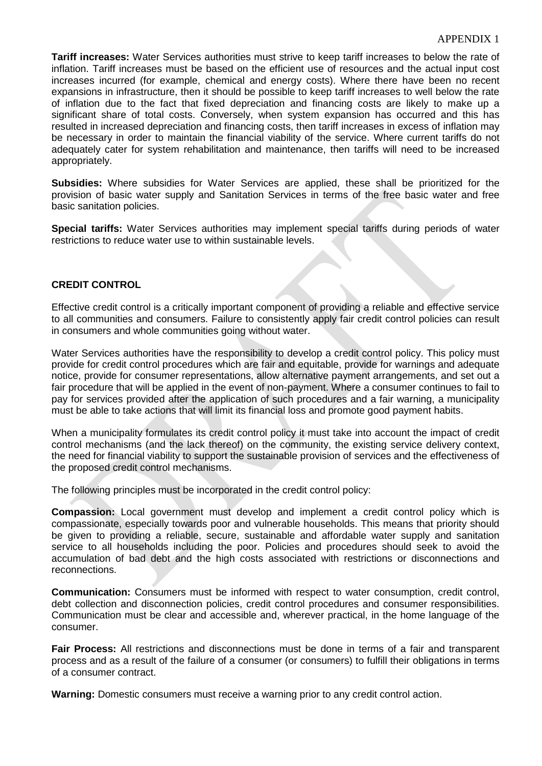**Tariff increases:** Water Services authorities must strive to keep tariff increases to below the rate of inflation. Tariff increases must be based on the efficient use of resources and the actual input cost increases incurred (for example, chemical and energy costs). Where there have been no recent expansions in infrastructure, then it should be possible to keep tariff increases to well below the rate of inflation due to the fact that fixed depreciation and financing costs are likely to make up a significant share of total costs. Conversely, when system expansion has occurred and this has resulted in increased depreciation and financing costs, then tariff increases in excess of inflation may be necessary in order to maintain the financial viability of the service. Where current tariffs do not adequately cater for system rehabilitation and maintenance, then tariffs will need to be increased appropriately.

**Subsidies:** Where subsidies for Water Services are applied, these shall be prioritized for the provision of basic water supply and Sanitation Services in terms of the free basic water and free basic sanitation policies.

**Special tariffs:** Water Services authorities may implement special tariffs during periods of water restrictions to reduce water use to within sustainable levels.

## **CREDIT CONTROL**

Effective credit control is a critically important component of providing a reliable and effective service to all communities and consumers. Failure to consistently apply fair credit control policies can result in consumers and whole communities going without water.

Water Services authorities have the responsibility to develop a credit control policy. This policy must provide for credit control procedures which are fair and equitable, provide for warnings and adequate notice, provide for consumer representations, allow alternative payment arrangements, and set out a fair procedure that will be applied in the event of non-payment. Where a consumer continues to fail to pay for services provided after the application of such procedures and a fair warning, a municipality must be able to take actions that will limit its financial loss and promote good payment habits.

When a municipality formulates its credit control policy it must take into account the impact of credit control mechanisms (and the lack thereof) on the community, the existing service delivery context, the need for financial viability to support the sustainable provision of services and the effectiveness of the proposed credit control mechanisms.

The following principles must be incorporated in the credit control policy:

**Compassion:** Local government must develop and implement a credit control policy which is compassionate, especially towards poor and vulnerable households. This means that priority should be given to providing a reliable, secure, sustainable and affordable water supply and sanitation service to all households including the poor. Policies and procedures should seek to avoid the accumulation of bad debt and the high costs associated with restrictions or disconnections and reconnections.

**Communication:** Consumers must be informed with respect to water consumption, credit control, debt collection and disconnection policies, credit control procedures and consumer responsibilities. Communication must be clear and accessible and, wherever practical, in the home language of the consumer.

**Fair Process:** All restrictions and disconnections must be done in terms of a fair and transparent process and as a result of the failure of a consumer (or consumers) to fulfill their obligations in terms of a consumer contract.

**Warning:** Domestic consumers must receive a warning prior to any credit control action.